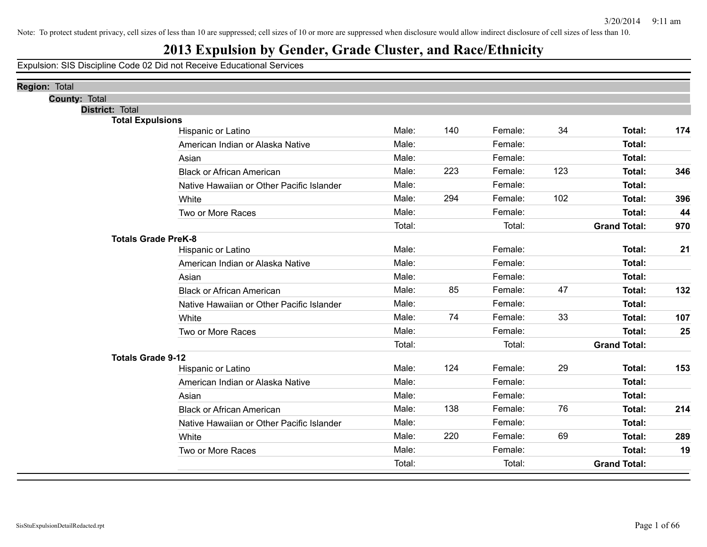## **2013 Expulsion by Gender, Grade Cluster, and Race/Ethnicity**

| <b>County: Total</b><br>District: Total<br><b>Total Expulsions</b><br>Male:<br>140<br>Female:<br>34<br>Total:<br>174<br>Hispanic or Latino<br>Male:<br><b>Total:</b><br>Female:<br>American Indian or Alaska Native<br>Female:<br>Male:<br>Total:<br>Asian<br>123<br>Male:<br>223<br>Female:<br>Total:<br>346<br><b>Black or African American</b><br><b>Total:</b><br>Male:<br>Female:<br>Native Hawaiian or Other Pacific Islander<br>294<br>Female:<br>102<br>Male:<br>Total:<br>396<br>White<br>Male:<br>44<br>Female:<br><b>Total:</b><br>Two or More Races<br>Total:<br>Total:<br><b>Grand Total:</b><br>970<br><b>Totals Grade PreK-8</b><br>Male:<br><b>Total:</b><br>Female:<br>21<br>Hispanic or Latino<br>Male:<br>Female:<br><b>Total:</b><br>American Indian or Alaska Native<br>Male:<br>Female:<br>Total:<br>Asian<br>85<br>47<br>Male:<br>Female:<br>Total:<br>132<br><b>Black or African American</b><br>Male:<br>Female:<br>Total:<br>Native Hawaiian or Other Pacific Islander<br>74<br>33<br>Male:<br>Female:<br>Total:<br>107<br>White<br>Male:<br>Female:<br>25<br><b>Total:</b><br>Two or More Races<br>Total:<br>Total:<br><b>Grand Total:</b><br><b>Totals Grade 9-12</b><br>124<br>29<br>153<br>Male:<br>Female:<br>Total:<br>Hispanic or Latino<br>Male:<br>Female:<br>Total:<br>American Indian or Alaska Native<br>Male:<br>Female:<br>Total:<br>Asian<br>Male:<br>138<br>Female:<br>76<br>Total:<br>214<br><b>Black or African American</b><br>Male:<br>Female:<br>Native Hawaiian or Other Pacific Islander<br>Total: | <b>Region: Total</b> |  |  |  |  |
|-----------------------------------------------------------------------------------------------------------------------------------------------------------------------------------------------------------------------------------------------------------------------------------------------------------------------------------------------------------------------------------------------------------------------------------------------------------------------------------------------------------------------------------------------------------------------------------------------------------------------------------------------------------------------------------------------------------------------------------------------------------------------------------------------------------------------------------------------------------------------------------------------------------------------------------------------------------------------------------------------------------------------------------------------------------------------------------------------------------------------------------------------------------------------------------------------------------------------------------------------------------------------------------------------------------------------------------------------------------------------------------------------------------------------------------------------------------------------------------------------------------------------------------------------------|----------------------|--|--|--|--|
|                                                                                                                                                                                                                                                                                                                                                                                                                                                                                                                                                                                                                                                                                                                                                                                                                                                                                                                                                                                                                                                                                                                                                                                                                                                                                                                                                                                                                                                                                                                                                     |                      |  |  |  |  |
|                                                                                                                                                                                                                                                                                                                                                                                                                                                                                                                                                                                                                                                                                                                                                                                                                                                                                                                                                                                                                                                                                                                                                                                                                                                                                                                                                                                                                                                                                                                                                     |                      |  |  |  |  |
|                                                                                                                                                                                                                                                                                                                                                                                                                                                                                                                                                                                                                                                                                                                                                                                                                                                                                                                                                                                                                                                                                                                                                                                                                                                                                                                                                                                                                                                                                                                                                     |                      |  |  |  |  |
|                                                                                                                                                                                                                                                                                                                                                                                                                                                                                                                                                                                                                                                                                                                                                                                                                                                                                                                                                                                                                                                                                                                                                                                                                                                                                                                                                                                                                                                                                                                                                     |                      |  |  |  |  |
|                                                                                                                                                                                                                                                                                                                                                                                                                                                                                                                                                                                                                                                                                                                                                                                                                                                                                                                                                                                                                                                                                                                                                                                                                                                                                                                                                                                                                                                                                                                                                     |                      |  |  |  |  |
|                                                                                                                                                                                                                                                                                                                                                                                                                                                                                                                                                                                                                                                                                                                                                                                                                                                                                                                                                                                                                                                                                                                                                                                                                                                                                                                                                                                                                                                                                                                                                     |                      |  |  |  |  |
|                                                                                                                                                                                                                                                                                                                                                                                                                                                                                                                                                                                                                                                                                                                                                                                                                                                                                                                                                                                                                                                                                                                                                                                                                                                                                                                                                                                                                                                                                                                                                     |                      |  |  |  |  |
|                                                                                                                                                                                                                                                                                                                                                                                                                                                                                                                                                                                                                                                                                                                                                                                                                                                                                                                                                                                                                                                                                                                                                                                                                                                                                                                                                                                                                                                                                                                                                     |                      |  |  |  |  |
|                                                                                                                                                                                                                                                                                                                                                                                                                                                                                                                                                                                                                                                                                                                                                                                                                                                                                                                                                                                                                                                                                                                                                                                                                                                                                                                                                                                                                                                                                                                                                     |                      |  |  |  |  |
|                                                                                                                                                                                                                                                                                                                                                                                                                                                                                                                                                                                                                                                                                                                                                                                                                                                                                                                                                                                                                                                                                                                                                                                                                                                                                                                                                                                                                                                                                                                                                     |                      |  |  |  |  |
|                                                                                                                                                                                                                                                                                                                                                                                                                                                                                                                                                                                                                                                                                                                                                                                                                                                                                                                                                                                                                                                                                                                                                                                                                                                                                                                                                                                                                                                                                                                                                     |                      |  |  |  |  |
|                                                                                                                                                                                                                                                                                                                                                                                                                                                                                                                                                                                                                                                                                                                                                                                                                                                                                                                                                                                                                                                                                                                                                                                                                                                                                                                                                                                                                                                                                                                                                     |                      |  |  |  |  |
|                                                                                                                                                                                                                                                                                                                                                                                                                                                                                                                                                                                                                                                                                                                                                                                                                                                                                                                                                                                                                                                                                                                                                                                                                                                                                                                                                                                                                                                                                                                                                     |                      |  |  |  |  |
|                                                                                                                                                                                                                                                                                                                                                                                                                                                                                                                                                                                                                                                                                                                                                                                                                                                                                                                                                                                                                                                                                                                                                                                                                                                                                                                                                                                                                                                                                                                                                     |                      |  |  |  |  |
|                                                                                                                                                                                                                                                                                                                                                                                                                                                                                                                                                                                                                                                                                                                                                                                                                                                                                                                                                                                                                                                                                                                                                                                                                                                                                                                                                                                                                                                                                                                                                     |                      |  |  |  |  |
|                                                                                                                                                                                                                                                                                                                                                                                                                                                                                                                                                                                                                                                                                                                                                                                                                                                                                                                                                                                                                                                                                                                                                                                                                                                                                                                                                                                                                                                                                                                                                     |                      |  |  |  |  |
|                                                                                                                                                                                                                                                                                                                                                                                                                                                                                                                                                                                                                                                                                                                                                                                                                                                                                                                                                                                                                                                                                                                                                                                                                                                                                                                                                                                                                                                                                                                                                     |                      |  |  |  |  |
|                                                                                                                                                                                                                                                                                                                                                                                                                                                                                                                                                                                                                                                                                                                                                                                                                                                                                                                                                                                                                                                                                                                                                                                                                                                                                                                                                                                                                                                                                                                                                     |                      |  |  |  |  |
|                                                                                                                                                                                                                                                                                                                                                                                                                                                                                                                                                                                                                                                                                                                                                                                                                                                                                                                                                                                                                                                                                                                                                                                                                                                                                                                                                                                                                                                                                                                                                     |                      |  |  |  |  |
|                                                                                                                                                                                                                                                                                                                                                                                                                                                                                                                                                                                                                                                                                                                                                                                                                                                                                                                                                                                                                                                                                                                                                                                                                                                                                                                                                                                                                                                                                                                                                     |                      |  |  |  |  |
|                                                                                                                                                                                                                                                                                                                                                                                                                                                                                                                                                                                                                                                                                                                                                                                                                                                                                                                                                                                                                                                                                                                                                                                                                                                                                                                                                                                                                                                                                                                                                     |                      |  |  |  |  |
|                                                                                                                                                                                                                                                                                                                                                                                                                                                                                                                                                                                                                                                                                                                                                                                                                                                                                                                                                                                                                                                                                                                                                                                                                                                                                                                                                                                                                                                                                                                                                     |                      |  |  |  |  |
|                                                                                                                                                                                                                                                                                                                                                                                                                                                                                                                                                                                                                                                                                                                                                                                                                                                                                                                                                                                                                                                                                                                                                                                                                                                                                                                                                                                                                                                                                                                                                     |                      |  |  |  |  |
|                                                                                                                                                                                                                                                                                                                                                                                                                                                                                                                                                                                                                                                                                                                                                                                                                                                                                                                                                                                                                                                                                                                                                                                                                                                                                                                                                                                                                                                                                                                                                     |                      |  |  |  |  |
|                                                                                                                                                                                                                                                                                                                                                                                                                                                                                                                                                                                                                                                                                                                                                                                                                                                                                                                                                                                                                                                                                                                                                                                                                                                                                                                                                                                                                                                                                                                                                     |                      |  |  |  |  |
| 69<br>Male:<br>220<br>Female:<br>Total:<br>289<br>White                                                                                                                                                                                                                                                                                                                                                                                                                                                                                                                                                                                                                                                                                                                                                                                                                                                                                                                                                                                                                                                                                                                                                                                                                                                                                                                                                                                                                                                                                             |                      |  |  |  |  |
| <b>Total:</b><br>Male:<br>Female:<br>19<br>Two or More Races                                                                                                                                                                                                                                                                                                                                                                                                                                                                                                                                                                                                                                                                                                                                                                                                                                                                                                                                                                                                                                                                                                                                                                                                                                                                                                                                                                                                                                                                                        |                      |  |  |  |  |
| Total:<br>Total:<br><b>Grand Total:</b>                                                                                                                                                                                                                                                                                                                                                                                                                                                                                                                                                                                                                                                                                                                                                                                                                                                                                                                                                                                                                                                                                                                                                                                                                                                                                                                                                                                                                                                                                                             |                      |  |  |  |  |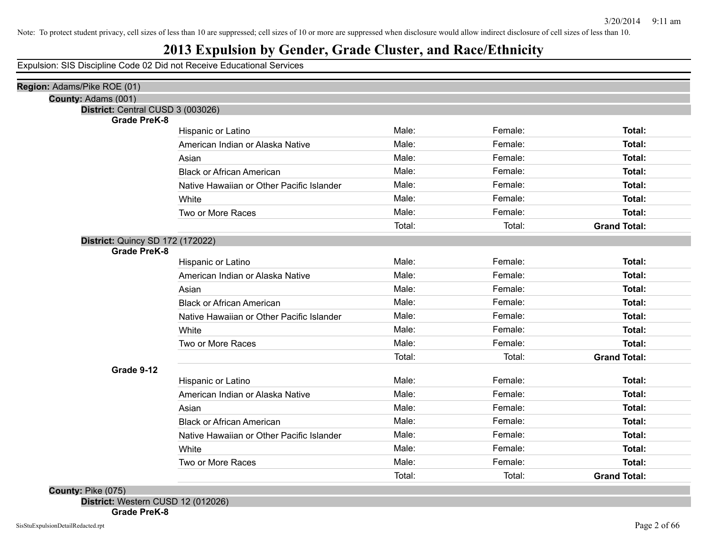#### **2013 Expulsion by Gender, Grade Cluster, and Race/Ethnicity**

Expulsion: SIS Discipline Code 02 Did not Receive Educational Services

| County: Adams (001)<br>District: Central CUSD 3 (003026)<br><b>Grade PreK-8</b> | Hispanic or Latino<br>American Indian or Alaska Native<br>Asian<br><b>Black or African American</b><br>Native Hawaiian or Other Pacific Islander<br>White<br>Two or More Races | Male:<br>Male:<br>Male:<br>Male:<br>Male:<br>Male: | Female:<br>Female:<br>Female:<br>Female:<br>Female:<br>Female: | Total:<br>Total:<br>Total:<br>Total:<br>Total: |
|---------------------------------------------------------------------------------|--------------------------------------------------------------------------------------------------------------------------------------------------------------------------------|----------------------------------------------------|----------------------------------------------------------------|------------------------------------------------|
|                                                                                 |                                                                                                                                                                                |                                                    |                                                                |                                                |
|                                                                                 |                                                                                                                                                                                |                                                    |                                                                |                                                |
|                                                                                 |                                                                                                                                                                                |                                                    |                                                                |                                                |
|                                                                                 |                                                                                                                                                                                |                                                    |                                                                |                                                |
|                                                                                 |                                                                                                                                                                                |                                                    |                                                                |                                                |
|                                                                                 |                                                                                                                                                                                |                                                    |                                                                |                                                |
|                                                                                 |                                                                                                                                                                                |                                                    |                                                                |                                                |
|                                                                                 |                                                                                                                                                                                |                                                    |                                                                | Total:                                         |
|                                                                                 |                                                                                                                                                                                |                                                    |                                                                |                                                |
|                                                                                 |                                                                                                                                                                                | Male:                                              | Female:                                                        | <b>Total:</b>                                  |
|                                                                                 |                                                                                                                                                                                | Total:                                             | Total:                                                         | <b>Grand Total:</b>                            |
| District: Quincy SD 172 (172022)                                                |                                                                                                                                                                                |                                                    |                                                                |                                                |
| <b>Grade PreK-8</b>                                                             | Hispanic or Latino                                                                                                                                                             | Male:                                              | Female:                                                        | Total:                                         |
|                                                                                 | American Indian or Alaska Native                                                                                                                                               | Male:                                              | Female:                                                        | Total:                                         |
|                                                                                 | Asian                                                                                                                                                                          | Male:                                              | Female:                                                        | Total:                                         |
|                                                                                 | <b>Black or African American</b>                                                                                                                                               | Male:                                              | Female:                                                        | Total:                                         |
|                                                                                 | Native Hawaiian or Other Pacific Islander                                                                                                                                      | Male:                                              | Female:                                                        | Total:                                         |
|                                                                                 | White                                                                                                                                                                          | Male:                                              | Female:                                                        | <b>Total:</b>                                  |
|                                                                                 | Two or More Races                                                                                                                                                              | Male:                                              | Female:                                                        | <b>Total:</b>                                  |
|                                                                                 |                                                                                                                                                                                | Total:                                             | Total:                                                         | <b>Grand Total:</b>                            |
| Grade 9-12                                                                      |                                                                                                                                                                                |                                                    |                                                                |                                                |
|                                                                                 | Hispanic or Latino                                                                                                                                                             | Male:                                              | Female:                                                        | <b>Total:</b>                                  |
|                                                                                 | American Indian or Alaska Native                                                                                                                                               | Male:                                              | Female:                                                        | Total:                                         |
|                                                                                 | Asian                                                                                                                                                                          | Male:                                              | Female:                                                        | <b>Total:</b>                                  |
|                                                                                 | <b>Black or African American</b>                                                                                                                                               | Male:                                              | Female:                                                        | Total:                                         |
|                                                                                 | Native Hawaiian or Other Pacific Islander                                                                                                                                      | Male:                                              | Female:                                                        | Total:                                         |
|                                                                                 | White                                                                                                                                                                          | Male:                                              | Female:                                                        | Total:                                         |
|                                                                                 | Two or More Races                                                                                                                                                              | Male:                                              | Female:                                                        | <b>Total:</b>                                  |
|                                                                                 |                                                                                                                                                                                | Total:                                             | Total:                                                         | <b>Grand Total:</b>                            |
| County: Pike (075)                                                              |                                                                                                                                                                                |                                                    |                                                                |                                                |

**District:** Western CUSD 12 (012026) **Grade PreK-8**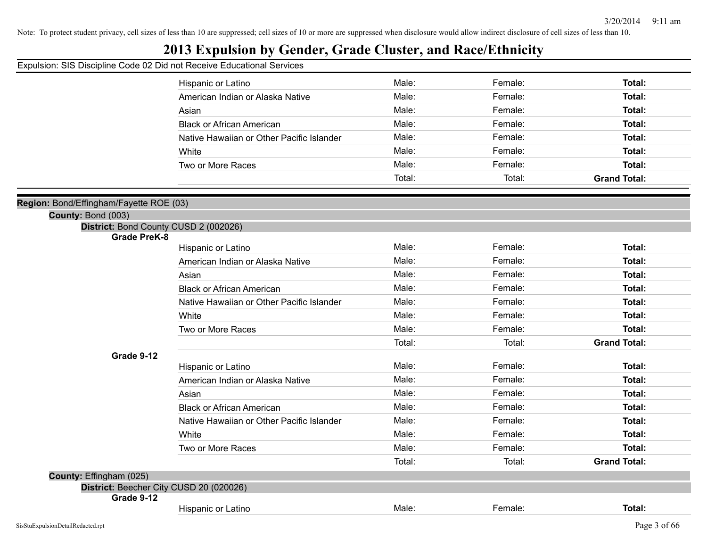## **2013 Expulsion by Gender, Grade Cluster, and Race/Ethnicity**

|                                                              | Hispanic or Latino                        | Male:  | Female: | Total:              |
|--------------------------------------------------------------|-------------------------------------------|--------|---------|---------------------|
|                                                              | American Indian or Alaska Native          | Male:  | Female: | Total:              |
|                                                              | Asian                                     | Male:  | Female: | Total:              |
|                                                              | <b>Black or African American</b>          | Male:  | Female: | Total:              |
|                                                              | Native Hawaiian or Other Pacific Islander | Male:  | Female: | Total:              |
|                                                              | White                                     | Male:  | Female: | Total:              |
|                                                              | Two or More Races                         | Male:  | Female: | Total:              |
|                                                              |                                           | Total: | Total:  | <b>Grand Total:</b> |
|                                                              |                                           |        |         |                     |
| Region: Bond/Effingham/Fayette ROE (03)                      |                                           |        |         |                     |
| County: Bond (003)                                           |                                           |        |         |                     |
| District: Bond County CUSD 2 (002026)<br><b>Grade PreK-8</b> |                                           |        |         |                     |
|                                                              | Hispanic or Latino                        | Male:  | Female: | Total:              |
|                                                              | American Indian or Alaska Native          | Male:  | Female: | Total:              |
|                                                              | Asian                                     | Male:  | Female: | Total:              |
|                                                              | <b>Black or African American</b>          | Male:  | Female: | Total:              |
|                                                              | Native Hawaiian or Other Pacific Islander | Male:  | Female: | Total:              |
|                                                              | White                                     | Male:  | Female: | Total:              |
|                                                              | Two or More Races                         | Male:  | Female: | Total:              |
|                                                              |                                           | Total: | Total:  | <b>Grand Total:</b> |
| Grade 9-12                                                   |                                           |        |         |                     |
|                                                              | Hispanic or Latino                        | Male:  | Female: | Total:              |
|                                                              | American Indian or Alaska Native          | Male:  | Female: | Total:              |
|                                                              | Asian                                     | Male:  | Female: | Total:              |
|                                                              | <b>Black or African American</b>          | Male:  | Female: | Total:              |
|                                                              | Native Hawaiian or Other Pacific Islander | Male:  | Female: | Total:              |
|                                                              | White                                     | Male:  | Female: | Total:              |
|                                                              | Two or More Races                         | Male:  | Female: | Total:              |
|                                                              |                                           | Total: | Total:  | <b>Grand Total:</b> |
| County: Effingham (025)                                      |                                           |        |         |                     |
| District: Beecher City CUSD 20 (020026)                      |                                           |        |         |                     |
| Grade 9-12                                                   |                                           | Male:  |         |                     |
|                                                              | Hispanic or Latino                        |        | Female: | Total:              |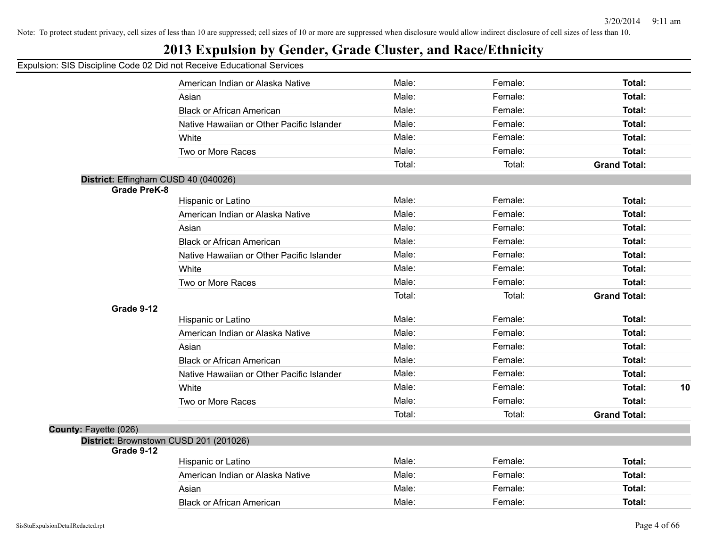## **2013 Expulsion by Gender, Grade Cluster, and Race/Ethnicity**

|                                      | American Indian or Alaska Native          | Male:  | Female: | Total:              |    |
|--------------------------------------|-------------------------------------------|--------|---------|---------------------|----|
|                                      | Asian                                     | Male:  | Female: | Total:              |    |
|                                      | <b>Black or African American</b>          | Male:  | Female: | Total:              |    |
|                                      | Native Hawaiian or Other Pacific Islander | Male:  | Female: | Total:              |    |
|                                      | White                                     | Male:  | Female: | Total:              |    |
|                                      | Two or More Races                         | Male:  | Female: | Total:              |    |
|                                      |                                           | Total: | Total:  | <b>Grand Total:</b> |    |
| District: Effingham CUSD 40 (040026) |                                           |        |         |                     |    |
| <b>Grade PreK-8</b>                  |                                           |        |         |                     |    |
|                                      | Hispanic or Latino                        | Male:  | Female: | Total:              |    |
|                                      | American Indian or Alaska Native          | Male:  | Female: | Total:              |    |
|                                      | Asian                                     | Male:  | Female: | <b>Total:</b>       |    |
|                                      | <b>Black or African American</b>          | Male:  | Female: | Total:              |    |
|                                      | Native Hawaiian or Other Pacific Islander | Male:  | Female: | Total:              |    |
|                                      | White                                     | Male:  | Female: | <b>Total:</b>       |    |
|                                      | Two or More Races                         | Male:  | Female: | Total:              |    |
|                                      |                                           | Total: | Total:  | <b>Grand Total:</b> |    |
| Grade 9-12                           |                                           |        |         |                     |    |
|                                      | Hispanic or Latino                        | Male:  | Female: | Total:              |    |
|                                      | American Indian or Alaska Native          | Male:  | Female: | Total:              |    |
|                                      | Asian                                     | Male:  | Female: | Total:              |    |
|                                      | <b>Black or African American</b>          | Male:  | Female: | Total:              |    |
|                                      | Native Hawaiian or Other Pacific Islander | Male:  | Female: | <b>Total:</b>       |    |
|                                      | White                                     | Male:  | Female: | Total:              | 10 |
|                                      | Two or More Races                         | Male:  | Female: | Total:              |    |
|                                      |                                           | Total: | Total:  | <b>Grand Total:</b> |    |
| County: Fayette (026)                |                                           |        |         |                     |    |
|                                      | District: Brownstown CUSD 201 (201026)    |        |         |                     |    |
| Grade 9-12                           |                                           |        |         |                     |    |
|                                      | Hispanic or Latino                        | Male:  | Female: | Total:              |    |
|                                      | American Indian or Alaska Native          | Male:  | Female: | Total:              |    |
|                                      | Asian                                     | Male:  | Female: | Total:              |    |
|                                      | <b>Black or African American</b>          | Male:  | Female: | Total:              |    |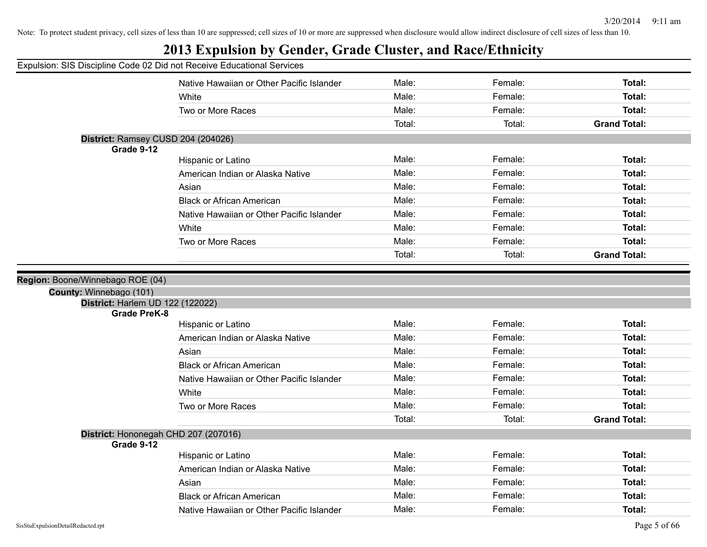| Expulsion: SIS Discipline Code 02 Did not Receive Educational Services |                                           |        |         |                     |
|------------------------------------------------------------------------|-------------------------------------------|--------|---------|---------------------|
|                                                                        | Native Hawaiian or Other Pacific Islander | Male:  | Female: | Total:              |
|                                                                        | White                                     | Male:  | Female: | Total:              |
|                                                                        | Two or More Races                         | Male:  | Female: | Total:              |
|                                                                        |                                           | Total: | Total:  | <b>Grand Total:</b> |
| District: Ramsey CUSD 204 (204026)                                     |                                           |        |         |                     |
| Grade 9-12                                                             |                                           |        |         |                     |
|                                                                        | Hispanic or Latino                        | Male:  | Female: | Total:              |
|                                                                        | American Indian or Alaska Native          | Male:  | Female: | Total:              |
|                                                                        | Asian                                     | Male:  | Female: | Total:              |
|                                                                        | <b>Black or African American</b>          | Male:  | Female: | Total:              |
|                                                                        | Native Hawaiian or Other Pacific Islander | Male:  | Female: | Total:              |
|                                                                        | White                                     | Male:  | Female: | Total:              |
|                                                                        | Two or More Races                         | Male:  | Female: | Total:              |
|                                                                        |                                           | Total: | Total:  | <b>Grand Total:</b> |
| District: Harlem UD 122 (122022)                                       |                                           |        |         |                     |
| <b>Grade PreK-8</b>                                                    |                                           | Male:  | Female: | Total:              |
|                                                                        | Hispanic or Latino                        | Male:  | Female: |                     |
|                                                                        | American Indian or Alaska Native          |        |         | Total:              |
|                                                                        | Asian                                     | Male:  | Female: | Total:              |
|                                                                        | <b>Black or African American</b>          | Male:  | Female: | Total:              |
|                                                                        | Native Hawaiian or Other Pacific Islander | Male:  | Female: | Total:              |
|                                                                        | White                                     | Male:  | Female: | Total:              |
|                                                                        | Two or More Races                         | Male:  | Female: | Total:              |
|                                                                        |                                           | Total: | Total:  | <b>Grand Total:</b> |
| District: Hononegah CHD 207 (207016)<br>Grade 9-12                     |                                           |        |         |                     |
|                                                                        | Hispanic or Latino                        | Male:  | Female: | Total:              |
|                                                                        | American Indian or Alaska Native          | Male:  | Female: | Total:              |
|                                                                        | Asian                                     | Male:  | Female: | Total:              |
|                                                                        | <b>Black or African American</b>          | Male:  | Female: | Total:              |
|                                                                        | Native Hawaiian or Other Pacific Islander | Male:  | Female: | Total:              |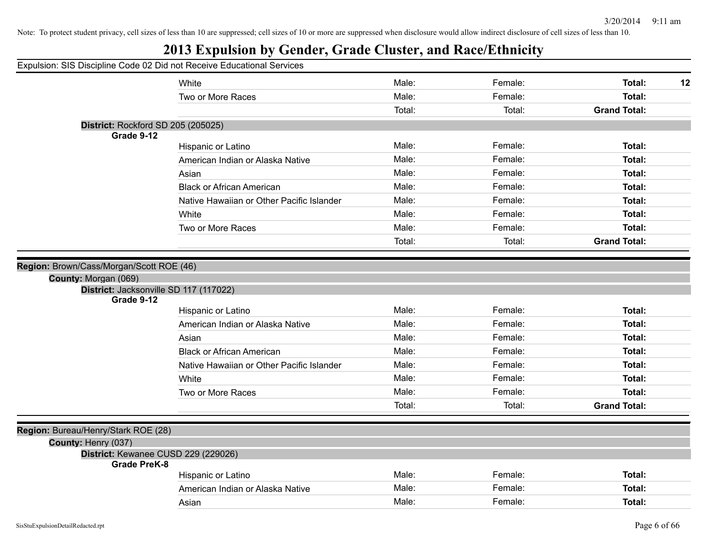| Expulsion: SIS Discipline Code 02 Did not Receive Educational Services |                                           |        |         |                     |
|------------------------------------------------------------------------|-------------------------------------------|--------|---------|---------------------|
|                                                                        | White                                     | Male:  | Female: | Total:<br>12        |
|                                                                        | Two or More Races                         | Male:  | Female: | Total:              |
|                                                                        |                                           | Total: | Total:  | <b>Grand Total:</b> |
| District: Rockford SD 205 (205025)                                     |                                           |        |         |                     |
| Grade 9-12                                                             |                                           |        |         |                     |
|                                                                        | Hispanic or Latino                        | Male:  | Female: | Total:              |
|                                                                        | American Indian or Alaska Native          | Male:  | Female: | Total:              |
|                                                                        | Asian                                     | Male:  | Female: | Total:              |
|                                                                        | <b>Black or African American</b>          | Male:  | Female: | Total:              |
|                                                                        | Native Hawaiian or Other Pacific Islander | Male:  | Female: | Total:              |
|                                                                        | White                                     | Male:  | Female: | Total:              |
|                                                                        | Two or More Races                         | Male:  | Female: | Total:              |
|                                                                        |                                           | Total: | Total:  | <b>Grand Total:</b> |
|                                                                        |                                           |        |         |                     |
| Region: Brown/Cass/Morgan/Scott ROE (46)                               |                                           |        |         |                     |
| County: Morgan (069)<br>District: Jacksonville SD 117 (117022)         |                                           |        |         |                     |
| Grade 9-12                                                             |                                           |        |         |                     |
|                                                                        | Hispanic or Latino                        | Male:  | Female: | Total:              |
|                                                                        | American Indian or Alaska Native          | Male:  | Female: | Total:              |
|                                                                        | Asian                                     | Male:  | Female: | Total:              |
|                                                                        | <b>Black or African American</b>          | Male:  | Female: | Total:              |
|                                                                        | Native Hawaiian or Other Pacific Islander | Male:  | Female: | Total:              |
|                                                                        | White                                     | Male:  | Female: | Total:              |
|                                                                        | Two or More Races                         | Male:  | Female: | Total:              |
|                                                                        |                                           | Total: | Total:  | <b>Grand Total:</b> |
|                                                                        |                                           |        |         |                     |
| Region: Bureau/Henry/Stark ROE (28)                                    |                                           |        |         |                     |
| County: Henry (037)                                                    |                                           |        |         |                     |
| District: Kewanee CUSD 229 (229026)<br><b>Grade PreK-8</b>             |                                           |        |         |                     |
|                                                                        | Hispanic or Latino                        | Male:  | Female: | Total:              |
|                                                                        | American Indian or Alaska Native          | Male:  | Female: | Total:              |
|                                                                        | Asian                                     | Male:  | Female: | Total:              |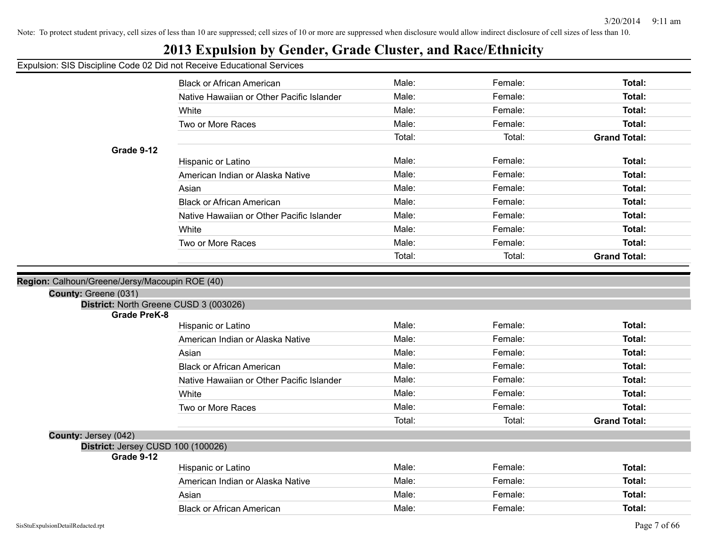## **2013 Expulsion by Gender, Grade Cluster, and Race/Ethnicity**

#### Expulsion: SIS Discipline Code 02 Did not Receive Educational Services

|                                                               | on. Old Discipling Oodd oz Did not Receive Educational Ochrices |        |         |                     |
|---------------------------------------------------------------|-----------------------------------------------------------------|--------|---------|---------------------|
|                                                               | <b>Black or African American</b>                                | Male:  | Female: | Total:              |
|                                                               | Native Hawaiian or Other Pacific Islander                       | Male:  | Female: | Total:              |
|                                                               | White                                                           | Male:  | Female: | Total:              |
|                                                               | Two or More Races                                               | Male:  | Female: | Total:              |
|                                                               |                                                                 | Total: | Total:  | <b>Grand Total:</b> |
| Grade 9-12                                                    |                                                                 |        |         |                     |
|                                                               | Hispanic or Latino                                              | Male:  | Female: | Total:              |
|                                                               | American Indian or Alaska Native                                | Male:  | Female: | Total:              |
|                                                               | Asian                                                           | Male:  | Female: | Total:              |
|                                                               | <b>Black or African American</b>                                | Male:  | Female: | Total:              |
|                                                               | Native Hawaiian or Other Pacific Islander                       | Male:  | Female: | Total:              |
|                                                               | White                                                           | Male:  | Female: | Total:              |
|                                                               | Two or More Races                                               | Male:  | Female: | Total:              |
|                                                               |                                                                 | Total: | Total:  | <b>Grand Total:</b> |
|                                                               |                                                                 |        |         |                     |
| : Calhoun/Greene/Jersy/Macoupin ROE (40)                      |                                                                 |        |         |                     |
| County: Greene (031)                                          |                                                                 |        |         |                     |
| District: North Greene CUSD 3 (003026)<br><b>Grade PreK-8</b> |                                                                 |        |         |                     |
|                                                               | Hispanic or Latino                                              | Male:  | Female: | Total:              |
|                                                               | American Indian or Alaska Native                                | Male:  | Female: | Total:              |
|                                                               | Asian                                                           | Male:  | Female: | Total:              |
|                                                               | <b>Black or African American</b>                                | Male:  | Female: | Total:              |
|                                                               | Native Hawaiian or Other Pacific Islander                       | Male:  | Female: | Total:              |
|                                                               | White                                                           | Male:  | Female: | Total:              |
|                                                               | Two or More Races                                               | Male:  | Female: | Total:              |
|                                                               |                                                                 | Total: | Total:  | <b>Grand Total:</b> |
| County: Jersey (042)                                          |                                                                 |        |         |                     |
| District: Jersey CUSD 100 (100026)                            |                                                                 |        |         |                     |
| Grade 9-12                                                    |                                                                 |        |         |                     |
|                                                               | Hispanic or Latino                                              | Male:  | Female: | Total:              |
|                                                               | American Indian or Alaska Native                                | Male:  | Female: | Total:              |
|                                                               | Asian                                                           | Male:  | Female: | Total:              |
|                                                               | <b>Black or African American</b>                                | Male:  | Female: | Total:              |

**Region: Calhoun**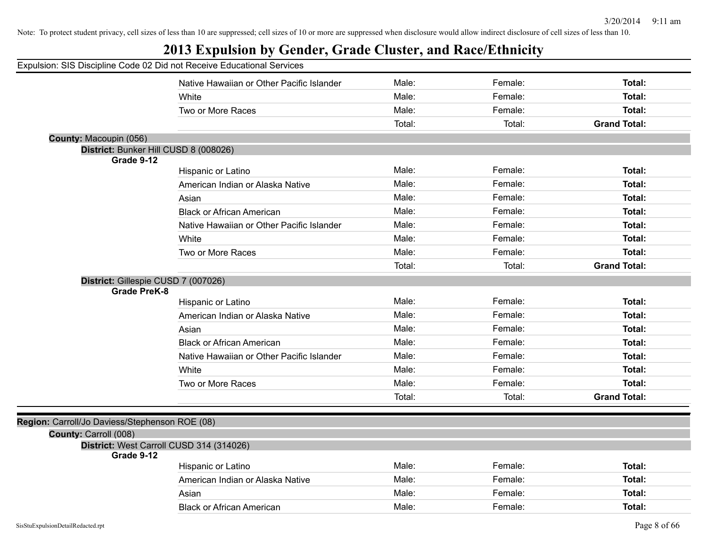|                                                | Expulsion: SIS Discipline Code 02 Did not Receive Educational Services |        |         |                     |
|------------------------------------------------|------------------------------------------------------------------------|--------|---------|---------------------|
|                                                | Native Hawaiian or Other Pacific Islander                              | Male:  | Female: | <b>Total:</b>       |
|                                                | White                                                                  | Male:  | Female: | <b>Total:</b>       |
|                                                | Two or More Races                                                      | Male:  | Female: | Total:              |
|                                                |                                                                        | Total: | Total:  | <b>Grand Total:</b> |
| County: Macoupin (056)                         |                                                                        |        |         |                     |
|                                                | District: Bunker Hill CUSD 8 (008026)                                  |        |         |                     |
| Grade 9-12                                     | Hispanic or Latino                                                     | Male:  | Female: | <b>Total:</b>       |
|                                                | American Indian or Alaska Native                                       | Male:  | Female: | Total:              |
|                                                | Asian                                                                  | Male:  | Female: | Total:              |
|                                                | <b>Black or African American</b>                                       | Male:  | Female: | Total:              |
|                                                | Native Hawaiian or Other Pacific Islander                              | Male:  | Female: | Total:              |
|                                                | White                                                                  | Male:  | Female: | Total:              |
|                                                | Two or More Races                                                      | Male:  | Female: | Total:              |
|                                                |                                                                        | Total: | Total:  | <b>Grand Total:</b> |
| District: Gillespie CUSD 7 (007026)            |                                                                        |        |         |                     |
| <b>Grade PreK-8</b>                            |                                                                        |        |         |                     |
|                                                | Hispanic or Latino                                                     | Male:  | Female: | <b>Total:</b>       |
|                                                | American Indian or Alaska Native                                       | Male:  | Female: | <b>Total:</b>       |
|                                                | Asian                                                                  | Male:  | Female: | <b>Total:</b>       |
|                                                | <b>Black or African American</b>                                       | Male:  | Female: | Total:              |
|                                                | Native Hawaiian or Other Pacific Islander                              | Male:  | Female: | Total:              |
|                                                | White                                                                  | Male:  | Female: | Total:              |
|                                                | Two or More Races                                                      | Male:  | Female: | Total:              |
|                                                |                                                                        | Total: | Total:  | <b>Grand Total:</b> |
|                                                |                                                                        |        |         |                     |
| Region: Carroll/Jo Daviess/Stephenson ROE (08) |                                                                        |        |         |                     |
| County: Carroll (008)                          |                                                                        |        |         |                     |
| Grade 9-12                                     | District: West Carroll CUSD 314 (314026)                               |        |         |                     |
|                                                | Hispanic or Latino                                                     | Male:  | Female: | Total:              |
|                                                | American Indian or Alaska Native                                       | Male:  | Female: | <b>Total:</b>       |
|                                                | Asian                                                                  | Male:  | Female: | <b>Total:</b>       |
|                                                | <b>Black or African American</b>                                       | Male:  | Female: | Total:              |
|                                                |                                                                        |        |         |                     |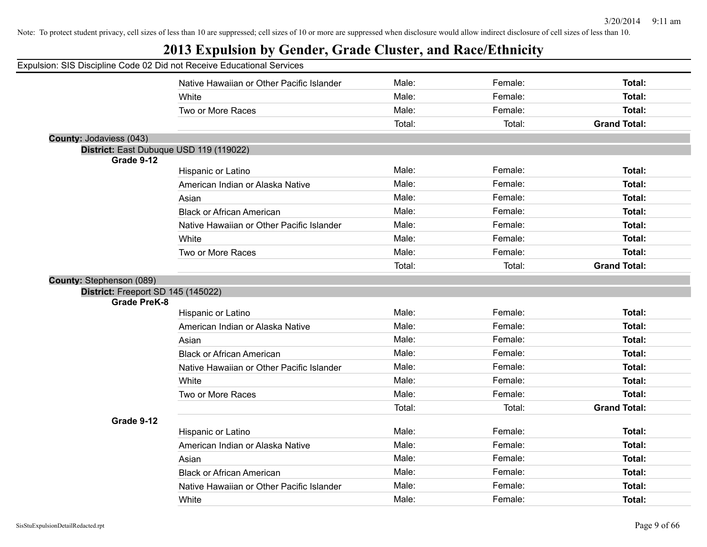|                                    | Expulsion: SIS Discipline Code 02 Did not Receive Educational Services |        |         |                     |
|------------------------------------|------------------------------------------------------------------------|--------|---------|---------------------|
|                                    | Native Hawaiian or Other Pacific Islander                              | Male:  | Female: | Total:              |
|                                    | White                                                                  | Male:  | Female: | Total:              |
|                                    | Two or More Races                                                      | Male:  | Female: | <b>Total:</b>       |
|                                    |                                                                        | Total: | Total:  | <b>Grand Total:</b> |
| County: Jodaviess (043)            |                                                                        |        |         |                     |
|                                    | District: East Dubuque USD 119 (119022)                                |        |         |                     |
| Grade 9-12                         | Hispanic or Latino                                                     | Male:  | Female: | Total:              |
|                                    |                                                                        | Male:  | Female: | Total:              |
|                                    | American Indian or Alaska Native                                       | Male:  | Female: | <b>Total:</b>       |
|                                    | Asian                                                                  |        |         |                     |
|                                    | <b>Black or African American</b>                                       | Male:  | Female: | <b>Total:</b>       |
|                                    | Native Hawaiian or Other Pacific Islander                              | Male:  | Female: | Total:              |
|                                    | White                                                                  | Male:  | Female: | Total:              |
|                                    | Two or More Races                                                      | Male:  | Female: | <b>Total:</b>       |
|                                    |                                                                        | Total: | Total:  | <b>Grand Total:</b> |
| <b>County: Stephenson (089)</b>    |                                                                        |        |         |                     |
| District: Freeport SD 145 (145022) |                                                                        |        |         |                     |
| <b>Grade PreK-8</b>                | Hispanic or Latino                                                     | Male:  | Female: | Total:              |
|                                    | American Indian or Alaska Native                                       | Male:  | Female: | <b>Total:</b>       |
|                                    |                                                                        | Male:  | Female: | <b>Total:</b>       |
|                                    | Asian                                                                  |        |         |                     |
|                                    | <b>Black or African American</b>                                       | Male:  | Female: | <b>Total:</b>       |
|                                    | Native Hawaiian or Other Pacific Islander                              | Male:  | Female: | <b>Total:</b>       |
|                                    | White                                                                  | Male:  | Female: | Total:              |
|                                    | Two or More Races                                                      | Male:  | Female: | Total:              |
|                                    |                                                                        | Total: | Total:  | <b>Grand Total:</b> |
| Grade 9-12                         |                                                                        |        |         |                     |
|                                    | Hispanic or Latino                                                     | Male:  | Female: | Total:              |
|                                    | American Indian or Alaska Native                                       | Male:  | Female: | <b>Total:</b>       |
|                                    | Asian                                                                  | Male:  | Female: | <b>Total:</b>       |
|                                    | <b>Black or African American</b>                                       | Male:  | Female: | Total:              |
|                                    | Native Hawaiian or Other Pacific Islander                              | Male:  | Female: | Total:              |
|                                    | White                                                                  | Male:  | Female: | Total:              |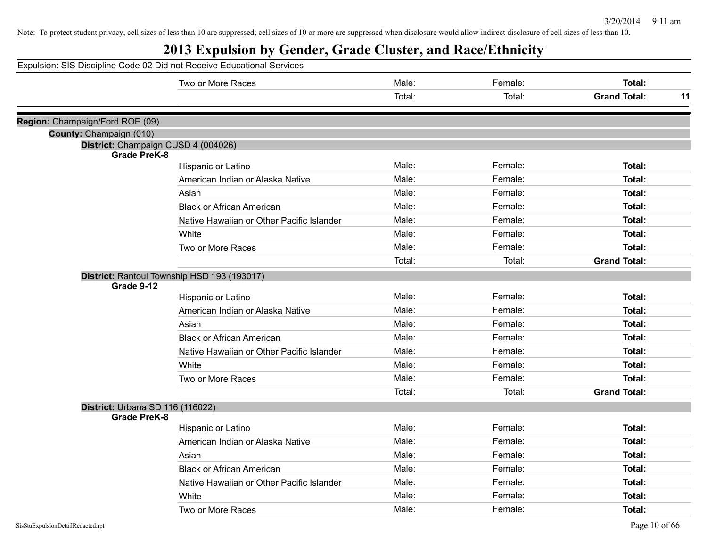|                                  | Expulsion: SIS Discipline Code 02 Did not Receive Educational Services |        |         |                     |    |
|----------------------------------|------------------------------------------------------------------------|--------|---------|---------------------|----|
|                                  | Two or More Races                                                      | Male:  | Female: | Total:              |    |
|                                  |                                                                        | Total: | Total:  | <b>Grand Total:</b> | 11 |
| Region: Champaign/Ford ROE (09)  |                                                                        |        |         |                     |    |
| County: Champaign (010)          |                                                                        |        |         |                     |    |
| <b>Grade PreK-8</b>              | District: Champaign CUSD 4 (004026)                                    |        |         |                     |    |
|                                  | Hispanic or Latino                                                     | Male:  | Female: | Total:              |    |
|                                  | American Indian or Alaska Native                                       | Male:  | Female: | Total:              |    |
|                                  | Asian                                                                  | Male:  | Female: | Total:              |    |
|                                  | <b>Black or African American</b>                                       | Male:  | Female: | Total:              |    |
|                                  | Native Hawaiian or Other Pacific Islander                              | Male:  | Female: | Total:              |    |
|                                  | White                                                                  | Male:  | Female: | Total:              |    |
|                                  | Two or More Races                                                      | Male:  | Female: | Total:              |    |
|                                  |                                                                        | Total: | Total:  | <b>Grand Total:</b> |    |
| Grade 9-12                       | District: Rantoul Township HSD 193 (193017)                            |        |         |                     |    |
|                                  | Hispanic or Latino                                                     | Male:  | Female: | Total:              |    |
|                                  | American Indian or Alaska Native                                       | Male:  | Female: | Total:              |    |
|                                  | Asian                                                                  | Male:  | Female: | Total:              |    |
|                                  | <b>Black or African American</b>                                       | Male:  | Female: | Total:              |    |
|                                  | Native Hawaiian or Other Pacific Islander                              | Male:  | Female: | Total:              |    |
|                                  | White                                                                  | Male:  | Female: | Total:              |    |
|                                  | Two or More Races                                                      | Male:  | Female: | Total:              |    |
|                                  |                                                                        | Total: | Total:  | <b>Grand Total:</b> |    |
| District: Urbana SD 116 (116022) |                                                                        |        |         |                     |    |
| <b>Grade PreK-8</b>              |                                                                        |        |         |                     |    |
|                                  | Hispanic or Latino                                                     | Male:  | Female: | Total:              |    |
|                                  | American Indian or Alaska Native                                       | Male:  | Female: | Total:              |    |
|                                  | Asian                                                                  | Male:  | Female: | Total:              |    |
|                                  | <b>Black or African American</b>                                       | Male:  | Female: | Total:              |    |
|                                  | Native Hawaiian or Other Pacific Islander                              | Male:  | Female: | Total:              |    |
|                                  | White                                                                  | Male:  | Female: | Total:              |    |
|                                  | Two or More Races                                                      | Male:  | Female: | Total:              |    |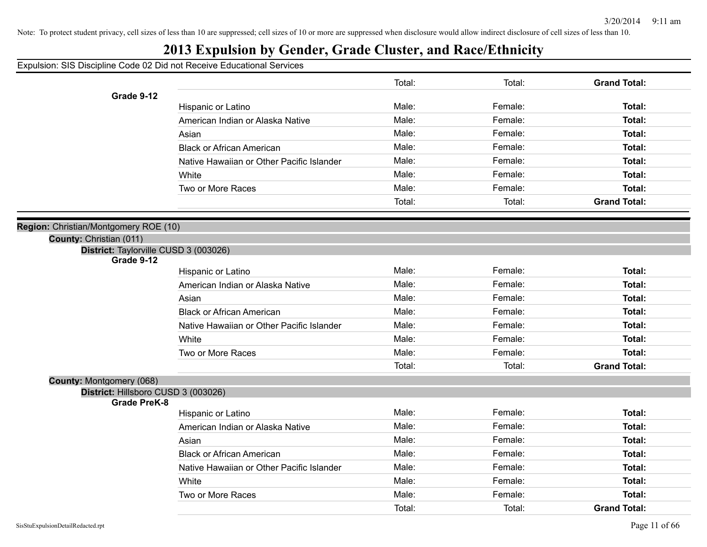## **2013 Expulsion by Gender, Grade Cluster, and Race/Ethnicity**

|                                                            |                                           | Total: | Total:  | <b>Grand Total:</b> |
|------------------------------------------------------------|-------------------------------------------|--------|---------|---------------------|
| Grade 9-12                                                 |                                           |        |         |                     |
|                                                            | Hispanic or Latino                        | Male:  | Female: | Total:              |
|                                                            | American Indian or Alaska Native          | Male:  | Female: | Total:              |
|                                                            | Asian                                     | Male:  | Female: | Total:              |
|                                                            | <b>Black or African American</b>          | Male:  | Female: | Total:              |
|                                                            | Native Hawaiian or Other Pacific Islander | Male:  | Female: | Total:              |
|                                                            | White                                     | Male:  | Female: | Total:              |
|                                                            | Two or More Races                         | Male:  | Female: | Total:              |
|                                                            |                                           | Total: | Total:  | <b>Grand Total:</b> |
| Region: Christian/Montgomery ROE (10)                      |                                           |        |         |                     |
| County: Christian (011)                                    |                                           |        |         |                     |
| District: Taylorville CUSD 3 (003026)                      |                                           |        |         |                     |
| Grade 9-12                                                 |                                           |        |         |                     |
|                                                            | Hispanic or Latino                        | Male:  | Female: | Total:              |
|                                                            | American Indian or Alaska Native          | Male:  | Female: | Total:              |
|                                                            | Asian                                     | Male:  | Female: | Total:              |
|                                                            | <b>Black or African American</b>          | Male:  | Female: | Total:              |
|                                                            | Native Hawaiian or Other Pacific Islander | Male:  | Female: | Total:              |
|                                                            | White                                     | Male:  | Female: | Total:              |
|                                                            | Two or More Races                         | Male:  | Female: | Total:              |
|                                                            |                                           | Total: | Total:  | <b>Grand Total:</b> |
| County: Montgomery (068)                                   |                                           |        |         |                     |
| District: Hillsboro CUSD 3 (003026)<br><b>Grade PreK-8</b> |                                           |        |         |                     |
|                                                            | Hispanic or Latino                        | Male:  | Female: | Total:              |
|                                                            | American Indian or Alaska Native          | Male:  | Female: | Total:              |
|                                                            | Asian                                     | Male:  | Female: | Total:              |
|                                                            | <b>Black or African American</b>          | Male:  | Female: | Total:              |
|                                                            | Native Hawaiian or Other Pacific Islander | Male:  | Female: | Total:              |
|                                                            | White                                     | Male:  | Female: | Total:              |
|                                                            | Two or More Races                         | Male:  | Female: | <b>Total:</b>       |
|                                                            |                                           | Total: | Total:  | <b>Grand Total:</b> |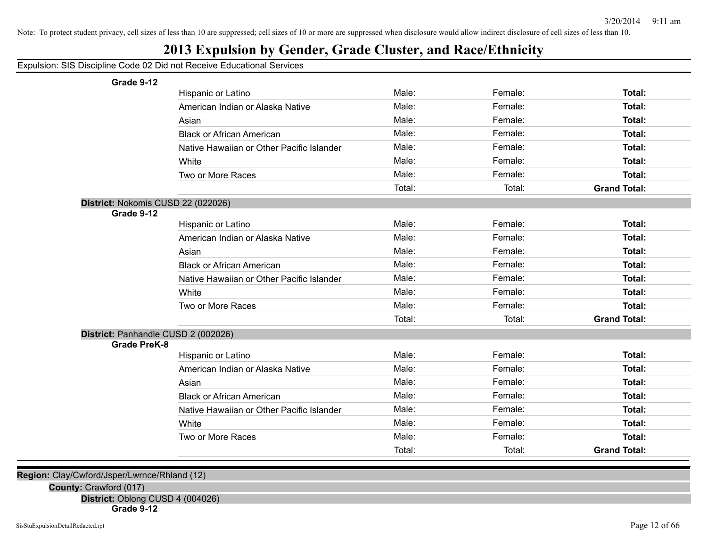## **2013 Expulsion by Gender, Grade Cluster, and Race/Ethnicity**

Expulsion: SIS Discipline Code 02 Did not Receive Educational Services

**Grade 9-12**

| Grade 9-12                          |                                           |        |         |                     |
|-------------------------------------|-------------------------------------------|--------|---------|---------------------|
|                                     | Hispanic or Latino                        | Male:  | Female: | Total:              |
|                                     | American Indian or Alaska Native          | Male:  | Female: | Total:              |
|                                     | Asian                                     | Male:  | Female: | Total:              |
|                                     | <b>Black or African American</b>          | Male:  | Female: | Total:              |
|                                     | Native Hawaiian or Other Pacific Islander | Male:  | Female: | Total:              |
|                                     | White                                     | Male:  | Female: | Total:              |
|                                     | Two or More Races                         | Male:  | Female: | Total:              |
|                                     |                                           | Total: | Total:  | <b>Grand Total:</b> |
| District: Nokomis CUSD 22 (022026)  |                                           |        |         |                     |
| Grade 9-12                          |                                           |        |         |                     |
|                                     | Hispanic or Latino                        | Male:  | Female: | Total:              |
|                                     | American Indian or Alaska Native          | Male:  | Female: | Total:              |
|                                     | Asian                                     | Male:  | Female: | Total:              |
|                                     | <b>Black or African American</b>          | Male:  | Female: | Total:              |
|                                     | Native Hawaiian or Other Pacific Islander | Male:  | Female: | Total:              |
|                                     | White                                     | Male:  | Female: | Total:              |
|                                     | Two or More Races                         | Male:  | Female: | Total:              |
|                                     |                                           | Total: | Total:  | <b>Grand Total:</b> |
| District: Panhandle CUSD 2 (002026) |                                           |        |         |                     |
| <b>Grade PreK-8</b>                 |                                           |        |         |                     |
|                                     | Hispanic or Latino                        | Male:  | Female: | Total:              |
|                                     | American Indian or Alaska Native          | Male:  | Female: | Total:              |
|                                     | Asian                                     | Male:  | Female: | Total:              |
|                                     | <b>Black or African American</b>          | Male:  | Female: | Total:              |
|                                     | Native Hawaiian or Other Pacific Islander | Male:  | Female: | <b>Total:</b>       |
|                                     | White                                     | Male:  | Female: | Total:              |
|                                     | Two or More Races                         | Male:  | Female: | <b>Total:</b>       |
|                                     |                                           | Total: | Total:  | <b>Grand Total:</b> |
|                                     |                                           |        |         |                     |

**Region:** Clay/Cwford/Jsper/Lwrnce/Rhland (12)

**County:** Crawford (017)

**District:** Oblong CUSD 4 (004026)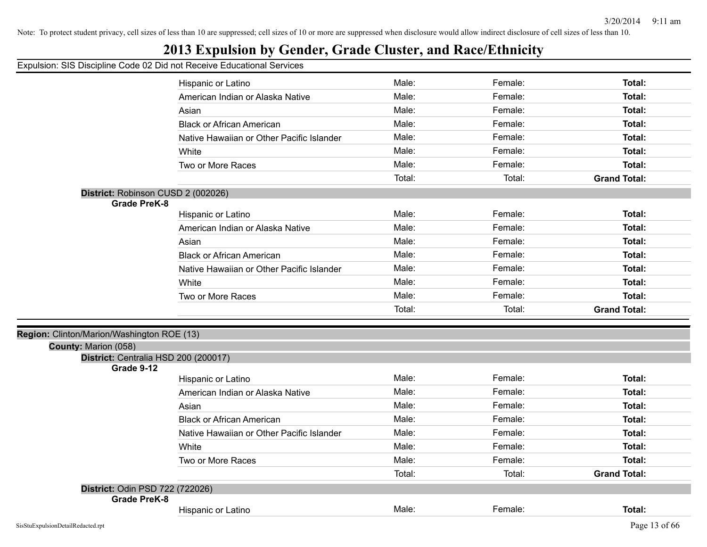## **2013 Expulsion by Gender, Grade Cluster, and Race/Ethnicity**

|                                                    | Hispanic or Latino                        | Male:  | Female: | Total:              |
|----------------------------------------------------|-------------------------------------------|--------|---------|---------------------|
|                                                    | American Indian or Alaska Native          | Male:  | Female: | Total:              |
|                                                    | Asian                                     | Male:  | Female: | Total:              |
|                                                    | <b>Black or African American</b>          | Male:  | Female: | Total:              |
|                                                    | Native Hawaiian or Other Pacific Islander | Male:  | Female: | Total:              |
|                                                    | White                                     | Male:  | Female: | Total:              |
|                                                    | Two or More Races                         | Male:  | Female: | Total:              |
|                                                    |                                           | Total: | Total:  | <b>Grand Total:</b> |
| District: Robinson CUSD 2 (002026)                 |                                           |        |         |                     |
| <b>Grade PreK-8</b>                                |                                           |        |         |                     |
|                                                    | Hispanic or Latino                        | Male:  | Female: | Total:              |
|                                                    | American Indian or Alaska Native          | Male:  | Female: | Total:              |
|                                                    | Asian                                     | Male:  | Female: | Total:              |
|                                                    | <b>Black or African American</b>          | Male:  | Female: | Total:              |
|                                                    | Native Hawaiian or Other Pacific Islander | Male:  | Female: | Total:              |
|                                                    | White                                     | Male:  | Female: | Total:              |
|                                                    | Two or More Races                         | Male:  | Female: | Total:              |
|                                                    |                                           | Total: | Total:  | <b>Grand Total:</b> |
|                                                    |                                           |        |         |                     |
| Region: Clinton/Marion/Washington ROE (13)         |                                           |        |         |                     |
| County: Marion (058)                               |                                           |        |         |                     |
| District: Centralia HSD 200 (200017)<br>Grade 9-12 |                                           |        |         |                     |
|                                                    | Hispanic or Latino                        | Male:  | Female: | Total:              |
|                                                    | American Indian or Alaska Native          | Male:  | Female: | Total:              |
|                                                    | Asian                                     | Male:  | Female: | Total:              |
|                                                    | <b>Black or African American</b>          | Male:  | Female: | Total:              |
|                                                    | Native Hawaiian or Other Pacific Islander | Male:  | Female: | Total:              |
|                                                    | White                                     | Male:  | Female: | Total:              |
|                                                    | Two or More Races                         | Male:  | Female: | Total:              |
|                                                    |                                           | Total: | Total:  | <b>Grand Total:</b> |
| District: Odin PSD 722 (722026)                    |                                           |        |         |                     |
| <b>Grade PreK-8</b>                                |                                           |        |         |                     |
|                                                    | Hispanic or Latino                        | Male:  | Female: | Total:              |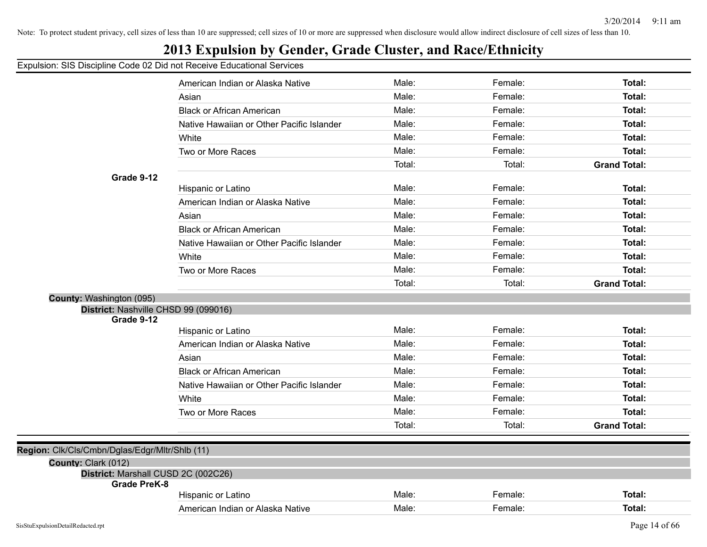## **2013 Expulsion by Gender, Grade Cluster, and Race/Ethnicity**

|                                                            | American Indian or Alaska Native          | Male:  | Female: | Total:              |
|------------------------------------------------------------|-------------------------------------------|--------|---------|---------------------|
|                                                            | Asian                                     | Male:  | Female: | Total:              |
|                                                            | <b>Black or African American</b>          | Male:  | Female: | Total:              |
|                                                            | Native Hawaiian or Other Pacific Islander | Male:  | Female: | Total:              |
|                                                            | White                                     | Male:  | Female: | Total:              |
|                                                            | Two or More Races                         | Male:  | Female: | Total:              |
|                                                            |                                           | Total: | Total:  | <b>Grand Total:</b> |
| Grade 9-12                                                 |                                           |        |         |                     |
|                                                            | Hispanic or Latino                        | Male:  | Female: | Total:              |
|                                                            | American Indian or Alaska Native          | Male:  | Female: | Total:              |
|                                                            | Asian                                     | Male:  | Female: | Total:              |
|                                                            | <b>Black or African American</b>          | Male:  | Female: | Total:              |
|                                                            | Native Hawaiian or Other Pacific Islander | Male:  | Female: | Total:              |
|                                                            | White                                     | Male:  | Female: | Total:              |
|                                                            | Two or More Races                         | Male:  | Female: | Total:              |
|                                                            |                                           | Total: | Total:  | <b>Grand Total:</b> |
| County: Washington (095)                                   |                                           |        |         |                     |
| District: Nashville CHSD 99 (099016)                       |                                           |        |         |                     |
| Grade 9-12                                                 |                                           | Male:  | Female: | Total:              |
|                                                            | Hispanic or Latino                        |        |         |                     |
|                                                            | American Indian or Alaska Native          | Male:  | Female: | Total:              |
|                                                            | Asian                                     | Male:  | Female: | Total:              |
|                                                            | <b>Black or African American</b>          | Male:  | Female: | Total:              |
|                                                            | Native Hawaiian or Other Pacific Islander | Male:  | Female: | Total:              |
|                                                            | White                                     | Male:  | Female: | Total:              |
|                                                            | Two or More Races                         | Male:  | Female: | Total:              |
|                                                            |                                           | Total: | Total:  | <b>Grand Total:</b> |
|                                                            |                                           |        |         |                     |
| Region: Clk/Cls/Cmbn/Dglas/Edgr/Mltr/Shlb (11)             |                                           |        |         |                     |
| County: Clark (012)<br>District: Marshall CUSD 2C (002C26) |                                           |        |         |                     |
| <b>Grade PreK-8</b>                                        |                                           |        |         |                     |
|                                                            | Hispanic or Latino                        | Male:  | Female: | Total:              |
|                                                            | American Indian or Alaska Native          | Male:  | Female: | Total:              |
|                                                            |                                           |        |         |                     |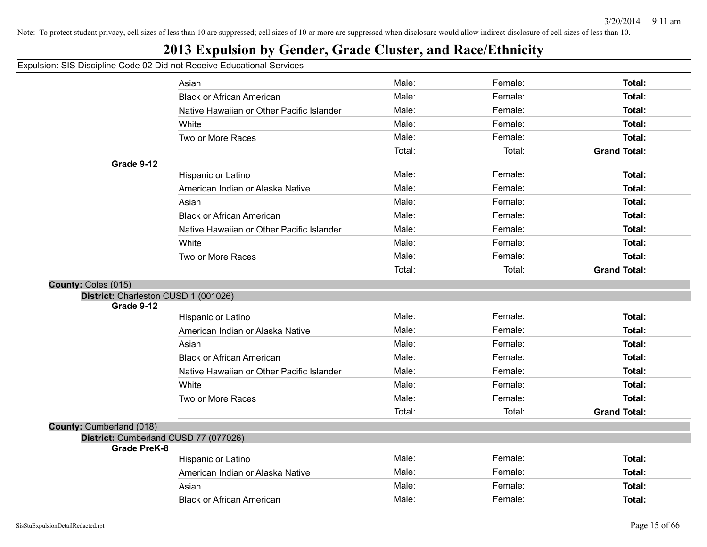## **2013 Expulsion by Gender, Grade Cluster, and Race/Ethnicity**

|                                       | Asian                                     | Male:  | Female: | Total:              |
|---------------------------------------|-------------------------------------------|--------|---------|---------------------|
|                                       | <b>Black or African American</b>          | Male:  | Female: | Total:              |
|                                       | Native Hawaiian or Other Pacific Islander | Male:  | Female: | Total:              |
|                                       | White                                     | Male:  | Female: | Total:              |
|                                       | Two or More Races                         | Male:  | Female: | <b>Total:</b>       |
|                                       |                                           | Total: | Total:  | <b>Grand Total:</b> |
| Grade 9-12                            |                                           |        |         |                     |
|                                       | Hispanic or Latino                        | Male:  | Female: | Total:              |
|                                       | American Indian or Alaska Native          | Male:  | Female: | Total:              |
|                                       | Asian                                     | Male:  | Female: | Total:              |
|                                       | <b>Black or African American</b>          | Male:  | Female: | Total:              |
|                                       | Native Hawaiian or Other Pacific Islander | Male:  | Female: | Total:              |
|                                       | White                                     | Male:  | Female: | Total:              |
|                                       | Two or More Races                         | Male:  | Female: | Total:              |
|                                       |                                           | Total: | Total:  | <b>Grand Total:</b> |
| County: Coles (015)                   |                                           |        |         |                     |
| District: Charleston CUSD 1 (001026)  |                                           |        |         |                     |
| Grade 9-12                            |                                           | Male:  |         |                     |
|                                       | Hispanic or Latino                        |        | Female: | Total:              |
|                                       | American Indian or Alaska Native          | Male:  | Female: | <b>Total:</b>       |
|                                       | Asian                                     | Male:  | Female: | <b>Total:</b>       |
|                                       | <b>Black or African American</b>          | Male:  | Female: | Total:              |
|                                       | Native Hawaiian or Other Pacific Islander | Male:  | Female: | <b>Total:</b>       |
|                                       | White                                     | Male:  | Female: | Total:              |
|                                       | Two or More Races                         | Male:  | Female: | Total:              |
|                                       |                                           | Total: | Total:  | <b>Grand Total:</b> |
| County: Cumberland (018)              |                                           |        |         |                     |
| District: Cumberland CUSD 77 (077026) |                                           |        |         |                     |
| <b>Grade PreK-8</b>                   | Hispanic or Latino                        | Male:  | Female: | <b>Total:</b>       |
|                                       | American Indian or Alaska Native          | Male:  | Female: | <b>Total:</b>       |
|                                       |                                           | Male:  | Female: | Total:              |
|                                       | Asian                                     |        | Female: |                     |
|                                       | <b>Black or African American</b>          | Male:  |         | Total:              |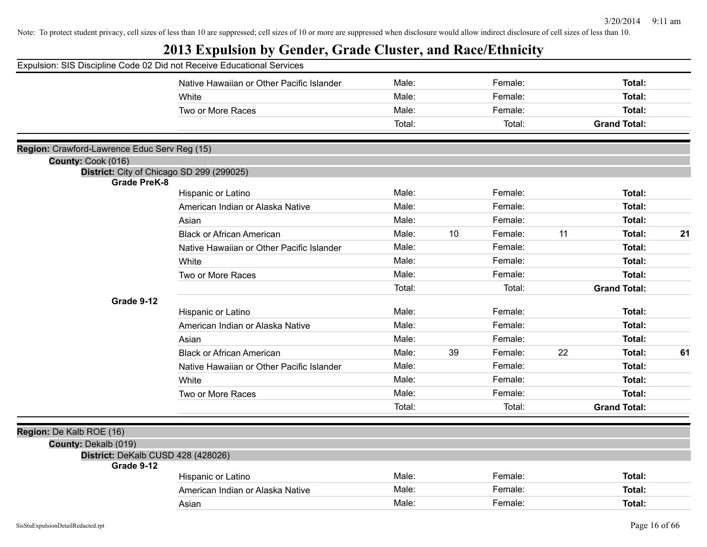| Expulsion: SIS Discipline Code 02 Did not Receive Educational Services |                                           |        |    |         |    |                     |    |
|------------------------------------------------------------------------|-------------------------------------------|--------|----|---------|----|---------------------|----|
|                                                                        | Native Hawaiian or Other Pacific Islander | Male:  |    | Female: |    | Total:              |    |
|                                                                        | White                                     | Male:  |    | Female: |    | Total:              |    |
|                                                                        | Two or More Races                         | Male:  |    | Female: |    | Total:              |    |
|                                                                        |                                           | Total: |    | Total:  |    | <b>Grand Total:</b> |    |
| Region: Crawford-Lawrence Educ Serv Reg (15)                           |                                           |        |    |         |    |                     |    |
| County: Cook (016)                                                     |                                           |        |    |         |    |                     |    |
|                                                                        | District: City of Chicago SD 299 (299025) |        |    |         |    |                     |    |
| <b>Grade PreK-8</b>                                                    | Hispanic or Latino                        | Male:  |    | Female: |    | Total:              |    |
|                                                                        | American Indian or Alaska Native          | Male:  |    | Female: |    | Total:              |    |
|                                                                        | Asian                                     | Male:  |    | Female: |    | Total:              |    |
|                                                                        | <b>Black or African American</b>          | Male:  | 10 | Female: | 11 | Total:              | 21 |
|                                                                        | Native Hawaiian or Other Pacific Islander | Male:  |    | Female: |    | Total:              |    |
|                                                                        | White                                     | Male:  |    | Female: |    | Total:              |    |
|                                                                        | Two or More Races                         | Male:  |    | Female: |    | Total:              |    |
|                                                                        |                                           | Total: |    | Total:  |    | <b>Grand Total:</b> |    |
| Grade 9-12                                                             |                                           |        |    |         |    |                     |    |
|                                                                        | Hispanic or Latino                        | Male:  |    | Female: |    | Total:              |    |
|                                                                        | American Indian or Alaska Native          | Male:  |    | Female: |    | Total:              |    |
|                                                                        | Asian                                     | Male:  |    | Female: |    | Total:              |    |
|                                                                        | <b>Black or African American</b>          | Male:  | 39 | Female: | 22 | Total:              | 61 |
|                                                                        | Native Hawaiian or Other Pacific Islander | Male:  |    | Female: |    | Total:              |    |
|                                                                        | White                                     | Male:  |    | Female: |    | Total:              |    |
|                                                                        | Two or More Races                         | Male:  |    | Female: |    | Total:              |    |
|                                                                        |                                           | Total: |    | Total:  |    | <b>Grand Total:</b> |    |
| Region: De Kalb ROE (16)                                               |                                           |        |    |         |    |                     |    |
| County: Dekalb (019)                                                   |                                           |        |    |         |    |                     |    |
| District: DeKalb CUSD 428 (428026)                                     |                                           |        |    |         |    |                     |    |
| Grade 9-12                                                             |                                           |        |    |         |    |                     |    |
|                                                                        | Hispanic or Latino                        | Male:  |    | Female: |    | Total:              |    |
|                                                                        | American Indian or Alaska Native          | Male:  |    | Female: |    | Total:              |    |
|                                                                        | Asian                                     | Male:  |    | Female: |    | Total:              |    |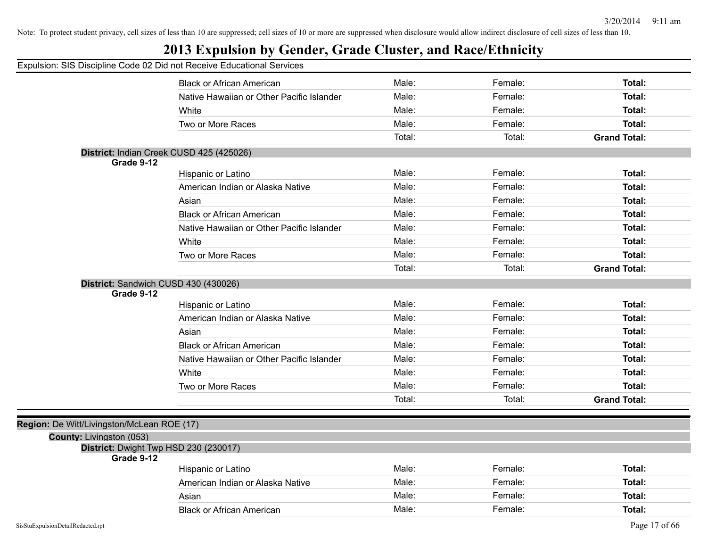## **2013 Expulsion by Gender, Grade Cluster, and Race/Ethnicity**

|                                            | <b>Black or African American</b>          | Male:  | Female: | Total:              |
|--------------------------------------------|-------------------------------------------|--------|---------|---------------------|
|                                            | Native Hawaiian or Other Pacific Islander | Male:  | Female: | Total:              |
|                                            | White                                     | Male:  | Female: | Total:              |
|                                            | Two or More Races                         | Male:  | Female: | <b>Total:</b>       |
|                                            |                                           | Total: | Total:  | <b>Grand Total:</b> |
|                                            | District: Indian Creek CUSD 425 (425026)  |        |         |                     |
| Grade 9-12                                 |                                           |        |         |                     |
|                                            | Hispanic or Latino                        | Male:  | Female: | Total:              |
|                                            | American Indian or Alaska Native          | Male:  | Female: | Total:              |
|                                            | Asian                                     | Male:  | Female: | Total:              |
|                                            | <b>Black or African American</b>          | Male:  | Female: | Total:              |
|                                            | Native Hawaiian or Other Pacific Islander | Male:  | Female: | Total:              |
|                                            | White                                     | Male:  | Female: | Total:              |
|                                            | Two or More Races                         | Male:  | Female: | Total:              |
|                                            |                                           | Total: | Total:  | <b>Grand Total:</b> |
|                                            | District: Sandwich CUSD 430 (430026)      |        |         |                     |
| Grade 9-12                                 |                                           |        |         |                     |
|                                            | Hispanic or Latino                        | Male:  | Female: | Total:              |
|                                            | American Indian or Alaska Native          | Male:  | Female: | <b>Total:</b>       |
|                                            | Asian                                     | Male:  | Female: | Total:              |
|                                            | <b>Black or African American</b>          | Male:  | Female: | Total:              |
|                                            | Native Hawaiian or Other Pacific Islander | Male:  | Female: | Total:              |
|                                            | White                                     | Male:  | Female: | Total:              |
|                                            | Two or More Races                         | Male:  | Female: | Total:              |
|                                            |                                           | Total: | Total:  | <b>Grand Total:</b> |
|                                            |                                           |        |         |                     |
| Region: De Witt/Livingston/McLean ROE (17) |                                           |        |         |                     |
| County: Livingston (053)                   |                                           |        |         |                     |
| Grade 9-12                                 | District: Dwight Twp HSD 230 (230017)     |        |         |                     |
|                                            | Hispanic or Latino                        | Male:  | Female: | Total:              |
|                                            | American Indian or Alaska Native          | Male:  | Female: | Total:              |
|                                            | Asian                                     | Male:  | Female: | <b>Total:</b>       |
|                                            | <b>Black or African American</b>          | Male:  | Female: | Total:              |
|                                            |                                           |        |         |                     |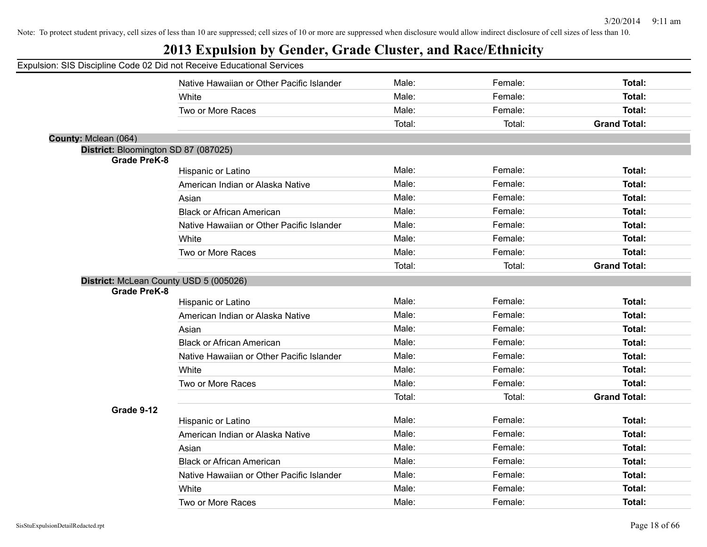|                                      | Native Hawaiian or Other Pacific Islander | Male:  | Female: | Total:              |
|--------------------------------------|-------------------------------------------|--------|---------|---------------------|
|                                      | White                                     | Male:  | Female: | Total:              |
|                                      | Two or More Races                         | Male:  | Female: | Total:              |
|                                      |                                           | Total: | Total:  | <b>Grand Total:</b> |
| County: Mclean (064)                 |                                           |        |         |                     |
| District: Bloomington SD 87 (087025) |                                           |        |         |                     |
| <b>Grade PreK-8</b>                  |                                           |        |         |                     |
|                                      | Hispanic or Latino                        | Male:  | Female: | Total:              |
|                                      | American Indian or Alaska Native          | Male:  | Female: | Total:              |
|                                      | Asian                                     | Male:  | Female: | Total:              |
|                                      | Black or African American                 | Male:  | Female: | Total:              |
|                                      | Native Hawaiian or Other Pacific Islander | Male:  | Female: | Total:              |
|                                      | White                                     | Male:  | Female: | Total:              |
|                                      | Two or More Races                         | Male:  | Female: | Total:              |
|                                      |                                           | Total: | Total:  | <b>Grand Total:</b> |
|                                      | District: McLean County USD 5 (005026)    |        |         |                     |
| <b>Grade PreK-8</b>                  |                                           |        |         |                     |
|                                      | Hispanic or Latino                        | Male:  | Female: | Total:              |
|                                      | American Indian or Alaska Native          | Male:  | Female: | Total:              |
|                                      | Asian                                     | Male:  | Female: | Total:              |
|                                      | <b>Black or African American</b>          | Male:  | Female: | Total:              |
|                                      | Native Hawaiian or Other Pacific Islander | Male:  | Female: | Total:              |
|                                      | White                                     | Male:  | Female: | Total:              |
|                                      | Two or More Races                         | Male:  | Female: | Total:              |
|                                      |                                           | Total: | Total:  | <b>Grand Total:</b> |
| Grade 9-12                           |                                           |        |         |                     |
|                                      | Hispanic or Latino                        | Male:  | Female: | Total:              |
|                                      | American Indian or Alaska Native          | Male:  | Female: | Total:              |
|                                      | Asian                                     | Male:  | Female: | Total:              |
|                                      | <b>Black or African American</b>          | Male:  | Female: | Total:              |
|                                      | Native Hawaiian or Other Pacific Islander | Male:  | Female: | Total:              |
|                                      | White                                     | Male:  | Female: | Total:              |
|                                      | Two or More Races                         | Male:  | Female: | Total:              |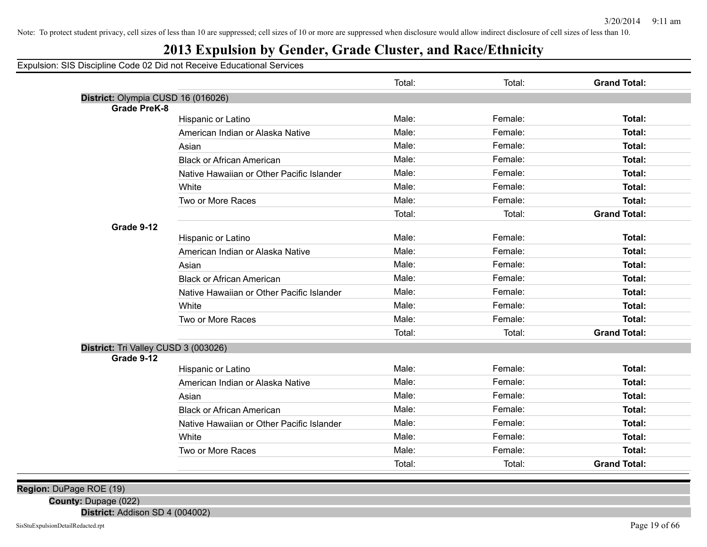## **2013 Expulsion by Gender, Grade Cluster, and Race/Ethnicity**

Expulsion: SIS Discipline Code 02 Did not Receive Educational Services

|                                      |                                           | Total: | Total:  | <b>Grand Total:</b> |
|--------------------------------------|-------------------------------------------|--------|---------|---------------------|
| District: Olympia CUSD 16 (016026)   |                                           |        |         |                     |
| <b>Grade PreK-8</b>                  |                                           |        |         |                     |
|                                      | Hispanic or Latino                        | Male:  | Female: | Total:              |
|                                      | American Indian or Alaska Native          | Male:  | Female: | Total:              |
|                                      | Asian                                     | Male:  | Female: | Total:              |
|                                      | <b>Black or African American</b>          | Male:  | Female: | Total:              |
|                                      | Native Hawaiian or Other Pacific Islander | Male:  | Female: | Total:              |
|                                      | White                                     | Male:  | Female: | Total:              |
|                                      | Two or More Races                         | Male:  | Female: | Total:              |
|                                      |                                           | Total: | Total:  | <b>Grand Total:</b> |
| Grade 9-12                           |                                           |        |         |                     |
|                                      | Hispanic or Latino                        | Male:  | Female: | Total:              |
|                                      | American Indian or Alaska Native          | Male:  | Female: | Total:              |
|                                      | Asian                                     | Male:  | Female: | Total:              |
|                                      | <b>Black or African American</b>          | Male:  | Female: | Total:              |
|                                      | Native Hawaiian or Other Pacific Islander | Male:  | Female: | Total:              |
|                                      | White                                     | Male:  | Female: | <b>Total:</b>       |
|                                      | Two or More Races                         | Male:  | Female: | Total:              |
|                                      |                                           | Total: | Total:  | <b>Grand Total:</b> |
| District: Tri Valley CUSD 3 (003026) |                                           |        |         |                     |
| Grade 9-12                           |                                           |        |         |                     |
|                                      | Hispanic or Latino                        | Male:  | Female: | Total:              |
|                                      | American Indian or Alaska Native          | Male:  | Female: | Total:              |
|                                      | Asian                                     | Male:  | Female: | Total:              |
|                                      | <b>Black or African American</b>          | Male:  | Female: | Total:              |
|                                      | Native Hawaiian or Other Pacific Islander | Male:  | Female: | Total:              |
|                                      | White                                     | Male:  | Female: | Total:              |
|                                      | Two or More Races                         | Male:  | Female: | Total:              |
|                                      |                                           | Total: | Total:  | <b>Grand Total:</b> |

**Region:** DuPage ROE (19)

**County:** Dupage (022)

**District:** Addison SD 4 (004002)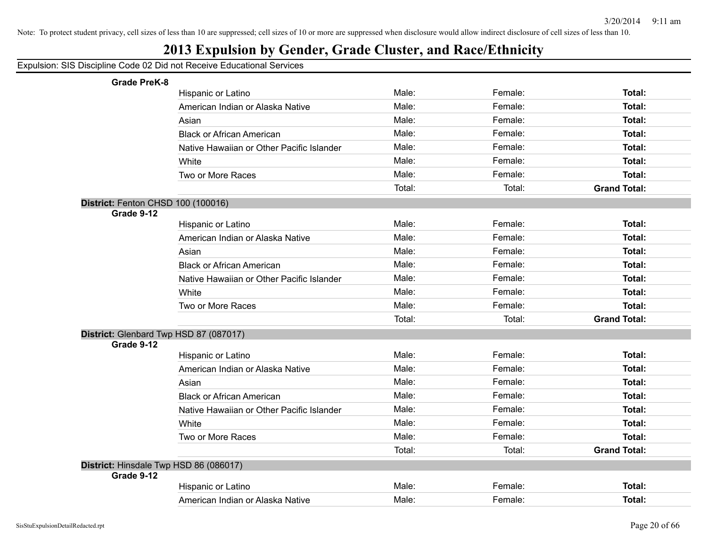## **2013 Expulsion by Gender, Grade Cluster, and Race/Ethnicity**

| <b>Grade PreK-8</b>                    |                                           |        |         |                     |
|----------------------------------------|-------------------------------------------|--------|---------|---------------------|
|                                        | Hispanic or Latino                        | Male:  | Female: | Total:              |
|                                        | American Indian or Alaska Native          | Male:  | Female: | Total:              |
|                                        | Asian                                     | Male:  | Female: | Total:              |
|                                        | <b>Black or African American</b>          | Male:  | Female: | Total:              |
|                                        | Native Hawaiian or Other Pacific Islander | Male:  | Female: | Total:              |
|                                        | White                                     | Male:  | Female: | Total:              |
|                                        | Two or More Races                         | Male:  | Female: | Total:              |
|                                        |                                           | Total: | Total:  | <b>Grand Total:</b> |
| District: Fenton CHSD 100 (100016)     |                                           |        |         |                     |
| Grade 9-12                             |                                           |        |         |                     |
|                                        | Hispanic or Latino                        | Male:  | Female: | Total:              |
|                                        | American Indian or Alaska Native          | Male:  | Female: | Total:              |
|                                        | Asian                                     | Male:  | Female: | Total:              |
|                                        | <b>Black or African American</b>          | Male:  | Female: | Total:              |
|                                        | Native Hawaiian or Other Pacific Islander | Male:  | Female: | Total:              |
|                                        | White                                     | Male:  | Female: | Total:              |
|                                        | Two or More Races                         | Male:  | Female: | Total:              |
|                                        |                                           | Total: | Total:  | <b>Grand Total:</b> |
| District: Glenbard Twp HSD 87 (087017) |                                           |        |         |                     |
| Grade 9-12                             |                                           |        |         |                     |
|                                        | Hispanic or Latino                        | Male:  | Female: | Total:              |
|                                        | American Indian or Alaska Native          | Male:  | Female: | Total:              |
|                                        | Asian                                     | Male:  | Female: | Total:              |
|                                        | <b>Black or African American</b>          | Male:  | Female: | Total:              |
|                                        | Native Hawaiian or Other Pacific Islander | Male:  | Female: | Total:              |
|                                        | White                                     | Male:  | Female: | Total:              |
|                                        | Two or More Races                         | Male:  | Female: | Total:              |
|                                        |                                           | Total: | Total:  | <b>Grand Total:</b> |
| District: Hinsdale Twp HSD 86 (086017) |                                           |        |         |                     |
| Grade 9-12                             |                                           |        |         |                     |
|                                        | Hispanic or Latino                        | Male:  | Female: | Total:              |
|                                        | American Indian or Alaska Native          | Male:  | Female: | Total:              |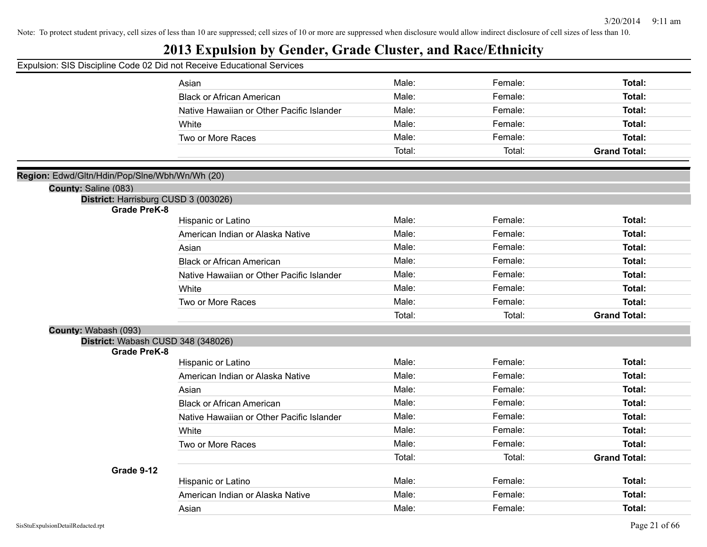## **2013 Expulsion by Gender, Grade Cluster, and Race/Ethnicity**

|                                                             | Asian                                     | Male:  | Female: | Total:              |
|-------------------------------------------------------------|-------------------------------------------|--------|---------|---------------------|
|                                                             | <b>Black or African American</b>          | Male:  | Female: | Total:              |
|                                                             | Native Hawaiian or Other Pacific Islander | Male:  | Female: | Total:              |
|                                                             | White                                     | Male:  | Female: | Total:              |
|                                                             | Two or More Races                         | Male:  | Female: | Total:              |
|                                                             |                                           | Total: | Total:  | <b>Grand Total:</b> |
|                                                             |                                           |        |         |                     |
| Region: Edwd/Gltn/Hdin/Pop/Slne/Wbh/Wn/Wh (20)              |                                           |        |         |                     |
| County: Saline (083)                                        |                                           |        |         |                     |
| District: Harrisburg CUSD 3 (003026)<br><b>Grade PreK-8</b> |                                           |        |         |                     |
|                                                             | Hispanic or Latino                        | Male:  | Female: | Total:              |
|                                                             | American Indian or Alaska Native          | Male:  | Female: | <b>Total:</b>       |
|                                                             | Asian                                     | Male:  | Female: | Total:              |
|                                                             | <b>Black or African American</b>          | Male:  | Female: | Total:              |
|                                                             | Native Hawaiian or Other Pacific Islander | Male:  | Female: | Total:              |
|                                                             | White                                     | Male:  | Female: | Total:              |
|                                                             | Two or More Races                         | Male:  | Female: | Total:              |
|                                                             |                                           | Total: | Total:  | <b>Grand Total:</b> |
| County: Wabash (093)                                        |                                           |        |         |                     |
| District: Wabash CUSD 348 (348026)                          |                                           |        |         |                     |
| <b>Grade PreK-8</b>                                         |                                           | Male:  | Female: | Total:              |
|                                                             | Hispanic or Latino                        | Male:  | Female: |                     |
|                                                             | American Indian or Alaska Native          |        |         | Total:              |
|                                                             | Asian                                     | Male:  | Female: | Total:              |
|                                                             | <b>Black or African American</b>          | Male:  | Female: | Total:              |
|                                                             | Native Hawaiian or Other Pacific Islander | Male:  | Female: | Total:              |
|                                                             | White                                     | Male:  | Female: | Total:              |
|                                                             | Two or More Races                         | Male:  | Female: | Total:              |
|                                                             |                                           | Total: | Total:  | <b>Grand Total:</b> |
| Grade 9-12                                                  |                                           |        |         |                     |
|                                                             | Hispanic or Latino                        | Male:  | Female: | Total:              |
|                                                             | American Indian or Alaska Native          | Male:  | Female: | Total:              |
|                                                             | Asian                                     | Male:  | Female: | Total:              |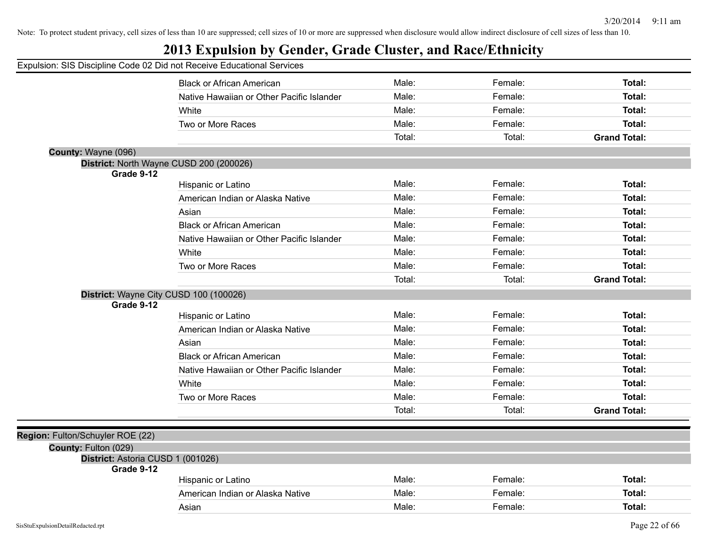## **2013 Expulsion by Gender, Grade Cluster, and Race/Ethnicity**

|                                                 | <b>Black or African American</b>          | Male:  | Female: | Total:              |
|-------------------------------------------------|-------------------------------------------|--------|---------|---------------------|
|                                                 | Native Hawaiian or Other Pacific Islander | Male:  | Female: | Total:              |
|                                                 | White                                     | Male:  | Female: | Total:              |
|                                                 | Two or More Races                         | Male:  | Female: | Total:              |
|                                                 |                                           | Total: | Total:  | <b>Grand Total:</b> |
| County: Wayne (096)                             |                                           |        |         |                     |
|                                                 | District: North Wayne CUSD 200 (200026)   |        |         |                     |
| Grade 9-12                                      |                                           |        |         |                     |
|                                                 | Hispanic or Latino                        | Male:  | Female: | Total:              |
|                                                 | American Indian or Alaska Native          | Male:  | Female: | Total:              |
|                                                 | Asian                                     | Male:  | Female: | Total:              |
|                                                 | <b>Black or African American</b>          | Male:  | Female: | Total:              |
|                                                 | Native Hawaiian or Other Pacific Islander | Male:  | Female: | Total:              |
|                                                 | White                                     | Male:  | Female: | Total:              |
|                                                 | Two or More Races                         | Male:  | Female: | Total:              |
|                                                 |                                           | Total: | Total:  | <b>Grand Total:</b> |
| District: Wayne City CUSD 100 (100026)          |                                           |        |         |                     |
| Grade 9-12                                      |                                           |        |         |                     |
|                                                 | Hispanic or Latino                        | Male:  | Female: | Total:              |
|                                                 | American Indian or Alaska Native          | Male:  | Female: | Total:              |
|                                                 | Asian                                     | Male:  | Female: | Total:              |
|                                                 | <b>Black or African American</b>          | Male:  | Female: | Total:              |
|                                                 | Native Hawaiian or Other Pacific Islander | Male:  | Female: | Total:              |
|                                                 | White                                     | Male:  | Female: | Total:              |
|                                                 | Two or More Races                         | Male:  | Female: | Total:              |
|                                                 |                                           | Total: | Total:  | <b>Grand Total:</b> |
|                                                 |                                           |        |         |                     |
| Region: Fulton/Schuyler ROE (22)                |                                           |        |         |                     |
| County: Fulton (029)                            |                                           |        |         |                     |
| District: Astoria CUSD 1 (001026)<br>Grade 9-12 |                                           |        |         |                     |
|                                                 | Hispanic or Latino                        | Male:  | Female: | Total:              |
|                                                 | American Indian or Alaska Native          | Male:  | Female: | Total:              |
|                                                 | Asian                                     | Male:  | Female: | Total:              |
|                                                 |                                           |        |         |                     |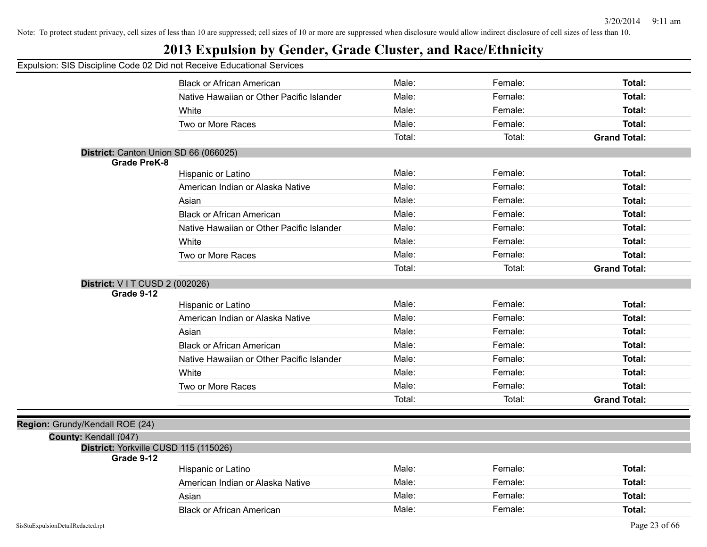## **2013 Expulsion by Gender, Grade Cluster, and Race/Ethnicity**

|                                                     | <b>Black or African American</b>          | Male:          | Female:            | Total:              |
|-----------------------------------------------------|-------------------------------------------|----------------|--------------------|---------------------|
|                                                     | Native Hawaiian or Other Pacific Islander | Male:          | Female:            | Total:              |
|                                                     | White                                     | Male:          | Female:            | Total:              |
|                                                     | Two or More Races                         | Male:          | Female:            | <b>Total:</b>       |
|                                                     |                                           | Total:         | Total:             | <b>Grand Total:</b> |
| District: Canton Union SD 66 (066025)               |                                           |                |                    |                     |
| <b>Grade PreK-8</b>                                 | Hispanic or Latino                        | Male:          | Female:            | Total:              |
|                                                     | American Indian or Alaska Native          | Male:          | Female:            | Total:              |
|                                                     | Asian                                     | Male:          | Female:            | Total:              |
|                                                     | <b>Black or African American</b>          | Male:          | Female:            | Total:              |
|                                                     | Native Hawaiian or Other Pacific Islander | Male:          | Female:            | Total:              |
|                                                     | White                                     | Male:          | Female:            | Total:              |
|                                                     | Two or More Races                         | Male:          | Female:            | <b>Total:</b>       |
|                                                     |                                           | Total:         | Total:             | <b>Grand Total:</b> |
|                                                     |                                           |                |                    |                     |
|                                                     |                                           |                |                    |                     |
| District: V I T CUSD 2 (002026)<br>Grade 9-12       |                                           |                |                    |                     |
|                                                     | Hispanic or Latino                        | Male:          | Female:            | Total:              |
|                                                     | American Indian or Alaska Native          | Male:          | Female:            | Total:              |
|                                                     | Asian                                     | Male:          | Female:            | Total:              |
|                                                     | <b>Black or African American</b>          | Male:          | Female:            | Total:              |
|                                                     | Native Hawaiian or Other Pacific Islander | Male:          | Female:            | Total:              |
|                                                     | White                                     | Male:          | Female:            | Total:              |
|                                                     | Two or More Races                         | Male:          | Female:            | Total:              |
|                                                     |                                           | Total:         | Total:             | <b>Grand Total:</b> |
|                                                     |                                           |                |                    |                     |
| Region: Grundy/Kendall ROE (24)                     |                                           |                |                    |                     |
| County: Kendall (047)                               |                                           |                |                    |                     |
| District: Yorkville CUSD 115 (115026)<br>Grade 9-12 |                                           |                |                    |                     |
|                                                     | Hispanic or Latino                        | Male:          | Female:            | Total:              |
|                                                     | American Indian or Alaska Native          | Male:          | Female:            | Total:              |
|                                                     | Asian                                     | Male:<br>Male: | Female:<br>Female: | <b>Total:</b>       |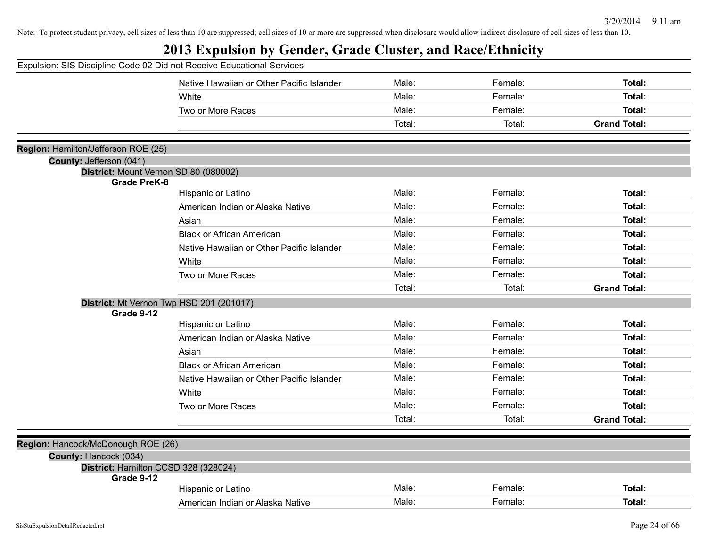| Expulsion: SIS Discipline Code 02 Did not Receive Educational Services |                                           |        |         |                     |
|------------------------------------------------------------------------|-------------------------------------------|--------|---------|---------------------|
|                                                                        | Native Hawaiian or Other Pacific Islander | Male:  | Female: | Total:              |
|                                                                        | White                                     | Male:  | Female: | Total:              |
|                                                                        | Two or More Races                         | Male:  | Female: | Total:              |
|                                                                        |                                           | Total: | Total:  | <b>Grand Total:</b> |
| Region: Hamilton/Jefferson ROE (25)                                    |                                           |        |         |                     |
| County: Jefferson (041)                                                |                                           |        |         |                     |
| District: Mount Vernon SD 80 (080002)                                  |                                           |        |         |                     |
| <b>Grade PreK-8</b>                                                    |                                           |        |         |                     |
|                                                                        | Hispanic or Latino                        | Male:  | Female: | Total:              |
|                                                                        | American Indian or Alaska Native          | Male:  | Female: | Total:              |
|                                                                        | Asian                                     | Male:  | Female: | Total:              |
|                                                                        | <b>Black or African American</b>          | Male:  | Female: | Total:              |
|                                                                        | Native Hawaiian or Other Pacific Islander | Male:  | Female: | Total:              |
|                                                                        | White                                     | Male:  | Female: | Total:              |
|                                                                        | Two or More Races                         | Male:  | Female: | Total:              |
|                                                                        |                                           | Total: | Total:  | <b>Grand Total:</b> |
|                                                                        | District: Mt Vernon Twp HSD 201 (201017)  |        |         |                     |
| Grade 9-12                                                             |                                           |        |         |                     |
|                                                                        | Hispanic or Latino                        | Male:  | Female: | Total:              |
|                                                                        | American Indian or Alaska Native          | Male:  | Female: | Total:              |
|                                                                        | Asian                                     | Male:  | Female: | Total:              |
|                                                                        | <b>Black or African American</b>          | Male:  | Female: | Total:              |
|                                                                        | Native Hawaiian or Other Pacific Islander | Male:  | Female: | Total:              |
|                                                                        | White                                     | Male:  | Female: | Total:              |
|                                                                        | Two or More Races                         | Male:  | Female: | Total:              |
|                                                                        |                                           | Total: | Total:  | <b>Grand Total:</b> |
|                                                                        |                                           |        |         |                     |
| Region: Hancock/McDonough ROE (26)                                     |                                           |        |         |                     |
| County: Hancock (034)                                                  |                                           |        |         |                     |
| District: Hamilton CCSD 328 (328024)<br>Grade 9-12                     |                                           |        |         |                     |
|                                                                        | Hispanic or Latino                        | Male:  | Female: | Total:              |
|                                                                        | American Indian or Alaska Native          | Male:  | Female: | Total:              |
|                                                                        |                                           |        |         |                     |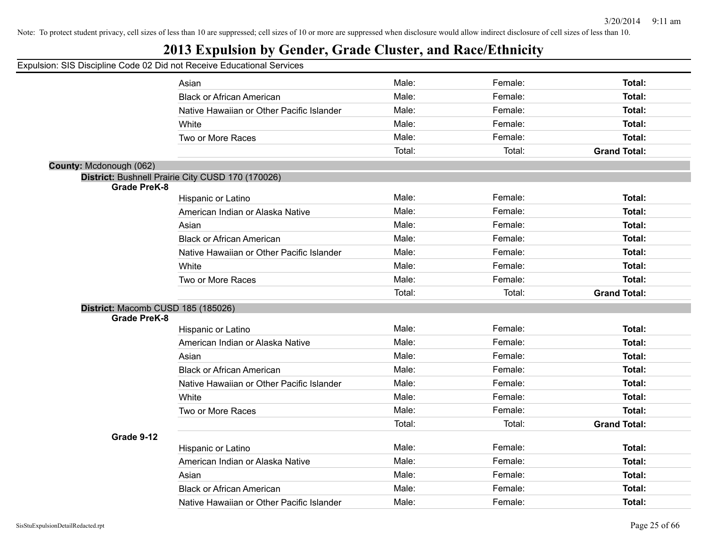## **2013 Expulsion by Gender, Grade Cluster, and Race/Ethnicity**

|                                    | on. Old Diodipline Oode of Did not Receive Educational Och Noce |        |         |                     |
|------------------------------------|-----------------------------------------------------------------|--------|---------|---------------------|
|                                    | Asian                                                           | Male:  | Female: | Total:              |
|                                    | <b>Black or African American</b>                                | Male:  | Female: | Total:              |
|                                    | Native Hawaiian or Other Pacific Islander                       | Male:  | Female: | Total:              |
|                                    | White                                                           | Male:  | Female: | Total:              |
|                                    | Two or More Races                                               | Male:  | Female: | Total:              |
|                                    |                                                                 | Total: | Total:  | <b>Grand Total:</b> |
| County: Mcdonough (062)            |                                                                 |        |         |                     |
|                                    | District: Bushnell Prairie City CUSD 170 (170026)               |        |         |                     |
| <b>Grade PreK-8</b>                |                                                                 |        |         |                     |
|                                    | Hispanic or Latino                                              | Male:  | Female: | Total:              |
|                                    | American Indian or Alaska Native                                | Male:  | Female: | Total:              |
|                                    | Asian                                                           | Male:  | Female: | Total:              |
|                                    | <b>Black or African American</b>                                | Male:  | Female: | Total:              |
|                                    | Native Hawaiian or Other Pacific Islander                       | Male:  | Female: | Total:              |
|                                    | White                                                           | Male:  | Female: | Total:              |
|                                    | Two or More Races                                               | Male:  | Female: | Total:              |
|                                    |                                                                 | Total: | Total:  | <b>Grand Total:</b> |
| District: Macomb CUSD 185 (185026) |                                                                 |        |         |                     |
| <b>Grade PreK-8</b>                |                                                                 |        |         |                     |
|                                    | Hispanic or Latino                                              | Male:  | Female: | Total:              |
|                                    | American Indian or Alaska Native                                | Male:  | Female: | Total:              |
|                                    | Asian                                                           | Male:  | Female: | Total:              |
|                                    | <b>Black or African American</b>                                | Male:  | Female: | Total:              |
|                                    | Native Hawaiian or Other Pacific Islander                       | Male:  | Female: | Total:              |
|                                    | White                                                           | Male:  | Female: | Total:              |
|                                    | Two or More Races                                               | Male:  | Female: | Total:              |
|                                    |                                                                 | Total: | Total:  | <b>Grand Total:</b> |
| Grade 9-12                         |                                                                 |        |         |                     |
|                                    | Hispanic or Latino                                              | Male:  | Female: | Total:              |
|                                    | American Indian or Alaska Native                                | Male:  | Female: | Total:              |
|                                    | Asian                                                           | Male:  | Female: | Total:              |
|                                    | <b>Black or African American</b>                                | Male:  | Female: | <b>Total:</b>       |
|                                    | Native Hawaiian or Other Pacific Islander                       | Male:  | Female: | Total:              |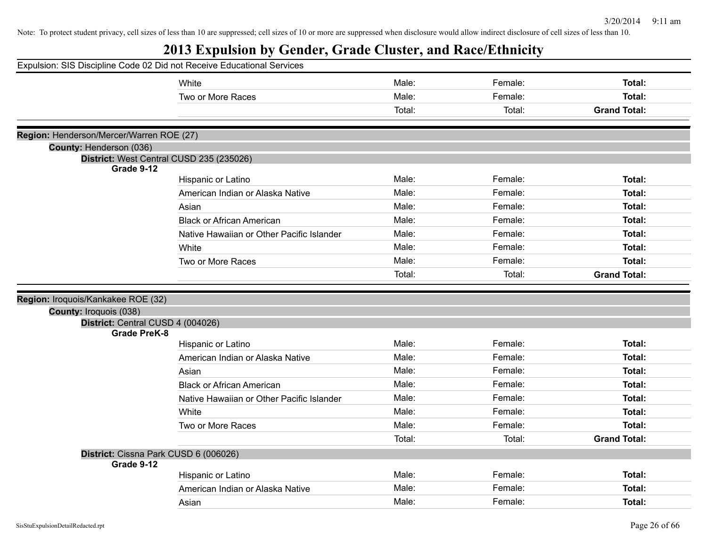| Expulsion: SIS Discipline Code 02 Did not Receive Educational Services |                                           |                |                    |                                |
|------------------------------------------------------------------------|-------------------------------------------|----------------|--------------------|--------------------------------|
|                                                                        | White                                     | Male:          | Female:            | Total:                         |
|                                                                        | Two or More Races                         | Male:          | Female:            | Total:                         |
|                                                                        |                                           | Total:         | Total:             | <b>Grand Total:</b>            |
|                                                                        |                                           |                |                    |                                |
| Region: Henderson/Mercer/Warren ROE (27)                               |                                           |                |                    |                                |
| County: Henderson (036)                                                | District: West Central CUSD 235 (235026)  |                |                    |                                |
| Grade 9-12                                                             |                                           |                |                    |                                |
|                                                                        | Hispanic or Latino                        | Male:          | Female:            | Total:                         |
|                                                                        | American Indian or Alaska Native          | Male:          | Female:            | <b>Total:</b>                  |
|                                                                        | Asian                                     | Male:          | Female:            | Total:                         |
|                                                                        | <b>Black or African American</b>          | Male:          | Female:            | Total:                         |
|                                                                        | Native Hawaiian or Other Pacific Islander | Male:          | Female:            | Total:                         |
|                                                                        | White                                     | Male:          | Female:            | Total:                         |
|                                                                        | Two or More Races                         | Male:          | Female:            | <b>Total:</b>                  |
|                                                                        |                                           | Total:         | Total:             | <b>Grand Total:</b>            |
|                                                                        |                                           |                |                    |                                |
|                                                                        |                                           |                |                    |                                |
| Region: Iroquois/Kankakee ROE (32)                                     |                                           |                |                    |                                |
| County: Iroquois (038)                                                 |                                           |                |                    |                                |
| District: Central CUSD 4 (004026)<br><b>Grade PreK-8</b>               |                                           |                |                    |                                |
|                                                                        | Hispanic or Latino                        | Male:          | Female:            | <b>Total:</b>                  |
|                                                                        | American Indian or Alaska Native          | Male:          | Female:            | <b>Total:</b>                  |
|                                                                        | Asian                                     | Male:          | Female:            | <b>Total:</b>                  |
|                                                                        | <b>Black or African American</b>          | Male:          | Female:            | Total:                         |
|                                                                        | Native Hawaiian or Other Pacific Islander | Male:          | Female:            | <b>Total:</b>                  |
|                                                                        | White                                     | Male:          | Female:            | Total:                         |
|                                                                        | Two or More Races                         | Male:          | Female:            | Total:                         |
|                                                                        |                                           | Total:         | Total:             | <b>Grand Total:</b>            |
| District: Cissna Park CUSD 6 (006026)                                  |                                           |                |                    |                                |
| Grade 9-12                                                             |                                           |                |                    |                                |
|                                                                        | Hispanic or Latino                        | Male:          | Female:            | <b>Total:</b>                  |
|                                                                        | American Indian or Alaska Native<br>Asian | Male:<br>Male: | Female:<br>Female: | <b>Total:</b><br><b>Total:</b> |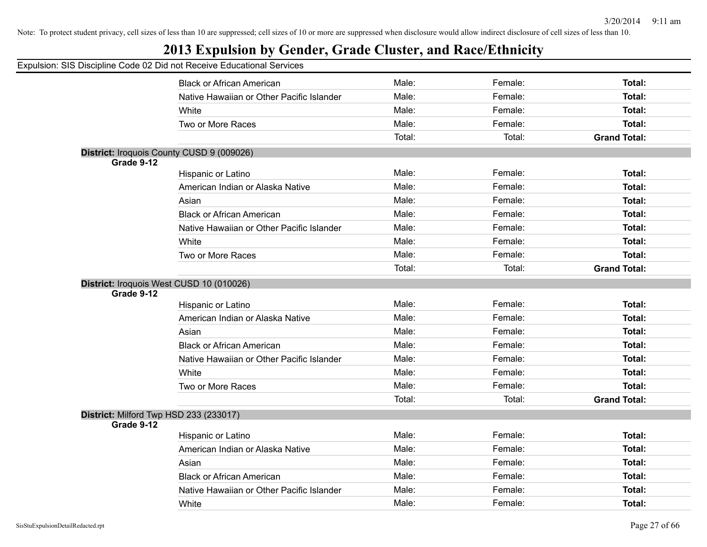## **2013 Expulsion by Gender, Grade Cluster, and Race/Ethnicity**

|            | <b>Black or African American</b>                               | Male:  | Female: | Total:              |
|------------|----------------------------------------------------------------|--------|---------|---------------------|
|            | Native Hawaiian or Other Pacific Islander                      | Male:  | Female: | <b>Total:</b>       |
|            | White                                                          | Male:  | Female: | <b>Total:</b>       |
|            | Two or More Races                                              | Male:  | Female: | <b>Total:</b>       |
|            |                                                                | Total: | Total:  | <b>Grand Total:</b> |
|            | District: Iroquois County CUSD 9 (009026)                      |        |         |                     |
| Grade 9-12 |                                                                |        |         |                     |
|            | Hispanic or Latino                                             | Male:  | Female: | <b>Total:</b>       |
|            | American Indian or Alaska Native                               | Male:  | Female: | <b>Total:</b>       |
|            | Asian                                                          | Male:  | Female: | <b>Total:</b>       |
|            | <b>Black or African American</b>                               | Male:  | Female: | <b>Total:</b>       |
|            | Native Hawaiian or Other Pacific Islander                      | Male:  | Female: | <b>Total:</b>       |
|            | White                                                          | Male:  | Female: | <b>Total:</b>       |
|            | Two or More Races                                              | Male:  | Female: | <b>Total:</b>       |
|            |                                                                | Total: | Total:  | <b>Grand Total:</b> |
| Grade 9-12 | District: Iroquois West CUSD 10 (010026)<br>Hispanic or Latino | Male:  | Female: | <b>Total:</b>       |
|            |                                                                | Male:  | Female: | <b>Total:</b>       |
|            | American Indian or Alaska Native                               | Male:  | Female: | <b>Total:</b>       |
|            | Asian                                                          |        |         |                     |
|            | <b>Black or African American</b>                               | Male:  | Female: | <b>Total:</b>       |
|            | Native Hawaiian or Other Pacific Islander                      | Male:  | Female: | Total:              |
|            | White                                                          | Male:  | Female: | <b>Total:</b>       |
|            | Two or More Races                                              | Male:  | Female: | Total:              |
|            |                                                                | Total: | Total:  | <b>Grand Total:</b> |
|            | District: Milford Twp HSD 233 (233017)                         |        |         |                     |
| Grade 9-12 |                                                                | Male:  | Female: |                     |
|            | <b>Hispanic or Latino</b>                                      |        |         | <b>Total:</b>       |
|            | American Indian or Alaska Native                               | Male:  | Female: | <b>Total:</b>       |
|            | Asian                                                          | Male:  | Female: | <b>Total:</b>       |
|            | <b>Black or African American</b>                               | Male:  | Female: | Total:              |
|            | Native Hawaiian or Other Pacific Islander                      | Male:  | Female: | <b>Total:</b>       |
|            | White                                                          | Male:  | Female: | Total:              |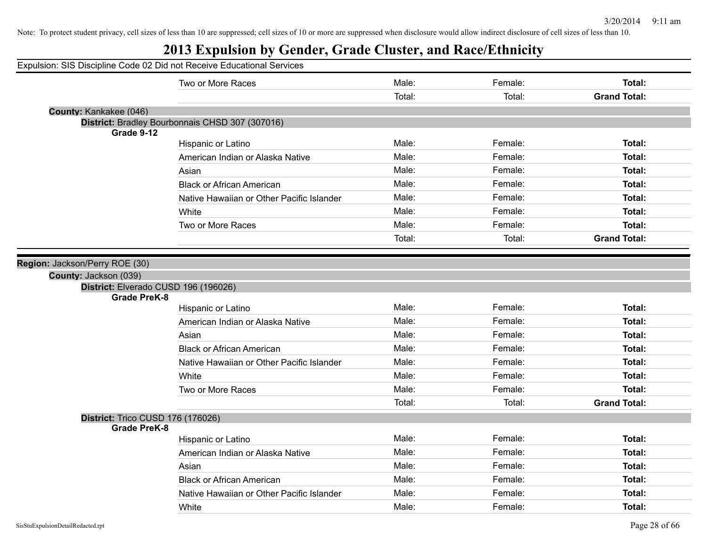|                                   | Expulsion: SIS Discipline Code 02 Did not Receive Educational Services |        |         |                     |
|-----------------------------------|------------------------------------------------------------------------|--------|---------|---------------------|
|                                   | Two or More Races                                                      | Male:  | Female: | <b>Total:</b>       |
|                                   |                                                                        | Total: | Total:  | <b>Grand Total:</b> |
| County: Kankakee (046)            |                                                                        |        |         |                     |
| Grade 9-12                        | District: Bradley Bourbonnais CHSD 307 (307016)                        |        |         |                     |
|                                   | Hispanic or Latino                                                     | Male:  | Female: | <b>Total:</b>       |
|                                   | American Indian or Alaska Native                                       | Male:  | Female: | Total:              |
|                                   | Asian                                                                  | Male:  | Female: | Total:              |
|                                   | <b>Black or African American</b>                                       | Male:  | Female: | Total:              |
|                                   | Native Hawaiian or Other Pacific Islander                              | Male:  | Female: | Total:              |
|                                   | White                                                                  | Male:  | Female: | <b>Total:</b>       |
|                                   | Two or More Races                                                      | Male:  | Female: | Total:              |
|                                   |                                                                        | Total: | Total:  | <b>Grand Total:</b> |
| <b>Grade PreK-8</b>               |                                                                        |        |         |                     |
| County: Jackson (039)             | District: Elverado CUSD 196 (196026)                                   |        |         |                     |
|                                   | Hispanic or Latino                                                     | Male:  | Female: | <b>Total:</b>       |
|                                   | American Indian or Alaska Native                                       | Male:  | Female: | <b>Total:</b>       |
|                                   | Asian                                                                  | Male:  | Female: | <b>Total:</b>       |
|                                   | <b>Black or African American</b>                                       | Male:  | Female: | <b>Total:</b>       |
|                                   | Native Hawaiian or Other Pacific Islander                              | Male:  | Female: | Total:              |
|                                   | White                                                                  | Male:  | Female: | <b>Total:</b>       |
|                                   | Two or More Races                                                      | Male:  | Female: | <b>Total:</b>       |
|                                   |                                                                        | Total: | Total:  | <b>Grand Total:</b> |
| District: Trico CUSD 176 (176026) |                                                                        |        |         |                     |
| <b>Grade PreK-8</b>               |                                                                        |        |         |                     |
|                                   | Hispanic or Latino                                                     | Male:  | Female: | Total:              |
|                                   | American Indian or Alaska Native                                       | Male:  | Female: | <b>Total:</b>       |
|                                   | Asian                                                                  | Male:  | Female: | Total:              |
|                                   | <b>Black or African American</b>                                       | Male:  | Female: | Total:              |
|                                   | Native Hawaiian or Other Pacific Islander                              | Male:  | Female: | <b>Total:</b>       |
|                                   | White                                                                  | Male:  | Female: | <b>Total:</b>       |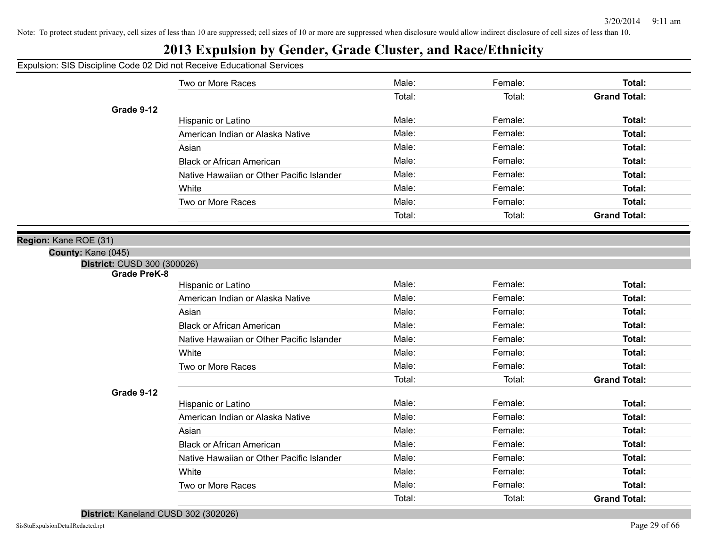# **2013 Expulsion by Gender, Grade Cluster, and Race/Ethnicity**

Expulsion: SIS Discipline Code 02 Did not Receive Educational Services

| $\sim$                      |                                           |        |         |                     |
|-----------------------------|-------------------------------------------|--------|---------|---------------------|
|                             | Two or More Races                         | Male:  | Female: | Total:              |
|                             |                                           | Total: | Total:  | <b>Grand Total:</b> |
| Grade 9-12                  |                                           |        |         |                     |
|                             | Hispanic or Latino                        | Male:  | Female: | Total:              |
|                             | American Indian or Alaska Native          | Male:  | Female: | Total:              |
|                             | Asian                                     | Male:  | Female: | Total:              |
|                             | <b>Black or African American</b>          | Male:  | Female: | Total:              |
|                             | Native Hawaiian or Other Pacific Islander | Male:  | Female: | Total:              |
|                             | White                                     | Male:  | Female: | Total:              |
|                             | Two or More Races                         | Male:  | Female: | Total:              |
|                             |                                           | Total: | Total:  | <b>Grand Total:</b> |
| Region: Kane ROE (31)       |                                           |        |         |                     |
| County: Kane (045)          |                                           |        |         |                     |
| District: CUSD 300 (300026) |                                           |        |         |                     |
| <b>Grade PreK-8</b>         |                                           |        |         |                     |
|                             | Hispanic or Latino                        | Male:  | Female: | Total:              |
|                             | American Indian or Alaska Native          | Male:  | Female: | Total:              |
|                             | Asian                                     | Male:  | Female: | Total:              |
|                             | <b>Black or African American</b>          | Male:  | Female: | Total:              |
|                             | Native Hawaiian or Other Pacific Islander | Male:  | Female: | Total:              |
|                             | White                                     | Male:  | Female: | Total:              |
|                             | Two or More Races                         | Male:  | Female: | Total:              |
|                             |                                           | Total: | Total:  | <b>Grand Total:</b> |
| Grade 9-12                  |                                           |        |         |                     |
|                             | Hispanic or Latino                        | Male:  | Female: | Total:              |
|                             | American Indian or Alaska Native          | Male:  | Female: | Total:              |
|                             | Asian                                     | Male:  | Female: | Total:              |
|                             | <b>Black or African American</b>          | Male:  | Female: | Total:              |
|                             | Native Hawaiian or Other Pacific Islander | Male:  | Female: | Total:              |
|                             | White                                     | Male:  | Female: | Total:              |
|                             | Two or More Races                         | Male:  | Female: | Total:              |
|                             |                                           | Total: | Total:  | <b>Grand Total:</b> |

**District:** Kaneland CUSD 302 (302026)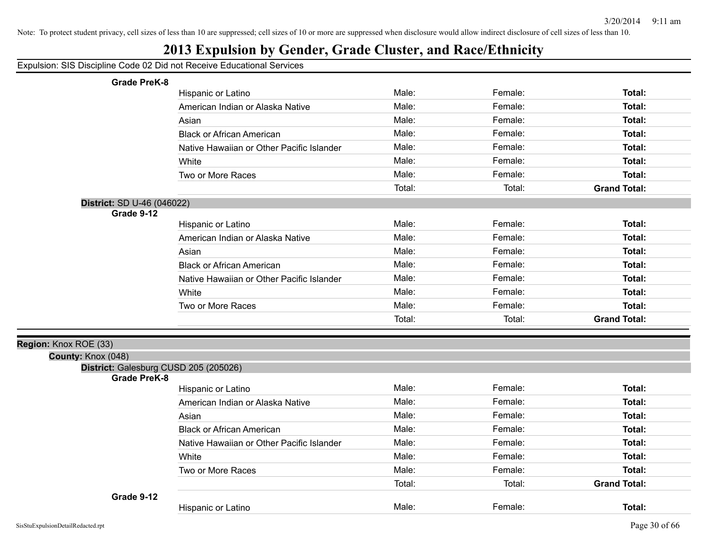## **2013 Expulsion by Gender, Grade Cluster, and Race/Ethnicity**

| <b>Grade PreK-8</b>                         |                                           |        |         |                     |
|---------------------------------------------|-------------------------------------------|--------|---------|---------------------|
|                                             | Hispanic or Latino                        | Male:  | Female: | Total:              |
|                                             | American Indian or Alaska Native          | Male:  | Female: | Total:              |
|                                             | Asian                                     | Male:  | Female: | Total:              |
|                                             | <b>Black or African American</b>          | Male:  | Female: | Total:              |
|                                             | Native Hawaiian or Other Pacific Islander | Male:  | Female: | Total:              |
|                                             | White                                     | Male:  | Female: | Total:              |
|                                             | Two or More Races                         | Male:  | Female: | Total:              |
|                                             |                                           | Total: | Total:  | <b>Grand Total:</b> |
| District: SD U-46 (046022)                  |                                           |        |         |                     |
| Grade 9-12                                  |                                           |        |         |                     |
|                                             | Hispanic or Latino                        | Male:  | Female: | <b>Total:</b>       |
|                                             | American Indian or Alaska Native          | Male:  | Female: | Total:              |
|                                             | Asian                                     | Male:  | Female: | Total:              |
|                                             | <b>Black or African American</b>          | Male:  | Female: | Total:              |
|                                             | Native Hawaiian or Other Pacific Islander | Male:  | Female: | Total:              |
|                                             | White                                     | Male:  | Female: | Total:              |
|                                             | Two or More Races                         | Male:  | Female: | Total:              |
|                                             |                                           | Total: | Total:  | <b>Grand Total:</b> |
|                                             |                                           |        |         |                     |
| Region: Knox ROE (33)<br>County: Knox (048) |                                           |        |         |                     |
| District: Galesburg CUSD 205 (205026)       |                                           |        |         |                     |
| <b>Grade PreK-8</b>                         |                                           |        |         |                     |
|                                             | Hispanic or Latino                        | Male:  | Female: | Total:              |
|                                             | American Indian or Alaska Native          | Male:  | Female: | Total:              |
|                                             | Asian                                     | Male:  | Female: | Total:              |
|                                             | <b>Black or African American</b>          | Male:  | Female: | Total:              |
|                                             | Native Hawaiian or Other Pacific Islander | Male:  | Female: | Total:              |
|                                             | White                                     | Male:  | Female: | Total:              |
|                                             | Two or More Races                         | Male:  | Female: | <b>Total:</b>       |
|                                             |                                           | Total: | Total:  | <b>Grand Total:</b> |
| Grade 9-12                                  |                                           |        |         |                     |
|                                             | Hispanic or Latino                        | Male:  | Female: | Total:              |
|                                             |                                           |        |         |                     |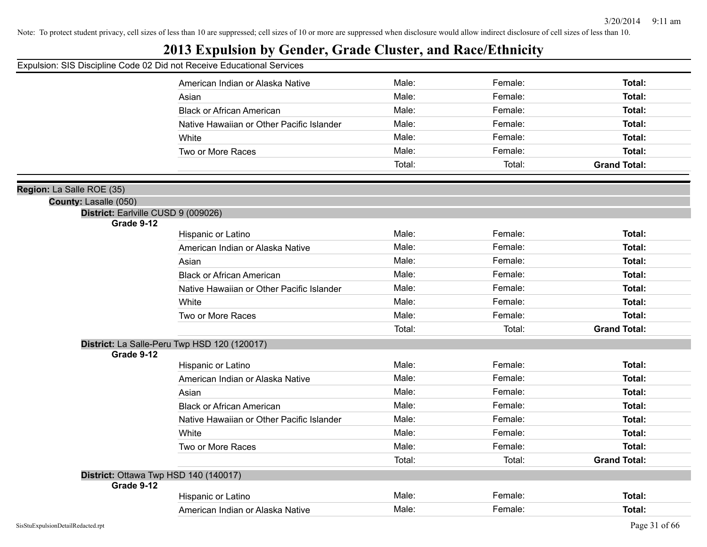## **2013 Expulsion by Gender, Grade Cluster, and Race/Ethnicity**

#### Expulsion: SIS Discipline Code 02 Did not Receive Educational Services

|                                                   | American Indian or Alaska Native             | Male:  | Female: | Total:              |
|---------------------------------------------------|----------------------------------------------|--------|---------|---------------------|
|                                                   | Asian                                        | Male:  | Female: | Total:              |
|                                                   | <b>Black or African American</b>             | Male:  | Female: | Total:              |
|                                                   | Native Hawaiian or Other Pacific Islander    | Male:  | Female: | <b>Total:</b>       |
|                                                   | White                                        | Male:  | Female: | Total:              |
|                                                   | Two or More Races                            | Male:  | Female: | Total:              |
|                                                   |                                              | Total: | Total:  | <b>Grand Total:</b> |
|                                                   |                                              |        |         |                     |
| La Salle ROE (35)                                 |                                              |        |         |                     |
| County: Lasalle (050)                             |                                              |        |         |                     |
| District: Earlville CUSD 9 (009026)<br>Grade 9-12 |                                              |        |         |                     |
|                                                   | Hispanic or Latino                           | Male:  | Female: | Total:              |
|                                                   | American Indian or Alaska Native             | Male:  | Female: | Total:              |
|                                                   | Asian                                        | Male:  | Female: | Total:              |
|                                                   | <b>Black or African American</b>             | Male:  | Female: | Total:              |
|                                                   | Native Hawaiian or Other Pacific Islander    | Male:  | Female: | Total:              |
|                                                   | White                                        | Male:  | Female: | <b>Total:</b>       |
|                                                   | Two or More Races                            | Male:  | Female: | Total:              |
|                                                   |                                              | Total: | Total:  | <b>Grand Total:</b> |
|                                                   | District: La Salle-Peru Twp HSD 120 (120017) |        |         |                     |
| Grade 9-12                                        |                                              |        |         |                     |
|                                                   | Hispanic or Latino                           | Male:  | Female: | Total:              |
|                                                   | American Indian or Alaska Native             | Male:  | Female: | Total:              |
|                                                   | Asian                                        | Male:  | Female: | Total:              |
|                                                   | <b>Black or African American</b>             | Male:  | Female: | Total:              |
|                                                   | Native Hawaiian or Other Pacific Islander    | Male:  | Female: | Total:              |
|                                                   | White                                        | Male:  | Female: | Total:              |
|                                                   | Two or More Races                            | Male:  | Female: | Total:              |
|                                                   |                                              | Total: | Total:  | <b>Grand Total:</b> |
|                                                   | District: Ottawa Twp HSD 140 (140017)        |        |         |                     |
| Grade 9-12                                        |                                              |        |         |                     |
|                                                   | Hispanic or Latino                           | Male:  | Female: | <b>Total:</b>       |
|                                                   | American Indian or Alaska Native             | Male:  | Female: | Total:              |

**Region:**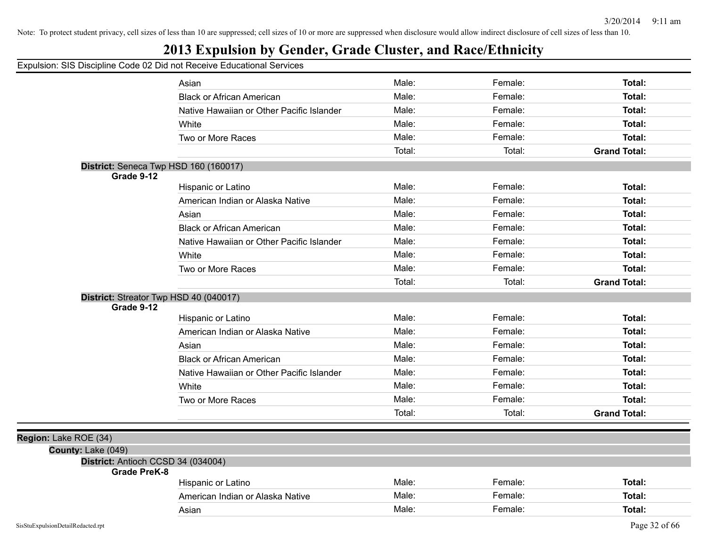## **2013 Expulsion by Gender, Grade Cluster, and Race/Ethnicity**

|                       |                                                          | Asian                                     | Male:  | Female: | Total:              |
|-----------------------|----------------------------------------------------------|-------------------------------------------|--------|---------|---------------------|
|                       |                                                          | <b>Black or African American</b>          | Male:  | Female: | Total:              |
|                       |                                                          | Native Hawaiian or Other Pacific Islander | Male:  | Female: | Total:              |
|                       |                                                          | White                                     | Male:  | Female: | Total:              |
|                       |                                                          | Two or More Races                         | Male:  | Female: | Total:              |
|                       |                                                          |                                           | Total: | Total:  | <b>Grand Total:</b> |
|                       | District: Seneca Twp HSD 160 (160017)                    |                                           |        |         |                     |
|                       | Grade 9-12                                               |                                           |        |         |                     |
|                       |                                                          | Hispanic or Latino                        | Male:  | Female: | Total:              |
|                       |                                                          | American Indian or Alaska Native          | Male:  | Female: | Total:              |
|                       |                                                          | Asian                                     | Male:  | Female: | Total:              |
|                       |                                                          | <b>Black or African American</b>          | Male:  | Female: | Total:              |
|                       |                                                          | Native Hawaiian or Other Pacific Islander | Male:  | Female: | Total:              |
|                       |                                                          | White                                     | Male:  | Female: | Total:              |
|                       |                                                          | Two or More Races                         | Male:  | Female: | Total:              |
|                       |                                                          |                                           | Total: | Total:  | <b>Grand Total:</b> |
|                       | District: Streator Twp HSD 40 (040017)                   |                                           |        |         |                     |
|                       | Grade 9-12                                               |                                           |        |         |                     |
|                       |                                                          | Hispanic or Latino                        | Male:  | Female: | Total:              |
|                       |                                                          | American Indian or Alaska Native          | Male:  | Female: | Total:              |
|                       |                                                          | Asian                                     | Male:  | Female: | Total:              |
|                       |                                                          | <b>Black or African American</b>          | Male:  | Female: | Total:              |
|                       |                                                          | Native Hawaiian or Other Pacific Islander | Male:  | Female: | Total:              |
|                       |                                                          | White                                     | Male:  | Female: | Total:              |
|                       |                                                          | Two or More Races                         | Male:  | Female: | Total:              |
|                       |                                                          |                                           | Total: | Total:  | <b>Grand Total:</b> |
|                       |                                                          |                                           |        |         |                     |
| Region: Lake ROE (34) |                                                          |                                           |        |         |                     |
|                       | County: Lake (049)<br>District: Antioch CCSD 34 (034004) |                                           |        |         |                     |
|                       | <b>Grade PreK-8</b>                                      |                                           |        |         |                     |
|                       |                                                          | Hispanic or Latino                        | Male:  | Female: | Total:              |
|                       |                                                          | American Indian or Alaska Native          | Male:  | Female: | Total:              |
|                       |                                                          | Asian                                     | Male:  | Female: | Total:              |
|                       |                                                          |                                           |        |         |                     |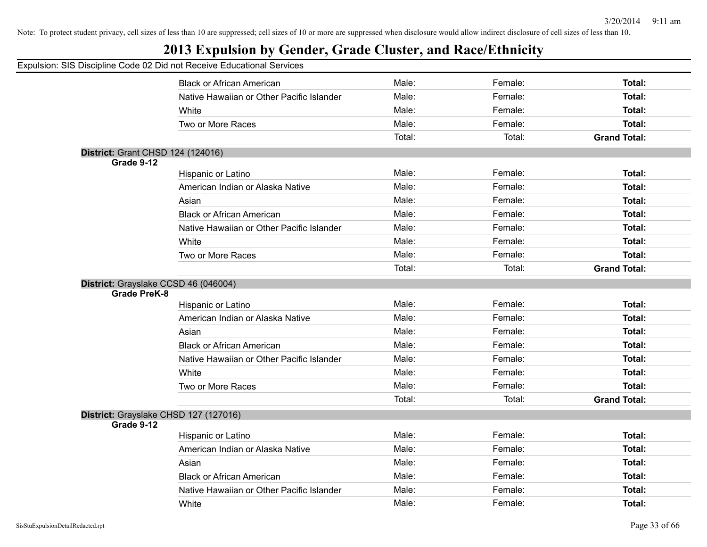## **2013 Expulsion by Gender, Grade Cluster, and Race/Ethnicity**

|                                          | <b>Black or African American</b>          | Male:  | Female: | Total:              |
|------------------------------------------|-------------------------------------------|--------|---------|---------------------|
|                                          | Native Hawaiian or Other Pacific Islander | Male:  | Female: | Total:              |
|                                          | White                                     | Male:  | Female: | Total:              |
|                                          | Two or More Races                         | Male:  | Female: | Total:              |
|                                          |                                           | Total: | Total:  | <b>Grand Total:</b> |
| <b>District: Grant CHSD 124 (124016)</b> |                                           |        |         |                     |
| Grade 9-12                               |                                           |        |         |                     |
|                                          | Hispanic or Latino                        | Male:  | Female: | Total:              |
|                                          | American Indian or Alaska Native          | Male:  | Female: | <b>Total:</b>       |
|                                          | Asian                                     | Male:  | Female: | Total:              |
|                                          | <b>Black or African American</b>          | Male:  | Female: | Total:              |
|                                          | Native Hawaiian or Other Pacific Islander | Male:  | Female: | Total:              |
|                                          | White                                     | Male:  | Female: | Total:              |
|                                          | Two or More Races                         | Male:  | Female: | <b>Total:</b>       |
|                                          |                                           | Total: | Total:  | <b>Grand Total:</b> |
|                                          | District: Grayslake CCSD 46 (046004)      |        |         |                     |
| <b>Grade PreK-8</b>                      |                                           |        |         |                     |
|                                          | Hispanic or Latino                        | Male:  | Female: | <b>Total:</b>       |
|                                          | American Indian or Alaska Native          | Male:  | Female: | Total:              |
|                                          | Asian                                     | Male:  | Female: | Total:              |
|                                          | <b>Black or African American</b>          | Male:  | Female: | <b>Total:</b>       |
|                                          | Native Hawaiian or Other Pacific Islander | Male:  | Female: | Total:              |
|                                          | White                                     | Male:  | Female: | <b>Total:</b>       |
|                                          | Two or More Races                         | Male:  | Female: | <b>Total:</b>       |
|                                          |                                           | Total: | Total:  | <b>Grand Total:</b> |
|                                          | District: Grayslake CHSD 127 (127016)     |        |         |                     |
| Grade 9-12                               |                                           |        |         |                     |
|                                          | Hispanic or Latino                        | Male:  | Female: | Total:              |
|                                          | American Indian or Alaska Native          | Male:  | Female: | <b>Total:</b>       |
|                                          | Asian                                     | Male:  | Female: | Total:              |
|                                          | <b>Black or African American</b>          | Male:  | Female: | Total:              |
|                                          | Native Hawaiian or Other Pacific Islander | Male:  | Female: | <b>Total:</b>       |
|                                          | White                                     | Male:  | Female: | Total:              |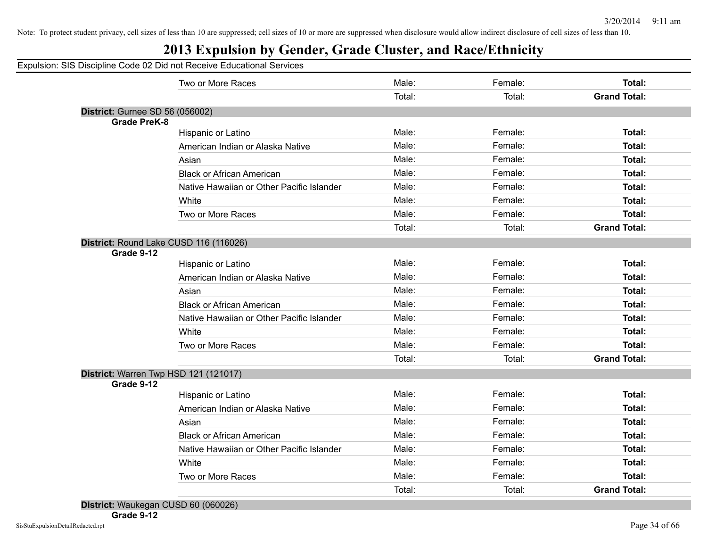## **2013 Expulsion by Gender, Grade Cluster, and Race/Ethnicity**

|                                 | Two or More Races                                      | Male:  | Female: | <b>Total:</b>       |
|---------------------------------|--------------------------------------------------------|--------|---------|---------------------|
|                                 |                                                        | Total: | Total:  | <b>Grand Total:</b> |
| District: Gurnee SD 56 (056002) |                                                        |        |         |                     |
| <b>Grade PreK-8</b>             |                                                        |        |         |                     |
|                                 | Hispanic or Latino                                     | Male:  | Female: | <b>Total:</b>       |
|                                 | American Indian or Alaska Native                       | Male:  | Female: | <b>Total:</b>       |
|                                 | Asian                                                  | Male:  | Female: | Total:              |
|                                 | <b>Black or African American</b>                       | Male:  | Female: | Total:              |
|                                 | Native Hawaiian or Other Pacific Islander              | Male:  | Female: | <b>Total:</b>       |
|                                 | White                                                  | Male:  | Female: | Total:              |
|                                 | Two or More Races                                      | Male:  | Female: | Total:              |
|                                 |                                                        | Total: | Total:  | <b>Grand Total:</b> |
|                                 | District: Round Lake CUSD 116 (116026)                 |        |         |                     |
| Grade 9-12                      | Hispanic or Latino                                     | Male:  | Female: | <b>Total:</b>       |
|                                 |                                                        | Male:  | Female: | Total:              |
|                                 | American Indian or Alaska Native                       |        |         |                     |
|                                 | Asian                                                  | Male:  | Female: | Total:              |
|                                 | <b>Black or African American</b>                       | Male:  | Female: | Total:              |
|                                 | Native Hawaiian or Other Pacific Islander              | Male:  | Female: | <b>Total:</b>       |
|                                 | White                                                  | Male:  | Female: | Total:              |
|                                 | Two or More Races                                      | Male:  | Female: | Total:              |
|                                 |                                                        | Total: | Total:  | <b>Grand Total:</b> |
|                                 | District: Warren Twp HSD 121 (121017)                  |        |         |                     |
| Grade 9-12                      |                                                        | Male:  | Female: | Total:              |
|                                 | Hispanic or Latino<br>American Indian or Alaska Native | Male:  | Female: | <b>Total:</b>       |
|                                 |                                                        |        |         |                     |
|                                 | Asian                                                  | Male:  | Female: | Total:              |
|                                 | <b>Black or African American</b>                       | Male:  | Female: | Total:              |
|                                 | Native Hawaiian or Other Pacific Islander              | Male:  | Female: | Total:              |
|                                 | White                                                  | Male:  | Female: | <b>Total:</b>       |
|                                 | Two or More Races                                      | Male:  | Female: | Total:              |
|                                 |                                                        | Total: | Total:  | <b>Grand Total:</b> |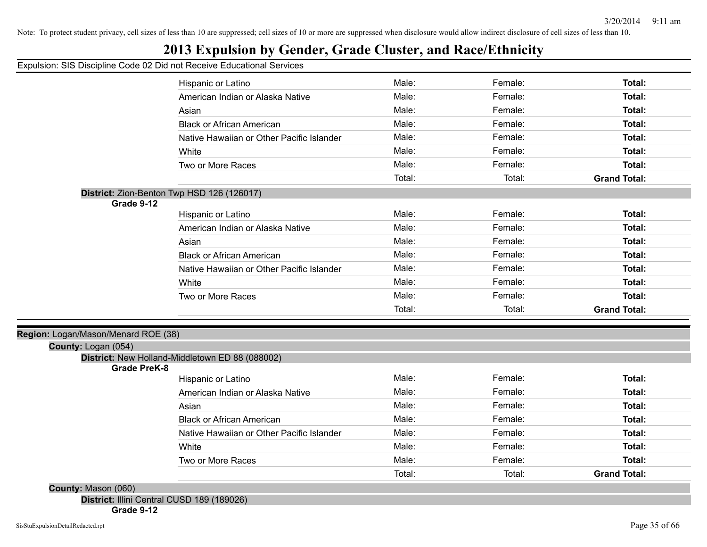## **2013 Expulsion by Gender, Grade Cluster, and Race/Ethnicity**

#### Expulsion: SIS Discipline Code 02 Did not Receive Educational Services

|                                     | Hispanic or Latino                              | Male:  | Female: | Total:              |
|-------------------------------------|-------------------------------------------------|--------|---------|---------------------|
|                                     | American Indian or Alaska Native                | Male:  | Female: | Total:              |
|                                     | Asian                                           | Male:  | Female: | Total:              |
|                                     | <b>Black or African American</b>                | Male:  | Female: | Total:              |
|                                     | Native Hawaiian or Other Pacific Islander       | Male:  | Female: | Total:              |
|                                     | White                                           | Male:  | Female: | Total:              |
|                                     | Two or More Races                               | Male:  | Female: | Total:              |
|                                     |                                                 | Total: | Total:  | <b>Grand Total:</b> |
|                                     | District: Zion-Benton Twp HSD 126 (126017)      |        |         |                     |
| Grade 9-12                          |                                                 |        |         |                     |
|                                     | Hispanic or Latino                              | Male:  | Female: | Total:              |
|                                     | American Indian or Alaska Native                | Male:  | Female: | Total:              |
|                                     | Asian                                           | Male:  | Female: | Total:              |
|                                     | <b>Black or African American</b>                | Male:  | Female: | Total:              |
|                                     | Native Hawaiian or Other Pacific Islander       | Male:  | Female: | Total:              |
|                                     | White                                           | Male:  | Female: | Total:              |
|                                     | Two or More Races                               | Male:  | Female: | Total:              |
|                                     |                                                 | Total: | Total:  | <b>Grand Total:</b> |
|                                     |                                                 |        |         |                     |
| Region: Logan/Mason/Menard ROE (38) |                                                 |        |         |                     |
| County: Logan (054)                 |                                                 |        |         |                     |
| <b>Grade PreK-8</b>                 | District: New Holland-Middletown ED 88 (088002) |        |         |                     |
|                                     | Hispanic or Latino                              | Male:  | Female: | Total:              |
|                                     | American Indian or Alaska Native                | Male:  | Female: | Total:              |
|                                     | Asian                                           | Male:  | Female: | Total:              |
|                                     | <b>Black or African American</b>                | Male:  | Female: | Total:              |
|                                     | Native Hawaiian or Other Pacific Islander       | Male:  | Female: | Total:              |
|                                     | White                                           | Male:  | Female: | Total:              |
|                                     | Two or More Races                               | Male:  | Female: | Total:              |
|                                     |                                                 | Total: | Total:  | <b>Grand Total:</b> |
|                                     |                                                 |        |         |                     |

**County:** Mason (060)

**District:** Illini Central CUSD 189 (189026)

**Grade 9-12**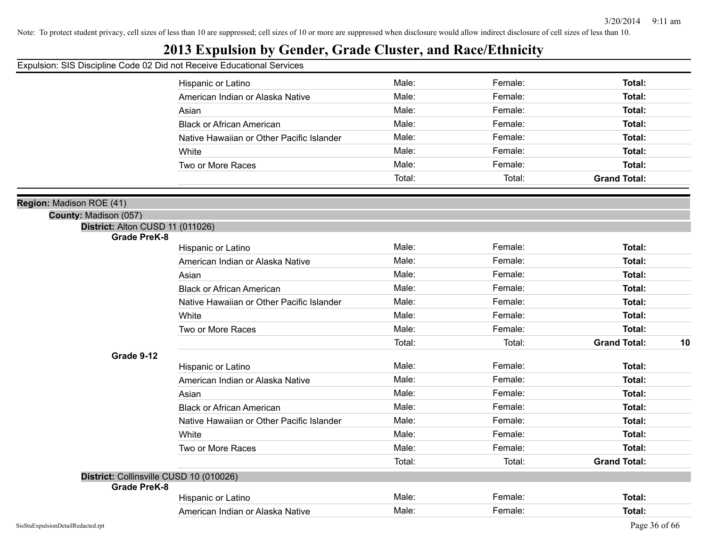## **2013 Expulsion by Gender, Grade Cluster, and Race/Ethnicity**

|                                                         | Hispanic or Latino                        | Male:  | Female: | Total:              |    |
|---------------------------------------------------------|-------------------------------------------|--------|---------|---------------------|----|
|                                                         | American Indian or Alaska Native          | Male:  | Female: | Total:              |    |
|                                                         | Asian                                     | Male:  | Female: | Total:              |    |
|                                                         | <b>Black or African American</b>          | Male:  | Female: | Total:              |    |
|                                                         | Native Hawaiian or Other Pacific Islander | Male:  | Female: | Total:              |    |
|                                                         | White                                     | Male:  | Female: | Total:              |    |
|                                                         | Two or More Races                         | Male:  | Female: | Total:              |    |
|                                                         |                                           | Total: | Total:  | <b>Grand Total:</b> |    |
|                                                         |                                           |        |         |                     |    |
| Region: Madison ROE (41)                                |                                           |        |         |                     |    |
| County: Madison (057)                                   |                                           |        |         |                     |    |
| District: Alton CUSD 11 (011026)<br><b>Grade PreK-8</b> |                                           |        |         |                     |    |
|                                                         | Hispanic or Latino                        | Male:  | Female: | Total:              |    |
|                                                         | American Indian or Alaska Native          | Male:  | Female: | Total:              |    |
|                                                         | Asian                                     | Male:  | Female: | Total:              |    |
|                                                         | <b>Black or African American</b>          | Male:  | Female: | Total:              |    |
|                                                         | Native Hawaiian or Other Pacific Islander | Male:  | Female: | Total:              |    |
|                                                         | White                                     | Male:  | Female: | Total:              |    |
|                                                         | Two or More Races                         | Male:  | Female: | Total:              |    |
|                                                         |                                           | Total: | Total:  | <b>Grand Total:</b> | 10 |
| Grade 9-12                                              |                                           |        |         |                     |    |
|                                                         | Hispanic or Latino                        | Male:  | Female: | Total:              |    |
|                                                         | American Indian or Alaska Native          | Male:  | Female: | Total:              |    |
|                                                         | Asian                                     | Male:  | Female: | Total:              |    |
|                                                         | <b>Black or African American</b>          | Male:  | Female: | Total:              |    |
|                                                         | Native Hawaiian or Other Pacific Islander | Male:  | Female: | Total:              |    |
|                                                         | White                                     | Male:  | Female: | Total:              |    |
|                                                         | Two or More Races                         | Male:  | Female: | Total:              |    |
|                                                         |                                           | Total: | Total:  | <b>Grand Total:</b> |    |
| District: Collinsville CUSD 10 (010026)                 |                                           |        |         |                     |    |
| <b>Grade PreK-8</b>                                     |                                           |        |         |                     |    |
|                                                         | Hispanic or Latino                        | Male:  | Female: | Total:              |    |
|                                                         | American Indian or Alaska Native          | Male:  | Female: | Total:              |    |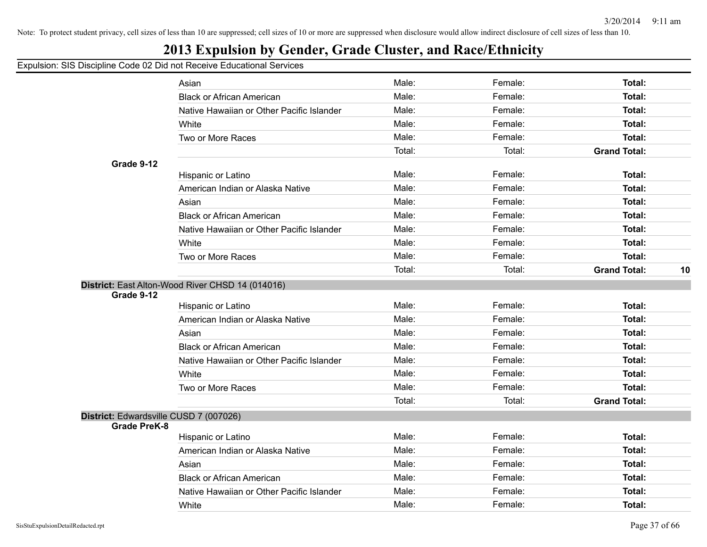## **2013 Expulsion by Gender, Grade Cluster, and Race/Ethnicity**

|                                        | Asian                                            | Male:  | Female: | Total:              |    |
|----------------------------------------|--------------------------------------------------|--------|---------|---------------------|----|
|                                        | <b>Black or African American</b>                 | Male:  | Female: | Total:              |    |
|                                        | Native Hawaiian or Other Pacific Islander        | Male:  | Female: | Total:              |    |
|                                        | White                                            | Male:  | Female: | Total:              |    |
|                                        | Two or More Races                                | Male:  | Female: | Total:              |    |
|                                        |                                                  | Total: | Total:  | <b>Grand Total:</b> |    |
| Grade 9-12                             |                                                  |        |         |                     |    |
|                                        | Hispanic or Latino                               | Male:  | Female: | <b>Total:</b>       |    |
|                                        | American Indian or Alaska Native                 | Male:  | Female: | <b>Total:</b>       |    |
|                                        | Asian                                            | Male:  | Female: | Total:              |    |
|                                        | <b>Black or African American</b>                 | Male:  | Female: | Total:              |    |
|                                        | Native Hawaiian or Other Pacific Islander        | Male:  | Female: | Total:              |    |
|                                        | White                                            | Male:  | Female: | Total:              |    |
|                                        | Two or More Races                                | Male:  | Female: | Total:              |    |
|                                        |                                                  | Total: | Total:  | <b>Grand Total:</b> | 10 |
|                                        | District: East Alton-Wood River CHSD 14 (014016) |        |         |                     |    |
| Grade 9-12                             |                                                  |        |         |                     |    |
|                                        | Hispanic or Latino                               | Male:  | Female: | Total:              |    |
|                                        | American Indian or Alaska Native                 | Male:  | Female: | Total:              |    |
|                                        | Asian                                            | Male:  | Female: | Total:              |    |
|                                        | <b>Black or African American</b>                 | Male:  | Female: | Total:              |    |
|                                        | Native Hawaiian or Other Pacific Islander        | Male:  | Female: | Total:              |    |
|                                        | White                                            | Male:  | Female: | Total:              |    |
|                                        | Two or More Races                                | Male:  | Female: | Total:              |    |
|                                        |                                                  | Total: | Total:  | <b>Grand Total:</b> |    |
| District: Edwardsville CUSD 7 (007026) |                                                  |        |         |                     |    |
| <b>Grade PreK-8</b>                    |                                                  |        |         |                     |    |
|                                        | Hispanic or Latino                               | Male:  | Female: | Total:              |    |
|                                        | American Indian or Alaska Native                 | Male:  | Female: | Total:              |    |
|                                        | Asian                                            | Male:  | Female: | Total:              |    |
|                                        | <b>Black or African American</b>                 | Male:  | Female: | Total:              |    |
|                                        | Native Hawaiian or Other Pacific Islander        | Male:  | Female: | Total:              |    |
|                                        | White                                            | Male:  | Female: | Total:              |    |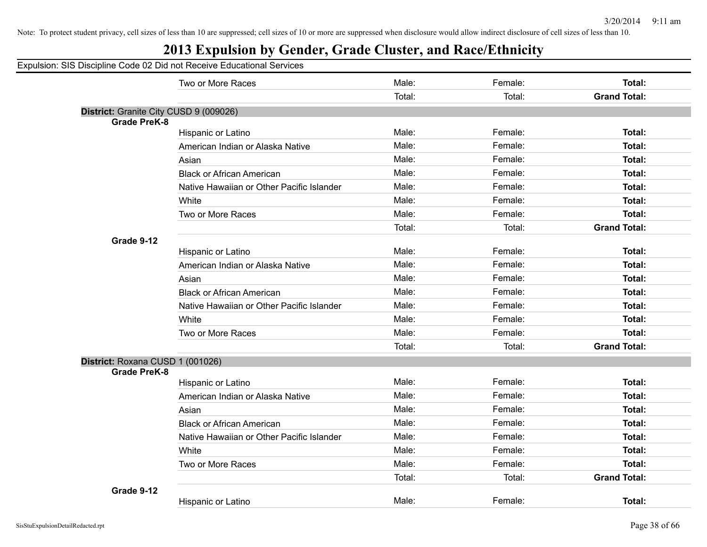## **2013 Expulsion by Gender, Grade Cluster, and Race/Ethnicity**

|                                                               |                                           | Male:  |                   |                     |
|---------------------------------------------------------------|-------------------------------------------|--------|-------------------|---------------------|
|                                                               | Two or More Races                         | Total: | Female:<br>Total: | Total:              |
|                                                               |                                           |        |                   | <b>Grand Total:</b> |
| District: Granite City CUSD 9 (009026)<br><b>Grade PreK-8</b> |                                           |        |                   |                     |
|                                                               | Hispanic or Latino                        | Male:  | Female:           | <b>Total:</b>       |
|                                                               | American Indian or Alaska Native          | Male:  | Female:           | <b>Total:</b>       |
|                                                               | Asian                                     | Male:  | Female:           | <b>Total:</b>       |
|                                                               | <b>Black or African American</b>          | Male:  | Female:           | Total:              |
|                                                               | Native Hawaiian or Other Pacific Islander | Male:  | Female:           | <b>Total:</b>       |
|                                                               | White                                     | Male:  | Female:           | <b>Total:</b>       |
|                                                               | Two or More Races                         | Male:  | Female:           | Total:              |
|                                                               |                                           | Total: | Total:            | <b>Grand Total:</b> |
| Grade 9-12                                                    |                                           |        |                   |                     |
|                                                               | Hispanic or Latino                        | Male:  | Female:           | <b>Total:</b>       |
|                                                               | American Indian or Alaska Native          | Male:  | Female:           | Total:              |
|                                                               | Asian                                     | Male:  | Female:           | <b>Total:</b>       |
|                                                               | <b>Black or African American</b>          | Male:  | Female:           | <b>Total:</b>       |
|                                                               | Native Hawaiian or Other Pacific Islander | Male:  | Female:           | Total:              |
|                                                               | White                                     | Male:  | Female:           | <b>Total:</b>       |
|                                                               | Two or More Races                         | Male:  | Female:           | Total:              |
|                                                               |                                           | Total: | Total:            | <b>Grand Total:</b> |
| District: Roxana CUSD 1 (001026)                              |                                           |        |                   |                     |
| <b>Grade PreK-8</b>                                           |                                           |        |                   |                     |
|                                                               | Hispanic or Latino                        | Male:  | Female:           | <b>Total:</b>       |
|                                                               | American Indian or Alaska Native          | Male:  | Female:           | Total:              |
|                                                               | Asian                                     | Male:  | Female:           | Total:              |
|                                                               | <b>Black or African American</b>          | Male:  | Female:           | <b>Total:</b>       |
|                                                               | Native Hawaiian or Other Pacific Islander | Male:  | Female:           | Total:              |
|                                                               | White                                     | Male:  | Female:           | Total:              |
|                                                               | Two or More Races                         | Male:  | Female:           | <b>Total:</b>       |
|                                                               |                                           | Total: | Total:            | <b>Grand Total:</b> |
| Grade 9-12                                                    |                                           |        |                   |                     |
|                                                               | Hispanic or Latino                        | Male:  | Female:           | <b>Total:</b>       |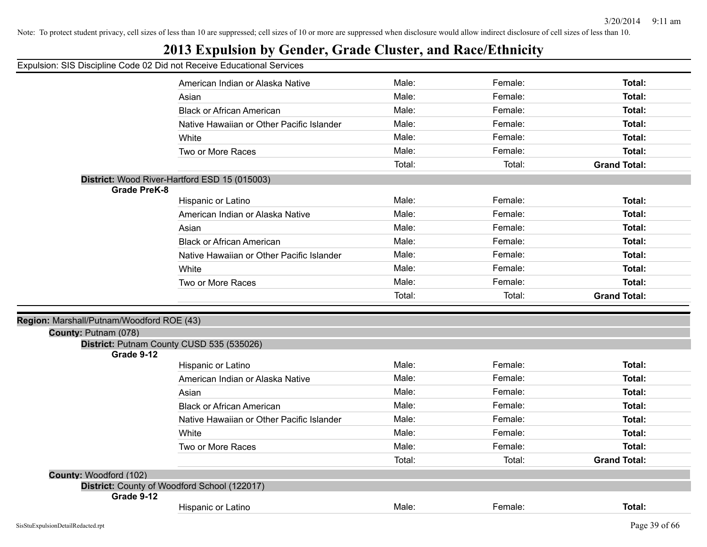## **2013 Expulsion by Gender, Grade Cluster, and Race/Ethnicity**

|                                           | American Indian or Alaska Native              | Male:  | Female: | Total:              |
|-------------------------------------------|-----------------------------------------------|--------|---------|---------------------|
|                                           | Asian                                         | Male:  | Female: | <b>Total:</b>       |
|                                           | <b>Black or African American</b>              | Male:  | Female: | Total:              |
|                                           | Native Hawaiian or Other Pacific Islander     | Male:  | Female: | Total:              |
|                                           | White                                         | Male:  | Female: | <b>Total:</b>       |
|                                           | Two or More Races                             | Male:  | Female: | <b>Total:</b>       |
|                                           |                                               | Total: | Total:  | <b>Grand Total:</b> |
|                                           | District: Wood River-Hartford ESD 15 (015003) |        |         |                     |
| <b>Grade PreK-8</b>                       |                                               |        |         |                     |
|                                           | Hispanic or Latino                            | Male:  | Female: | <b>Total:</b>       |
|                                           | American Indian or Alaska Native              | Male:  | Female: | <b>Total:</b>       |
|                                           | Asian                                         | Male:  | Female: | <b>Total:</b>       |
|                                           | <b>Black or African American</b>              | Male:  | Female: | <b>Total:</b>       |
|                                           | Native Hawaiian or Other Pacific Islander     | Male:  | Female: | <b>Total:</b>       |
|                                           | White                                         | Male:  | Female: | <b>Total:</b>       |
|                                           | Two or More Races                             | Male:  | Female: | <b>Total:</b>       |
|                                           |                                               | Total: | Total:  | <b>Grand Total:</b> |
|                                           |                                               |        |         |                     |
| Region: Marshall/Putnam/Woodford ROE (43) |                                               |        |         |                     |
| County: Putnam (078)                      |                                               |        |         |                     |
| Grade 9-12                                | District: Putnam County CUSD 535 (535026)     |        |         |                     |
|                                           | Hispanic or Latino                            | Male:  | Female: | <b>Total:</b>       |
|                                           | American Indian or Alaska Native              | Male:  | Female: | Total:              |
|                                           | Asian                                         | Male:  | Female: | Total:              |
|                                           | <b>Black or African American</b>              | Male:  | Female: | Total:              |
|                                           | Native Hawaiian or Other Pacific Islander     | Male:  | Female: | <b>Total:</b>       |
|                                           | White                                         | Male:  | Female: | <b>Total:</b>       |
|                                           |                                               | Male:  | Female: | Total:              |
|                                           | Two or More Races                             |        |         |                     |
|                                           |                                               | Total: | Total:  | <b>Grand Total:</b> |
| County: Woodford (102)                    |                                               |        |         |                     |
| Grade 9-12                                | District: County of Woodford School (122017)  |        |         |                     |
|                                           | Hispanic or Latino                            | Male:  | Female: | Total:              |
|                                           |                                               |        |         |                     |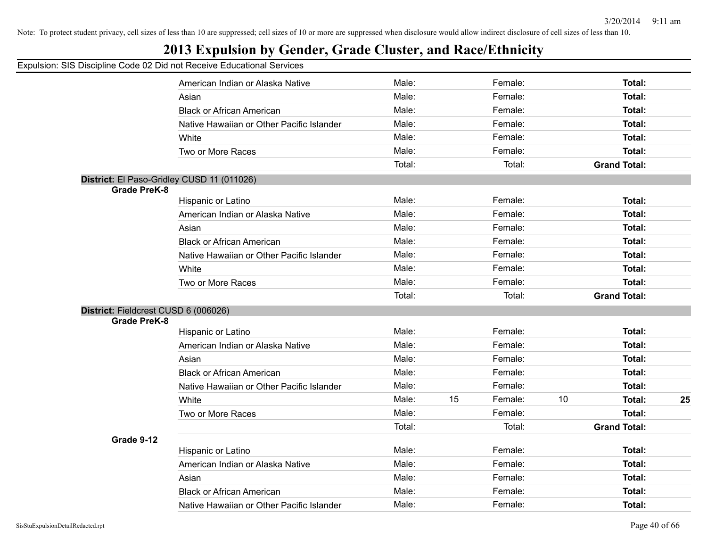## **2013 Expulsion by Gender, Grade Cluster, and Race/Ethnicity**

|                                      | Sio Bioopinio Obdo de Bia fiot rtodorto Eddoditorial Odi |        |    |         |    |                     |    |
|--------------------------------------|----------------------------------------------------------|--------|----|---------|----|---------------------|----|
|                                      | American Indian or Alaska Native                         | Male:  |    | Female: |    | Total:              |    |
|                                      | Asian                                                    | Male:  |    | Female: |    | Total:              |    |
|                                      | <b>Black or African American</b>                         | Male:  |    | Female: |    | <b>Total:</b>       |    |
|                                      | Native Hawaiian or Other Pacific Islander                | Male:  |    | Female: |    | <b>Total:</b>       |    |
|                                      | White                                                    | Male:  |    | Female: |    | <b>Total:</b>       |    |
|                                      | Two or More Races                                        | Male:  |    | Female: |    | Total:              |    |
|                                      |                                                          | Total: |    | Total:  |    | <b>Grand Total:</b> |    |
|                                      | District: El Paso-Gridley CUSD 11 (011026)               |        |    |         |    |                     |    |
| <b>Grade PreK-8</b>                  |                                                          |        |    |         |    |                     |    |
|                                      | Hispanic or Latino                                       | Male:  |    | Female: |    | <b>Total:</b>       |    |
|                                      | American Indian or Alaska Native                         | Male:  |    | Female: |    | <b>Total:</b>       |    |
|                                      | Asian                                                    | Male:  |    | Female: |    | Total:              |    |
|                                      | <b>Black or African American</b>                         | Male:  |    | Female: |    | <b>Total:</b>       |    |
|                                      | Native Hawaiian or Other Pacific Islander                | Male:  |    | Female: |    | <b>Total:</b>       |    |
|                                      | White                                                    | Male:  |    | Female: |    | <b>Total:</b>       |    |
|                                      | Two or More Races                                        | Male:  |    | Female: |    | Total:              |    |
|                                      |                                                          | Total: |    | Total:  |    | <b>Grand Total:</b> |    |
| District: Fieldcrest CUSD 6 (006026) |                                                          |        |    |         |    |                     |    |
| <b>Grade PreK-8</b>                  |                                                          |        |    |         |    |                     |    |
|                                      | Hispanic or Latino                                       | Male:  |    | Female: |    | <b>Total:</b>       |    |
|                                      | American Indian or Alaska Native                         | Male:  |    | Female: |    | <b>Total:</b>       |    |
|                                      | Asian                                                    | Male:  |    | Female: |    | Total:              |    |
|                                      | <b>Black or African American</b>                         | Male:  |    | Female: |    | Total:              |    |
|                                      | Native Hawaiian or Other Pacific Islander                | Male:  |    | Female: |    | <b>Total:</b>       |    |
|                                      | White                                                    | Male:  | 15 | Female: | 10 | <b>Total:</b>       | 25 |
|                                      | Two or More Races                                        | Male:  |    | Female: |    | <b>Total:</b>       |    |
|                                      |                                                          | Total: |    | Total:  |    | <b>Grand Total:</b> |    |
| Grade 9-12                           |                                                          |        |    |         |    |                     |    |
|                                      | Hispanic or Latino                                       | Male:  |    | Female: |    | <b>Total:</b>       |    |
|                                      | American Indian or Alaska Native                         | Male:  |    | Female: |    | Total:              |    |
|                                      | Asian                                                    | Male:  |    | Female: |    | Total:              |    |
|                                      | <b>Black or African American</b>                         | Male:  |    | Female: |    | <b>Total:</b>       |    |
|                                      | Native Hawaiian or Other Pacific Islander                | Male:  |    | Female: |    | <b>Total:</b>       |    |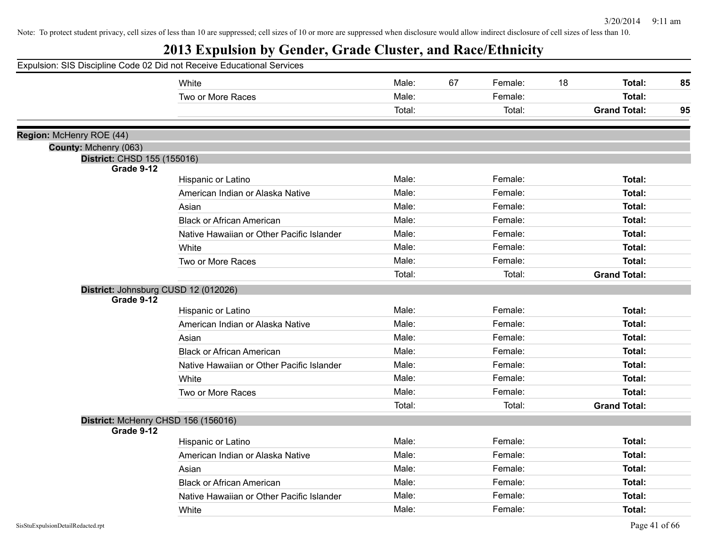| Expulsion: SIS Discipline Code 02 Did not Receive Educational Services |                                           |        |    |         |    |                     |    |
|------------------------------------------------------------------------|-------------------------------------------|--------|----|---------|----|---------------------|----|
|                                                                        | White                                     | Male:  | 67 | Female: | 18 | Total:              | 85 |
|                                                                        | Two or More Races                         | Male:  |    | Female: |    | Total:              |    |
|                                                                        |                                           | Total: |    | Total:  |    | <b>Grand Total:</b> | 95 |
| Region: McHenry ROE (44)                                               |                                           |        |    |         |    |                     |    |
| County: Mchenry (063)                                                  |                                           |        |    |         |    |                     |    |
| District: CHSD 155 (155016)                                            |                                           |        |    |         |    |                     |    |
| Grade 9-12                                                             | Hispanic or Latino                        | Male:  |    | Female: |    | Total:              |    |
|                                                                        | American Indian or Alaska Native          | Male:  |    | Female: |    | Total:              |    |
|                                                                        | Asian                                     | Male:  |    | Female: |    | Total:              |    |
|                                                                        | <b>Black or African American</b>          | Male:  |    | Female: |    | Total:              |    |
|                                                                        | Native Hawaiian or Other Pacific Islander | Male:  |    | Female: |    | Total:              |    |
|                                                                        | White                                     | Male:  |    | Female: |    | Total:              |    |
|                                                                        | Two or More Races                         | Male:  |    | Female: |    | Total:              |    |
|                                                                        |                                           | Total: |    | Total:  |    | <b>Grand Total:</b> |    |
| District: Johnsburg CUSD 12 (012026)                                   |                                           |        |    |         |    |                     |    |
| Grade 9-12                                                             |                                           |        |    |         |    |                     |    |
|                                                                        | Hispanic or Latino                        | Male:  |    | Female: |    | Total:              |    |
|                                                                        | American Indian or Alaska Native          | Male:  |    | Female: |    | Total:              |    |
|                                                                        | Asian                                     | Male:  |    | Female: |    | Total:              |    |
|                                                                        | <b>Black or African American</b>          | Male:  |    | Female: |    | Total:              |    |
|                                                                        | Native Hawaiian or Other Pacific Islander | Male:  |    | Female: |    | Total:              |    |
|                                                                        | White                                     | Male:  |    | Female: |    | Total:              |    |
|                                                                        | Two or More Races                         | Male:  |    | Female: |    | Total:              |    |
|                                                                        |                                           | Total: |    | Total:  |    | <b>Grand Total:</b> |    |
| District: McHenry CHSD 156 (156016)<br>Grade 9-12                      |                                           |        |    |         |    |                     |    |
|                                                                        | Hispanic or Latino                        | Male:  |    | Female: |    | Total:              |    |
|                                                                        | American Indian or Alaska Native          | Male:  |    | Female: |    | Total:              |    |
|                                                                        | Asian                                     | Male:  |    | Female: |    | Total:              |    |
|                                                                        | <b>Black or African American</b>          | Male:  |    | Female: |    | Total:              |    |
|                                                                        | Native Hawaiian or Other Pacific Islander | Male:  |    | Female: |    | Total:              |    |
|                                                                        | White                                     | Male:  |    | Female: |    | Total:              |    |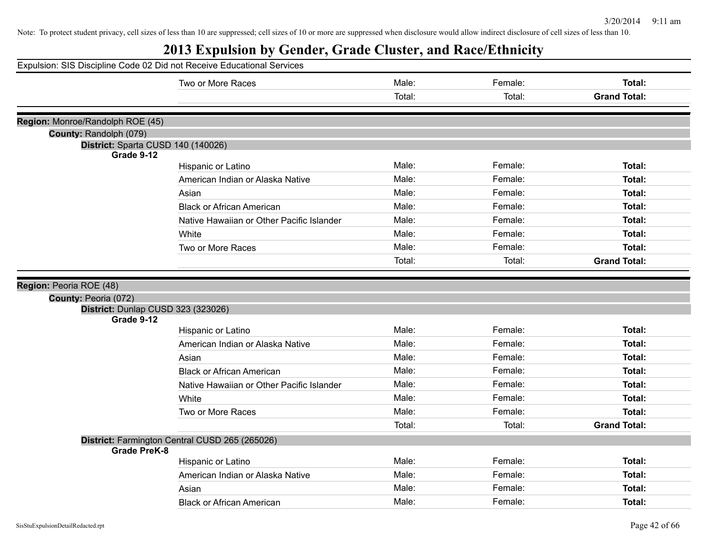|                                                  | Expulsion: SIS Discipline Code 02 Did not Receive Educational Services |        |         |                     |
|--------------------------------------------------|------------------------------------------------------------------------|--------|---------|---------------------|
|                                                  | Two or More Races                                                      | Male:  | Female: | Total:              |
|                                                  |                                                                        | Total: | Total:  | <b>Grand Total:</b> |
|                                                  |                                                                        |        |         |                     |
| Region: Monroe/Randolph ROE (45)                 |                                                                        |        |         |                     |
| County: Randolph (079)                           |                                                                        |        |         |                     |
| District: Sparta CUSD 140 (140026)<br>Grade 9-12 |                                                                        |        |         |                     |
|                                                  | Hispanic or Latino                                                     | Male:  | Female: | Total:              |
|                                                  | American Indian or Alaska Native                                       | Male:  | Female: | Total:              |
|                                                  | Asian                                                                  | Male:  | Female: | Total:              |
|                                                  | <b>Black or African American</b>                                       | Male:  | Female: | Total:              |
|                                                  | Native Hawaiian or Other Pacific Islander                              | Male:  | Female: | Total:              |
|                                                  | White                                                                  | Male:  | Female: | Total:              |
|                                                  | Two or More Races                                                      | Male:  | Female: | Total:              |
|                                                  |                                                                        | Total: | Total:  | <b>Grand Total:</b> |
|                                                  |                                                                        |        |         |                     |
| Region: Peoria ROE (48)                          |                                                                        |        |         |                     |
| County: Peoria (072)                             |                                                                        |        |         |                     |
| District: Dunlap CUSD 323 (323026)<br>Grade 9-12 |                                                                        |        |         |                     |
|                                                  | Hispanic or Latino                                                     | Male:  | Female: | Total:              |
|                                                  | American Indian or Alaska Native                                       | Male:  | Female: | Total:              |
|                                                  | Asian                                                                  | Male:  | Female: | Total:              |
|                                                  | <b>Black or African American</b>                                       | Male:  | Female: | Total:              |
|                                                  | Native Hawaiian or Other Pacific Islander                              | Male:  | Female: | Total:              |
|                                                  | White                                                                  | Male:  | Female: | Total:              |
|                                                  | Two or More Races                                                      | Male:  | Female: | Total:              |
|                                                  |                                                                        | Total: | Total:  | <b>Grand Total:</b> |
|                                                  | District: Farmington Central CUSD 265 (265026)                         |        |         |                     |
| <b>Grade PreK-8</b>                              |                                                                        |        |         |                     |
|                                                  | Hispanic or Latino                                                     | Male:  | Female: | Total:              |
|                                                  | American Indian or Alaska Native                                       | Male:  | Female: | Total:              |
|                                                  | Asian                                                                  | Male:  | Female: | Total:              |
|                                                  | <b>Black or African American</b>                                       | Male:  | Female: | Total:              |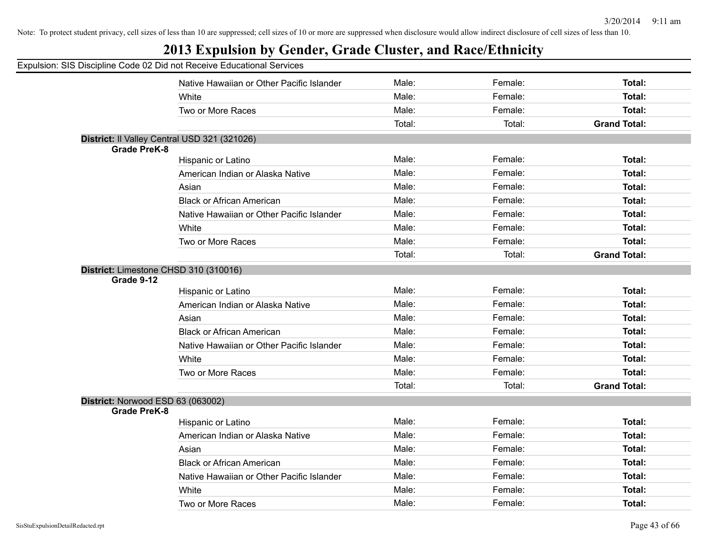|  |  |  | Expulsion: SIS Discipline Code 02 Did not Receive Educational Services |  |
|--|--|--|------------------------------------------------------------------------|--|
|  |  |  |                                                                        |  |

|                                   | Native Hawaiian or Other Pacific Islander    | Male:  | Female: | Total:              |
|-----------------------------------|----------------------------------------------|--------|---------|---------------------|
|                                   | White                                        | Male:  | Female: | Total:              |
|                                   | Two or More Races                            | Male:  | Female: | Total:              |
|                                   |                                              | Total: | Total:  | <b>Grand Total:</b> |
|                                   | District: Il Valley Central USD 321 (321026) |        |         |                     |
| <b>Grade PreK-8</b>               |                                              |        |         |                     |
|                                   | Hispanic or Latino                           | Male:  | Female: | Total:              |
|                                   | American Indian or Alaska Native             | Male:  | Female: | Total:              |
|                                   | Asian                                        | Male:  | Female: | Total:              |
|                                   | <b>Black or African American</b>             | Male:  | Female: | Total:              |
|                                   | Native Hawaiian or Other Pacific Islander    | Male:  | Female: | Total:              |
|                                   | White                                        | Male:  | Female: | Total:              |
|                                   | Two or More Races                            | Male:  | Female: | Total:              |
|                                   |                                              | Total: | Total:  | <b>Grand Total:</b> |
| Grade 9-12                        | District: Limestone CHSD 310 (310016)        |        |         |                     |
|                                   | Hispanic or Latino                           | Male:  | Female: | Total:              |
|                                   | American Indian or Alaska Native             | Male:  | Female: | Total:              |
|                                   | Asian                                        | Male:  | Female: | Total:              |
|                                   | <b>Black or African American</b>             | Male:  | Female: | Total:              |
|                                   | Native Hawaiian or Other Pacific Islander    | Male:  | Female: | Total:              |
|                                   | White                                        | Male:  | Female: | Total:              |
|                                   | Two or More Races                            | Male:  | Female: | Total:              |
|                                   |                                              | Total: | Total:  | <b>Grand Total:</b> |
| District: Norwood ESD 63 (063002) |                                              |        |         |                     |
| <b>Grade PreK-8</b>               |                                              |        |         |                     |
|                                   | Hispanic or Latino                           | Male:  | Female: | Total:              |
|                                   | American Indian or Alaska Native             | Male:  | Female: | Total:              |
|                                   | Asian                                        | Male:  | Female: | Total:              |
|                                   | <b>Black or African American</b>             | Male:  | Female: | Total:              |
|                                   | Native Hawaiian or Other Pacific Islander    | Male:  | Female: | Total:              |
|                                   | White                                        | Male:  | Female: | Total:              |
|                                   | Two or More Races                            | Male:  | Female: | Total:              |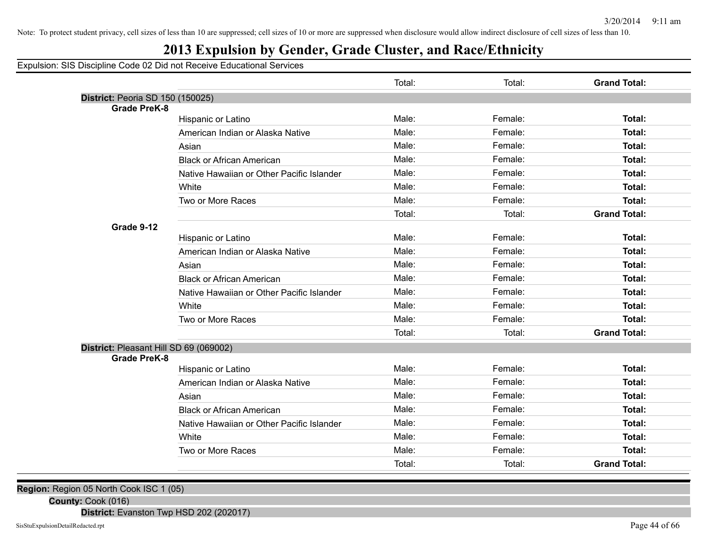## **2013 Expulsion by Gender, Grade Cluster, and Race/Ethnicity**

Expulsion: SIS Discipline Code 02 Did not Receive Educational Services

|                                        |                                           | Total: | Total:  | <b>Grand Total:</b> |
|----------------------------------------|-------------------------------------------|--------|---------|---------------------|
| District: Peoria SD 150 (150025)       |                                           |        |         |                     |
| <b>Grade PreK-8</b>                    |                                           |        |         |                     |
|                                        | Hispanic or Latino                        | Male:  | Female: | <b>Total:</b>       |
|                                        | American Indian or Alaska Native          | Male:  | Female: | Total:              |
|                                        | Asian                                     | Male:  | Female: | Total:              |
|                                        | <b>Black or African American</b>          | Male:  | Female: | Total:              |
|                                        | Native Hawaiian or Other Pacific Islander | Male:  | Female: | Total:              |
|                                        | White                                     | Male:  | Female: | Total:              |
|                                        | Two or More Races                         | Male:  | Female: | Total:              |
|                                        |                                           | Total: | Total:  | <b>Grand Total:</b> |
| Grade 9-12                             |                                           |        |         |                     |
|                                        | Hispanic or Latino                        | Male:  | Female: | Total:              |
|                                        | American Indian or Alaska Native          | Male:  | Female: | Total:              |
|                                        | Asian                                     | Male:  | Female: | Total:              |
|                                        | <b>Black or African American</b>          | Male:  | Female: | Total:              |
|                                        | Native Hawaiian or Other Pacific Islander | Male:  | Female: | Total:              |
|                                        | White                                     | Male:  | Female: | Total:              |
|                                        | Two or More Races                         | Male:  | Female: | Total:              |
|                                        |                                           | Total: | Total:  | <b>Grand Total:</b> |
| District: Pleasant Hill SD 69 (069002) |                                           |        |         |                     |
| <b>Grade PreK-8</b>                    |                                           |        |         |                     |
|                                        | Hispanic or Latino                        | Male:  | Female: | Total:              |
|                                        | American Indian or Alaska Native          | Male:  | Female: | Total:              |
|                                        | Asian                                     | Male:  | Female: | Total:              |
|                                        | <b>Black or African American</b>          | Male:  | Female: | Total:              |
|                                        | Native Hawaiian or Other Pacific Islander | Male:  | Female: | Total:              |
|                                        | White                                     | Male:  | Female: | Total:              |
|                                        | Two or More Races                         | Male:  | Female: | Total:              |
|                                        |                                           | Total: | Total:  | <b>Grand Total:</b> |

**Region:** Region 05 North Cook ISC 1 (05)

**County:** Cook (016)

**District:** Evanston Twp HSD 202 (202017)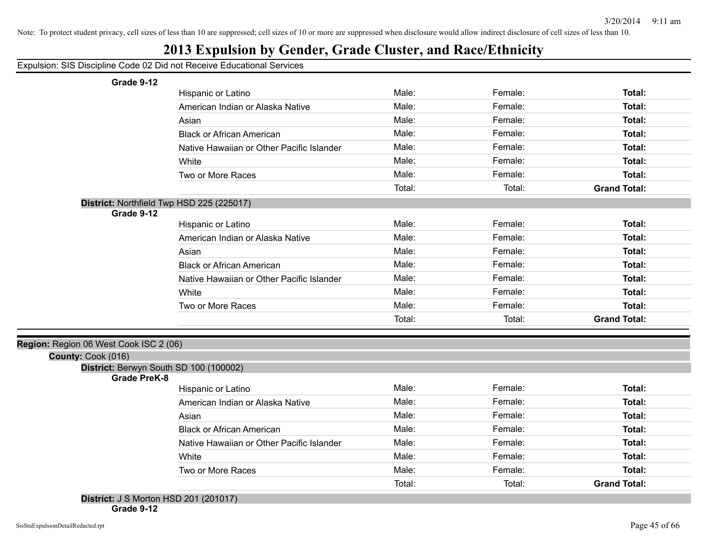## **2013 Expulsion by Gender, Grade Cluster, and Race/Ethnicity**

Expulsion: SIS Discipline Code 02 Did not Receive Educational Services

**Grade 9-12**

| Grade 9-12                                                   |                                           |        |         |                     |
|--------------------------------------------------------------|-------------------------------------------|--------|---------|---------------------|
|                                                              | Hispanic or Latino                        | Male:  | Female: | Total:              |
|                                                              | American Indian or Alaska Native          | Male:  | Female: | Total:              |
|                                                              | Asian                                     | Male:  | Female: | Total:              |
|                                                              | <b>Black or African American</b>          | Male:  | Female: | Total:              |
|                                                              | Native Hawaiian or Other Pacific Islander | Male:  | Female: | Total:              |
|                                                              | White                                     | Male:  | Female: | Total:              |
|                                                              | Two or More Races                         | Male:  | Female: | Total:              |
|                                                              |                                           | Total: | Total:  | <b>Grand Total:</b> |
| District: Northfield Twp HSD 225 (225017)                    |                                           |        |         |                     |
| Grade 9-12                                                   |                                           |        |         |                     |
|                                                              | Hispanic or Latino                        | Male:  | Female: | Total:              |
|                                                              | American Indian or Alaska Native          | Male:  | Female: | Total:              |
|                                                              | Asian                                     | Male:  | Female: | Total:              |
|                                                              | <b>Black or African American</b>          | Male:  | Female: | Total:              |
|                                                              | Native Hawaiian or Other Pacific Islander | Male:  | Female: | Total:              |
|                                                              | White                                     | Male:  | Female: | Total:              |
|                                                              | Two or More Races                         | Male:  | Female: | Total:              |
|                                                              |                                           | Total: | Total:  | <b>Grand Total:</b> |
|                                                              |                                           |        |         |                     |
| Region: Region 06 West Cook ISC 2 (06)<br>County: Cook (016) |                                           |        |         |                     |
| District: Berwyn South SD 100 (100002)                       |                                           |        |         |                     |
| <b>Grade PreK-8</b>                                          |                                           |        |         |                     |
|                                                              | Hispanic or Latino                        | Male:  | Female: | Total:              |
|                                                              | American Indian or Alaska Native          | Male:  | Female: | Total:              |
|                                                              | Asian                                     | Male:  | Female: | Total:              |
|                                                              | <b>Black or African American</b>          | Male:  | Female: | Total:              |
|                                                              | Native Hawaiian or Other Pacific Islander | Male:  | Female: | Total:              |
|                                                              | White                                     | Male:  | Female: | Total:              |
|                                                              | Two or More Races                         | Male:  | Female: | Total:              |
|                                                              |                                           | Total: | Total:  | <b>Grand Total:</b> |
| <b>District: J S Morton HSD 201 (201017)</b>                 |                                           |        |         |                     |

**Grade 9-12**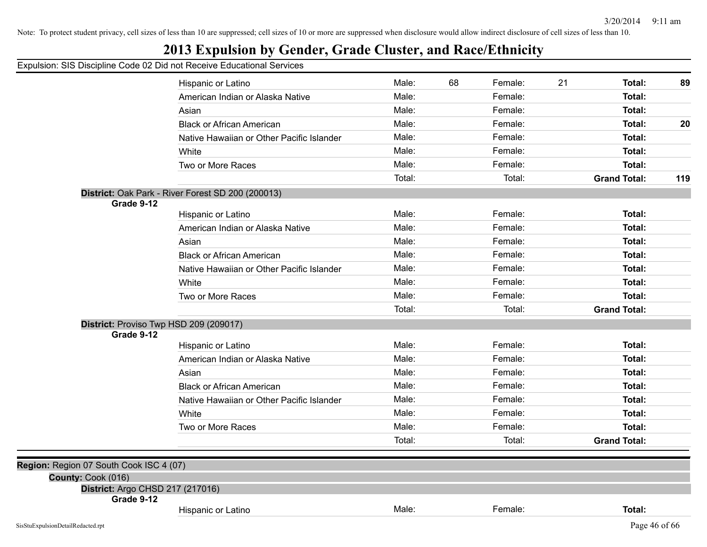## **2013 Expulsion by Gender, Grade Cluster, and Race/Ethnicity**

|                                         | Hispanic or Latino                                | Male:  | 68 | Female: | 21 | Total:              | 89  |
|-----------------------------------------|---------------------------------------------------|--------|----|---------|----|---------------------|-----|
|                                         | American Indian or Alaska Native                  | Male:  |    | Female: |    | Total:              |     |
|                                         | Asian                                             | Male:  |    | Female: |    | Total:              |     |
|                                         | <b>Black or African American</b>                  | Male:  |    | Female: |    | Total:              | 20  |
|                                         | Native Hawaiian or Other Pacific Islander         | Male:  |    | Female: |    | Total:              |     |
|                                         | White                                             | Male:  |    | Female: |    | Total:              |     |
|                                         | Two or More Races                                 | Male:  |    | Female: |    | Total:              |     |
|                                         |                                                   | Total: |    | Total:  |    | <b>Grand Total:</b> | 119 |
|                                         | District: Oak Park - River Forest SD 200 (200013) |        |    |         |    |                     |     |
| Grade 9-12                              |                                                   |        |    |         |    |                     |     |
|                                         | Hispanic or Latino                                | Male:  |    | Female: |    | Total:              |     |
|                                         | American Indian or Alaska Native                  | Male:  |    | Female: |    | Total:              |     |
|                                         | Asian                                             | Male:  |    | Female: |    | Total:              |     |
|                                         | <b>Black or African American</b>                  | Male:  |    | Female: |    | Total:              |     |
|                                         | Native Hawaiian or Other Pacific Islander         | Male:  |    | Female: |    | Total:              |     |
|                                         | White                                             | Male:  |    | Female: |    | Total:              |     |
|                                         | Two or More Races                                 | Male:  |    | Female: |    | Total:              |     |
|                                         |                                                   | Total: |    | Total:  |    | <b>Grand Total:</b> |     |
|                                         | District: Proviso Twp HSD 209 (209017)            |        |    |         |    |                     |     |
| Grade 9-12                              | Hispanic or Latino                                | Male:  |    | Female: |    | Total:              |     |
|                                         | American Indian or Alaska Native                  | Male:  |    | Female: |    | Total:              |     |
|                                         | Asian                                             | Male:  |    | Female: |    | Total:              |     |
|                                         | <b>Black or African American</b>                  | Male:  |    | Female: |    | Total:              |     |
|                                         | Native Hawaiian or Other Pacific Islander         | Male:  |    | Female: |    | Total:              |     |
|                                         | White                                             | Male:  |    | Female: |    | Total:              |     |
|                                         | Two or More Races                                 | Male:  |    | Female: |    | Total:              |     |
|                                         |                                                   | Total: |    | Total:  |    | <b>Grand Total:</b> |     |
| Region: Region 07 South Cook ISC 4 (07) |                                                   |        |    |         |    |                     |     |
| County: Cook (016)                      |                                                   |        |    |         |    |                     |     |
| District: Argo CHSD 217 (217016)        |                                                   |        |    |         |    |                     |     |
| Grade 9-12                              |                                                   |        |    |         |    |                     |     |
|                                         | Hispanic or Latino                                | Male:  |    | Female: |    | Total:              |     |
| SisStuExpulsionDetailRedacted.rpt       |                                                   |        |    |         |    | Page 46 of $66$     |     |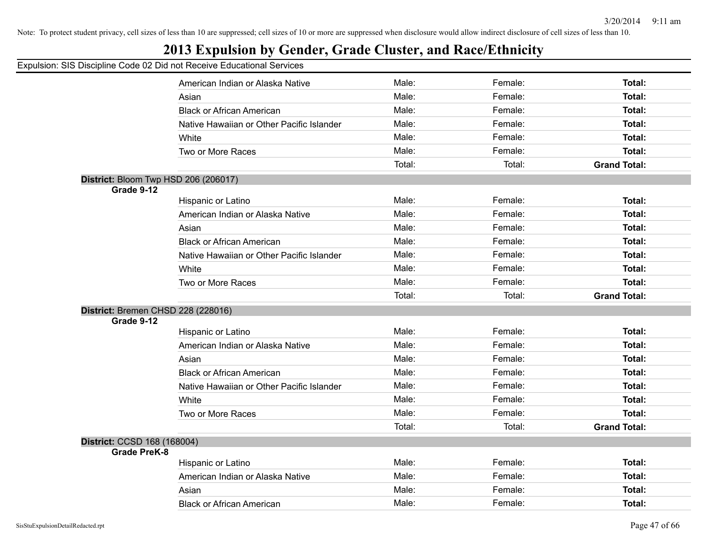## **2013 Expulsion by Gender, Grade Cluster, and Race/Ethnicity**

|                                                    | American Indian or Alaska Native          | Male:  | Female: | Total:              |
|----------------------------------------------------|-------------------------------------------|--------|---------|---------------------|
|                                                    | Asian                                     | Male:  | Female: | Total:              |
|                                                    | <b>Black or African American</b>          | Male:  | Female: | Total:              |
|                                                    | Native Hawaiian or Other Pacific Islander | Male:  | Female: | Total:              |
|                                                    | White                                     | Male:  | Female: | Total:              |
|                                                    | Two or More Races                         | Male:  | Female: | Total:              |
|                                                    |                                           | Total: | Total:  | <b>Grand Total:</b> |
|                                                    | District: Bloom Twp HSD 206 (206017)      |        |         |                     |
| Grade 9-12                                         |                                           |        |         |                     |
|                                                    | Hispanic or Latino                        | Male:  | Female: | <b>Total:</b>       |
|                                                    | American Indian or Alaska Native          | Male:  | Female: | Total:              |
|                                                    | Asian                                     | Male:  | Female: | Total:              |
|                                                    | <b>Black or African American</b>          | Male:  | Female: | Total:              |
|                                                    | Native Hawaiian or Other Pacific Islander | Male:  | Female: | Total:              |
|                                                    | White                                     | Male:  | Female: | Total:              |
|                                                    | Two or More Races                         | Male:  | Female: | <b>Total:</b>       |
|                                                    |                                           | Total: | Total:  | <b>Grand Total:</b> |
|                                                    | District: Bremen CHSD 228 (228016)        |        |         |                     |
| Grade 9-12                                         |                                           |        |         |                     |
|                                                    | Hispanic or Latino                        | Male:  | Female: | Total:              |
|                                                    | American Indian or Alaska Native          | Male:  | Female: | Total:              |
|                                                    | Asian                                     | Male:  | Female: | Total:              |
|                                                    | <b>Black or African American</b>          | Male:  | Female: | Total:              |
|                                                    | Native Hawaiian or Other Pacific Islander | Male:  | Female: | Total:              |
|                                                    | White                                     | Male:  | Female: | Total:              |
|                                                    | Two or More Races                         | Male:  | Female: | <b>Total:</b>       |
|                                                    |                                           | Total: | Total:  | <b>Grand Total:</b> |
| District: CCSD 168 (168004)<br><b>Grade PreK-8</b> |                                           |        |         |                     |
|                                                    | Hispanic or Latino                        | Male:  | Female: | Total:              |
|                                                    | American Indian or Alaska Native          | Male:  | Female: | <b>Total:</b>       |
|                                                    | Asian                                     | Male:  | Female: | Total:              |
|                                                    | <b>Black or African American</b>          | Male:  | Female: | Total:              |
|                                                    |                                           |        |         |                     |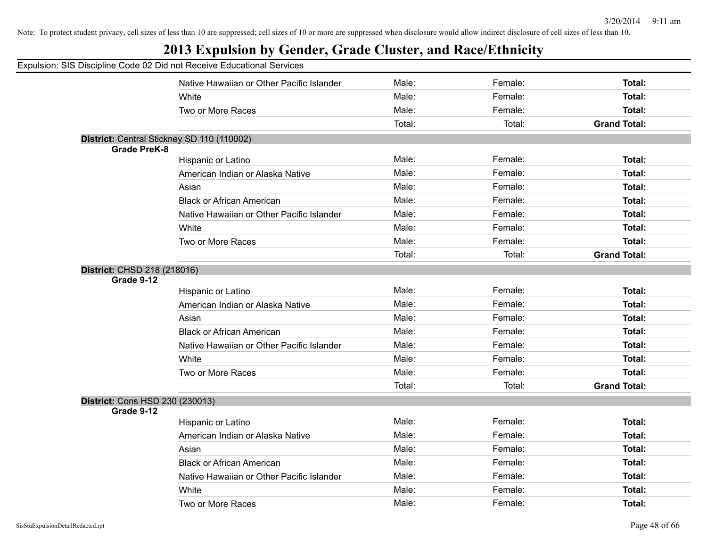## **2013 Expulsion by Gender, Grade Cluster, and Race/Ethnicity**

|                                 | Native Hawaiian or Other Pacific Islander  | Male:  | Female: | <b>Total:</b>       |
|---------------------------------|--------------------------------------------|--------|---------|---------------------|
|                                 | White                                      | Male:  | Female: | <b>Total:</b>       |
|                                 | Two or More Races                          | Male:  | Female: | <b>Total:</b>       |
|                                 |                                            | Total: | Total:  | <b>Grand Total:</b> |
|                                 | District: Central Stickney SD 110 (110002) |        |         |                     |
| <b>Grade PreK-8</b>             |                                            |        |         |                     |
|                                 | Hispanic or Latino                         | Male:  | Female: | Total:              |
|                                 | American Indian or Alaska Native           | Male:  | Female: | <b>Total:</b>       |
|                                 | Asian                                      | Male:  | Female: | <b>Total:</b>       |
|                                 | <b>Black or African American</b>           | Male:  | Female: | <b>Total:</b>       |
|                                 | Native Hawaiian or Other Pacific Islander  | Male:  | Female: | <b>Total:</b>       |
|                                 | White                                      | Male:  | Female: | Total:              |
|                                 | Two or More Races                          | Male:  | Female: | <b>Total:</b>       |
|                                 |                                            | Total: | Total:  | <b>Grand Total:</b> |
| District: CHSD 218 (218016)     |                                            |        |         |                     |
| Grade 9-12                      |                                            |        |         |                     |
|                                 | Hispanic or Latino                         | Male:  | Female: | Total:              |
|                                 | American Indian or Alaska Native           | Male:  | Female: | <b>Total:</b>       |
|                                 | Asian                                      | Male:  | Female: | <b>Total:</b>       |
|                                 | <b>Black or African American</b>           | Male:  | Female: | <b>Total:</b>       |
|                                 | Native Hawaiian or Other Pacific Islander  | Male:  | Female: | <b>Total:</b>       |
|                                 | White                                      | Male:  | Female: | Total:              |
|                                 | Two or More Races                          | Male:  | Female: | <b>Total:</b>       |
|                                 |                                            | Total: | Total:  | <b>Grand Total:</b> |
| District: Cons HSD 230 (230013) |                                            |        |         |                     |
| Grade 9-12                      |                                            |        |         |                     |
|                                 | Hispanic or Latino                         | Male:  | Female: | <b>Total:</b>       |
|                                 | American Indian or Alaska Native           | Male:  | Female: | <b>Total:</b>       |
|                                 | Asian                                      | Male:  | Female: | <b>Total:</b>       |
|                                 | <b>Black or African American</b>           | Male:  | Female: | <b>Total:</b>       |
|                                 | Native Hawaiian or Other Pacific Islander  | Male:  | Female: | Total:              |
|                                 | White                                      | Male:  | Female: | <b>Total:</b>       |
|                                 | Two or More Races                          | Male:  | Female: | Total:              |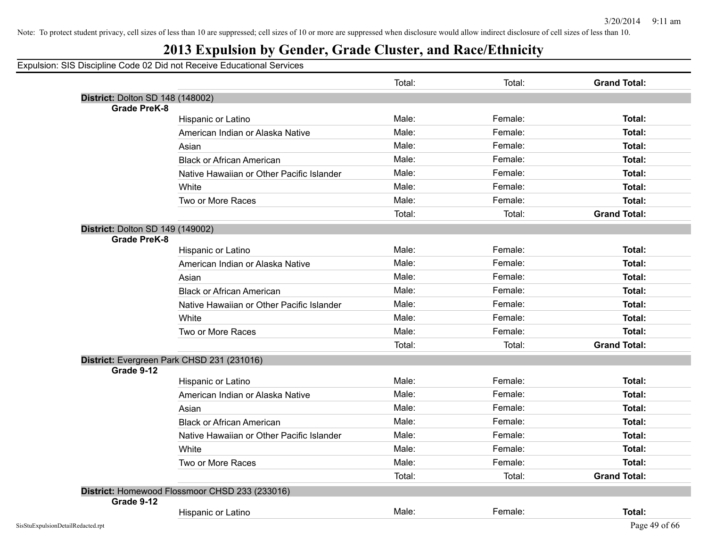## **2013 Expulsion by Gender, Grade Cluster, and Race/Ethnicity**

|                                  |                                                | Total: | Total:  | <b>Grand Total:</b> |
|----------------------------------|------------------------------------------------|--------|---------|---------------------|
| District: Dolton SD 148 (148002) |                                                |        |         |                     |
| <b>Grade PreK-8</b>              |                                                |        |         |                     |
|                                  | Hispanic or Latino                             | Male:  | Female: | Total:              |
|                                  | American Indian or Alaska Native               | Male:  | Female: | Total:              |
|                                  | Asian                                          | Male:  | Female: | Total:              |
|                                  | <b>Black or African American</b>               | Male:  | Female: | Total:              |
|                                  | Native Hawaiian or Other Pacific Islander      | Male:  | Female: | Total:              |
|                                  | White                                          | Male:  | Female: | Total:              |
|                                  | Two or More Races                              | Male:  | Female: | Total:              |
|                                  |                                                | Total: | Total:  | <b>Grand Total:</b> |
| District: Dolton SD 149 (149002) |                                                |        |         |                     |
| <b>Grade PreK-8</b>              |                                                |        |         |                     |
|                                  | Hispanic or Latino                             | Male:  | Female: | Total:              |
|                                  | American Indian or Alaska Native               | Male:  | Female: | Total:              |
|                                  | Asian                                          | Male:  | Female: | Total:              |
|                                  | <b>Black or African American</b>               | Male:  | Female: | Total:              |
|                                  | Native Hawaiian or Other Pacific Islander      | Male:  | Female: | Total:              |
|                                  | White                                          | Male:  | Female: | Total:              |
|                                  | Two or More Races                              | Male:  | Female: | Total:              |
|                                  |                                                | Total: | Total:  | <b>Grand Total:</b> |
|                                  | District: Evergreen Park CHSD 231 (231016)     |        |         |                     |
| Grade 9-12                       |                                                |        |         |                     |
|                                  | Hispanic or Latino                             | Male:  | Female: | Total:              |
|                                  | American Indian or Alaska Native               | Male:  | Female: | Total:              |
|                                  | Asian                                          | Male:  | Female: | Total:              |
|                                  | <b>Black or African American</b>               | Male:  | Female: | Total:              |
|                                  | Native Hawaiian or Other Pacific Islander      | Male:  | Female: | Total:              |
|                                  | White                                          | Male:  | Female: | Total:              |
|                                  | Two or More Races                              | Male:  | Female: | Total:              |
|                                  |                                                | Total: | Total:  | <b>Grand Total:</b> |
|                                  | District: Homewood Flossmoor CHSD 233 (233016) |        |         |                     |
| Grade 9-12                       |                                                |        |         |                     |
|                                  | Hispanic or Latino                             | Male:  | Female: | Total:              |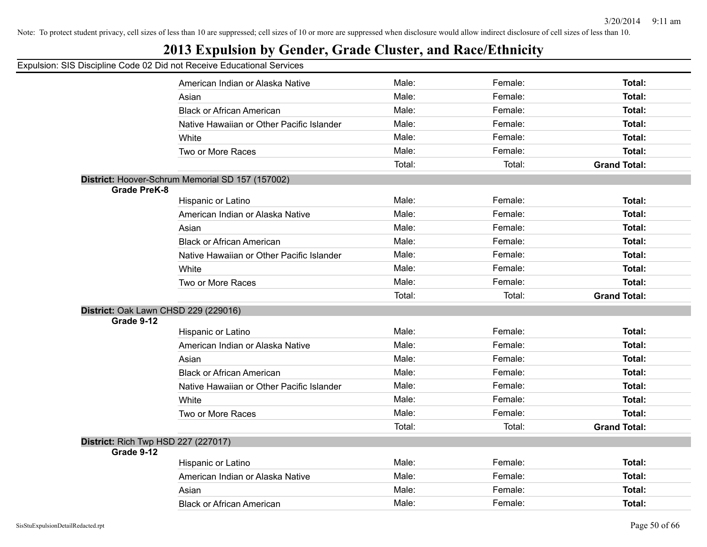## **2013 Expulsion by Gender, Grade Cluster, and Race/Ethnicity**

|                                     | American Indian or Alaska Native                 | Male:  | Female: | <b>Total:</b>       |
|-------------------------------------|--------------------------------------------------|--------|---------|---------------------|
|                                     | Asian                                            | Male:  | Female: | <b>Total:</b>       |
|                                     | <b>Black or African American</b>                 | Male:  | Female: | Total:              |
|                                     | Native Hawaiian or Other Pacific Islander        | Male:  | Female: | Total:              |
|                                     | White                                            | Male:  | Female: | Total:              |
|                                     | Two or More Races                                | Male:  | Female: | Total:              |
|                                     |                                                  | Total: | Total:  | <b>Grand Total:</b> |
|                                     | District: Hoover-Schrum Memorial SD 157 (157002) |        |         |                     |
| <b>Grade PreK-8</b>                 |                                                  |        |         |                     |
|                                     | Hispanic or Latino                               | Male:  | Female: | <b>Total:</b>       |
|                                     | American Indian or Alaska Native                 | Male:  | Female: | Total:              |
|                                     | Asian                                            | Male:  | Female: | <b>Total:</b>       |
|                                     | <b>Black or African American</b>                 | Male:  | Female: | <b>Total:</b>       |
|                                     | Native Hawaiian or Other Pacific Islander        | Male:  | Female: | <b>Total:</b>       |
|                                     | White                                            | Male:  | Female: | Total:              |
|                                     | Two or More Races                                | Male:  | Female: | Total:              |
|                                     |                                                  | Total: | Total:  | <b>Grand Total:</b> |
|                                     | District: Oak Lawn CHSD 229 (229016)             |        |         |                     |
| Grade 9-12                          |                                                  |        |         |                     |
|                                     | Hispanic or Latino                               | Male:  | Female: | <b>Total:</b>       |
|                                     | American Indian or Alaska Native                 | Male:  | Female: | <b>Total:</b>       |
|                                     | Asian                                            | Male:  | Female: | <b>Total:</b>       |
|                                     | <b>Black or African American</b>                 | Male:  | Female: | <b>Total:</b>       |
|                                     | Native Hawaiian or Other Pacific Islander        | Male:  | Female: | Total:              |
|                                     | White                                            | Male:  | Female: | <b>Total:</b>       |
|                                     |                                                  |        |         |                     |
|                                     | Two or More Races                                | Male:  | Female: | Total:              |
|                                     |                                                  | Total: | Total:  | <b>Grand Total:</b> |
| District: Rich Twp HSD 227 (227017) |                                                  |        |         |                     |
| Grade 9-12                          | Hispanic or Latino                               | Male:  | Female: | Total:              |
|                                     | American Indian or Alaska Native                 | Male:  | Female: | <b>Total:</b>       |
|                                     | Asian                                            | Male:  | Female: | <b>Total:</b>       |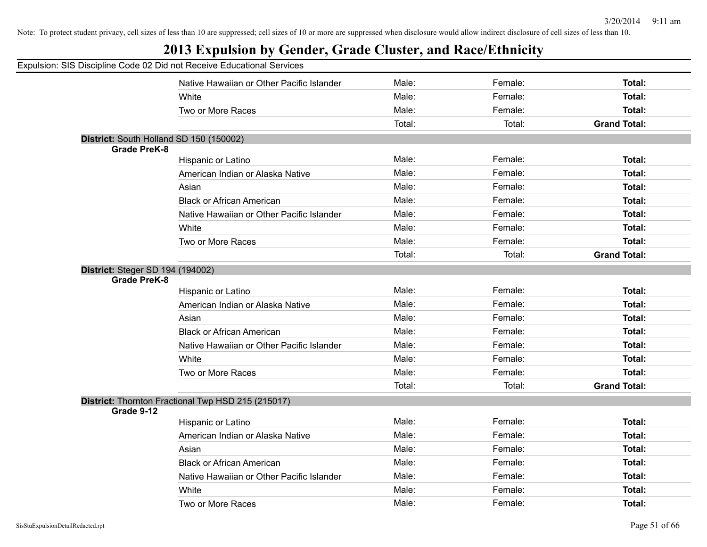|                                         | Expulsion: SIS Discipline Code 02 Did not Receive Educational Services |        |         |                     |
|-----------------------------------------|------------------------------------------------------------------------|--------|---------|---------------------|
|                                         | Native Hawaiian or Other Pacific Islander                              | Male:  | Female: | Total:              |
|                                         | White                                                                  | Male:  | Female: | Total:              |
|                                         | Two or More Races                                                      | Male:  | Female: | Total:              |
|                                         |                                                                        | Total: | Total:  | <b>Grand Total:</b> |
| District: South Holland SD 150 (150002) |                                                                        |        |         |                     |
| <b>Grade PreK-8</b>                     |                                                                        |        |         |                     |
|                                         | Hispanic or Latino                                                     | Male:  | Female: | Total:              |
|                                         | American Indian or Alaska Native                                       | Male:  | Female: | Total:              |
|                                         | Asian                                                                  | Male:  | Female: | Total:              |
|                                         | <b>Black or African American</b>                                       | Male:  | Female: | Total:              |
|                                         | Native Hawaiian or Other Pacific Islander                              | Male:  | Female: | Total:              |
|                                         | White                                                                  | Male:  | Female: | Total:              |
|                                         | Two or More Races                                                      | Male:  | Female: | Total:              |
|                                         |                                                                        | Total: | Total:  | <b>Grand Total:</b> |
| <b>District: Steger SD 194 (194002)</b> |                                                                        |        |         |                     |
| <b>Grade PreK-8</b>                     |                                                                        |        |         |                     |
|                                         | Hispanic or Latino                                                     | Male:  | Female: | Total:              |
|                                         | American Indian or Alaska Native                                       | Male:  | Female: | Total:              |
|                                         | Asian                                                                  | Male:  | Female: | Total:              |
|                                         | <b>Black or African American</b>                                       | Male:  | Female: | Total:              |
|                                         | Native Hawaiian or Other Pacific Islander                              | Male:  | Female: | Total:              |
|                                         | White                                                                  | Male:  | Female: | Total:              |
|                                         | Two or More Races                                                      | Male:  | Female: | Total:              |
|                                         |                                                                        | Total: | Total:  | <b>Grand Total:</b> |
|                                         | District: Thornton Fractional Twp HSD 215 (215017)                     |        |         |                     |
| Grade 9-12                              |                                                                        |        |         |                     |
|                                         | Hispanic or Latino                                                     | Male:  | Female: | Total:              |
|                                         | American Indian or Alaska Native                                       | Male:  | Female: | Total:              |
|                                         | Asian                                                                  | Male:  | Female: | Total:              |
|                                         | <b>Black or African American</b>                                       | Male:  | Female: | Total:              |
|                                         | Native Hawaiian or Other Pacific Islander                              | Male:  | Female: | Total:              |
|                                         | White                                                                  | Male:  | Female: | Total:              |
|                                         | Two or More Races                                                      | Male:  | Female: | Total:              |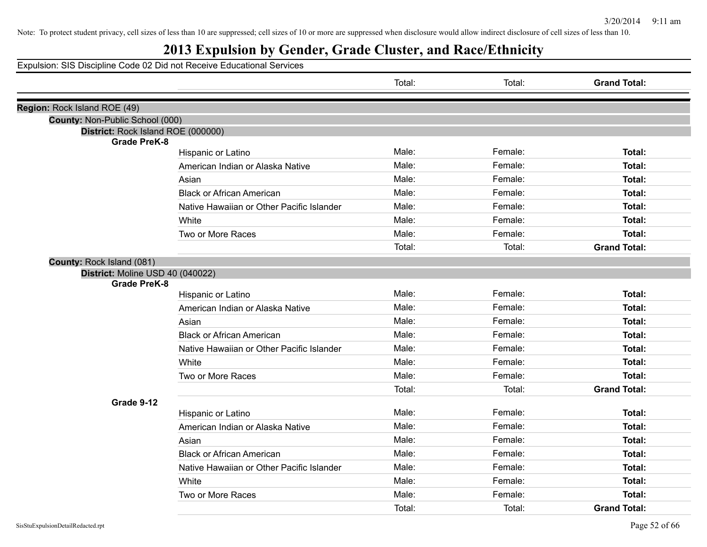## **2013 Expulsion by Gender, Grade Cluster, and Race/Ethnicity**

|                                                           |                                           | Total: | Total:  | <b>Grand Total:</b> |
|-----------------------------------------------------------|-------------------------------------------|--------|---------|---------------------|
| Region: Rock Island ROE (49)                              |                                           |        |         |                     |
| County: Non-Public School (000)                           |                                           |        |         |                     |
| District: Rock Island ROE (000000)<br><b>Grade PreK-8</b> |                                           |        |         |                     |
|                                                           | Hispanic or Latino                        | Male:  | Female: | Total:              |
|                                                           | American Indian or Alaska Native          | Male:  | Female: | Total:              |
|                                                           | Asian                                     | Male:  | Female: | Total:              |
|                                                           | <b>Black or African American</b>          | Male:  | Female: | Total:              |
|                                                           | Native Hawaiian or Other Pacific Islander | Male:  | Female: | Total:              |
|                                                           | White                                     | Male:  | Female: | Total:              |
|                                                           | Two or More Races                         | Male:  | Female: | Total:              |
|                                                           |                                           | Total: | Total:  | <b>Grand Total:</b> |
| County: Rock Island (081)                                 |                                           |        |         |                     |
| District: Moline USD 40 (040022)<br><b>Grade PreK-8</b>   |                                           |        |         |                     |
|                                                           | Hispanic or Latino                        | Male:  | Female: | Total:              |
|                                                           | American Indian or Alaska Native          | Male:  | Female: | Total:              |
|                                                           | Asian                                     | Male:  | Female: | Total:              |
|                                                           | <b>Black or African American</b>          | Male:  | Female: | Total:              |
|                                                           | Native Hawaiian or Other Pacific Islander | Male:  | Female: | Total:              |
|                                                           | White                                     | Male:  | Female: | Total:              |
|                                                           | Two or More Races                         | Male:  | Female: | Total:              |
|                                                           |                                           | Total: | Total:  | <b>Grand Total:</b> |
| Grade 9-12                                                |                                           |        |         |                     |
|                                                           | Hispanic or Latino                        | Male:  | Female: | Total:              |
|                                                           | American Indian or Alaska Native          | Male:  | Female: | Total:              |
|                                                           | Asian                                     | Male:  | Female: | Total:              |
|                                                           | <b>Black or African American</b>          | Male:  | Female: | Total:              |
|                                                           | Native Hawaiian or Other Pacific Islander | Male:  | Female: | Total:              |
|                                                           | White                                     | Male:  | Female: | Total:              |
|                                                           | Two or More Races                         | Male:  | Female: | Total:              |
|                                                           |                                           | Total: | Total:  | <b>Grand Total:</b> |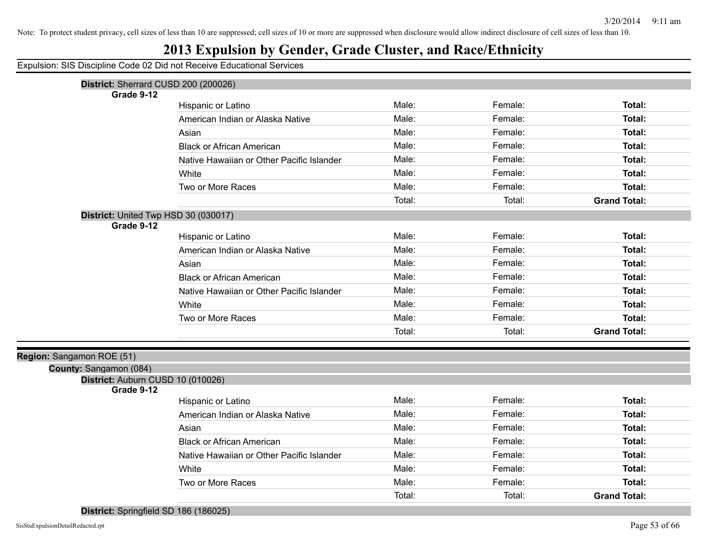#### **2013 Expulsion by Gender, Grade Cluster, and Race/Ethnicity**

Expulsion: SIS Discipline Code 02 Did not Receive Educational Services

| District: Sherrard CUSD 200 (200026) |                                           |        |         |                     |
|--------------------------------------|-------------------------------------------|--------|---------|---------------------|
| Grade 9-12                           |                                           |        |         |                     |
|                                      | Hispanic or Latino                        | Male:  | Female: | Total:              |
|                                      | American Indian or Alaska Native          | Male:  | Female: | Total:              |
|                                      | Asian                                     | Male:  | Female: | Total:              |
|                                      | <b>Black or African American</b>          | Male:  | Female: | Total:              |
|                                      | Native Hawaiian or Other Pacific Islander | Male:  | Female: | Total:              |
|                                      | White                                     | Male:  | Female: | Total:              |
|                                      | Two or More Races                         | Male:  | Female: | Total:              |
|                                      |                                           | Total: | Total:  | <b>Grand Total:</b> |
| District: United Twp HSD 30 (030017) |                                           |        |         |                     |
| Grade 9-12                           |                                           |        |         |                     |
|                                      | Hispanic or Latino                        | Male:  | Female: | Total:              |
|                                      | American Indian or Alaska Native          | Male:  | Female: | Total:              |
|                                      | Asian                                     | Male:  | Female: | Total:              |
|                                      | <b>Black or African American</b>          | Male:  | Female: | Total:              |
|                                      | Native Hawaiian or Other Pacific Islander | Male:  | Female: | Total:              |
|                                      | White                                     | Male:  | Female: | Total:              |
|                                      | Two or More Races                         | Male:  | Female: | Total:              |
|                                      |                                           | Total: | Total:  | <b>Grand Total:</b> |
| Region: Sangamon ROE (51)            |                                           |        |         |                     |
| County: Sangamon (084)               |                                           |        |         |                     |
| District: Auburn CUSD 10 (010026)    |                                           |        |         |                     |
| Grade 9-12                           | Hispanic or Latino                        | Male:  | Female: | Total:              |
|                                      | American Indian or Alaska Native          | Male:  | Female: | Total:              |
|                                      |                                           | Male:  | Female: | Total:              |
|                                      | Asian                                     |        |         |                     |
|                                      | <b>Black or African American</b>          | Male:  | Female: | Total:              |
|                                      | Native Hawaiian or Other Pacific Islander | Male:  | Female: | Total:              |
|                                      | White                                     | Male:  | Female: | Total:              |
|                                      | Two or More Races                         | Male:  | Female: | Total:              |
| - 20<br>$\sim$<br>- 20               |                                           | Total: | Total:  | <b>Grand Total:</b> |

**District:** Springfield SD 186 (186025)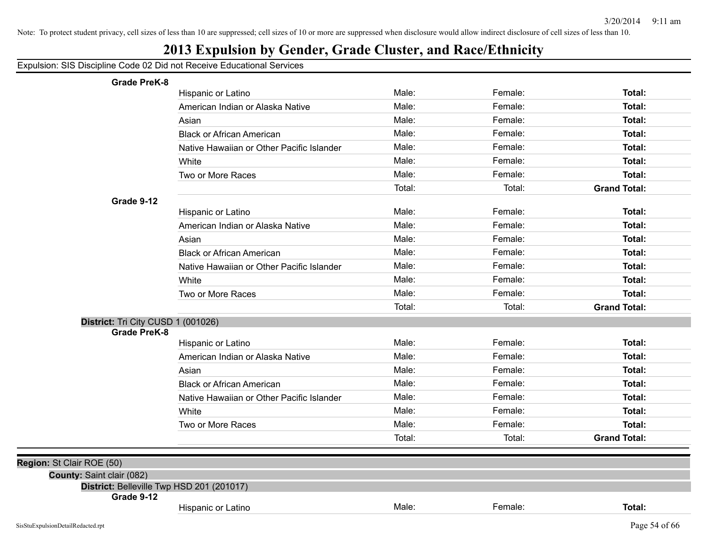## **2013 Expulsion by Gender, Grade Cluster, and Race/Ethnicity**

| <b>Grade PreK-8</b>                                                    |                                           |        |         |                     |
|------------------------------------------------------------------------|-------------------------------------------|--------|---------|---------------------|
|                                                                        | Hispanic or Latino                        | Male:  | Female: | Total:              |
|                                                                        | American Indian or Alaska Native          | Male:  | Female: | Total:              |
|                                                                        | Asian                                     | Male:  | Female: | Total:              |
|                                                                        | <b>Black or African American</b>          | Male:  | Female: | Total:              |
|                                                                        | Native Hawaiian or Other Pacific Islander | Male:  | Female: | Total:              |
|                                                                        | White                                     | Male:  | Female: | Total:              |
|                                                                        | Two or More Races                         | Male:  | Female: | Total:              |
|                                                                        |                                           | Total: | Total:  | <b>Grand Total:</b> |
| Grade 9-12                                                             |                                           |        |         |                     |
|                                                                        | Hispanic or Latino                        | Male:  | Female: | Total:              |
|                                                                        | American Indian or Alaska Native          | Male:  | Female: | Total:              |
|                                                                        | Asian                                     | Male:  | Female: | Total:              |
|                                                                        | <b>Black or African American</b>          | Male:  | Female: | Total:              |
|                                                                        | Native Hawaiian or Other Pacific Islander | Male:  | Female: | Total:              |
|                                                                        | White                                     | Male:  | Female: | Total:              |
|                                                                        | Two or More Races                         | Male:  | Female: | Total:              |
|                                                                        |                                           | Total: | Total:  | <b>Grand Total:</b> |
| District: Tri City CUSD 1 (001026)                                     |                                           |        |         |                     |
| <b>Grade PreK-8</b>                                                    |                                           |        |         |                     |
|                                                                        | Hispanic or Latino                        | Male:  | Female: | Total:              |
|                                                                        | American Indian or Alaska Native          | Male:  | Female: | Total:              |
|                                                                        | Asian                                     | Male:  | Female: | Total:              |
|                                                                        | <b>Black or African American</b>          | Male:  | Female: | Total:              |
|                                                                        | Native Hawaiian or Other Pacific Islander | Male:  | Female: | Total:              |
|                                                                        | White                                     | Male:  | Female: | Total:              |
|                                                                        | Two or More Races                         | Male:  | Female: | Total:              |
|                                                                        |                                           | Total: | Total:  | <b>Grand Total:</b> |
|                                                                        |                                           |        |         |                     |
| Region: St Clair ROE (50)                                              |                                           |        |         |                     |
| County: Saint clair (082)<br>District: Belleville Twp HSD 201 (201017) |                                           |        |         |                     |
| Grade 9-12                                                             |                                           |        |         |                     |
|                                                                        | <b>Hispanic or Latino</b>                 | Male:  | Female: | Total:              |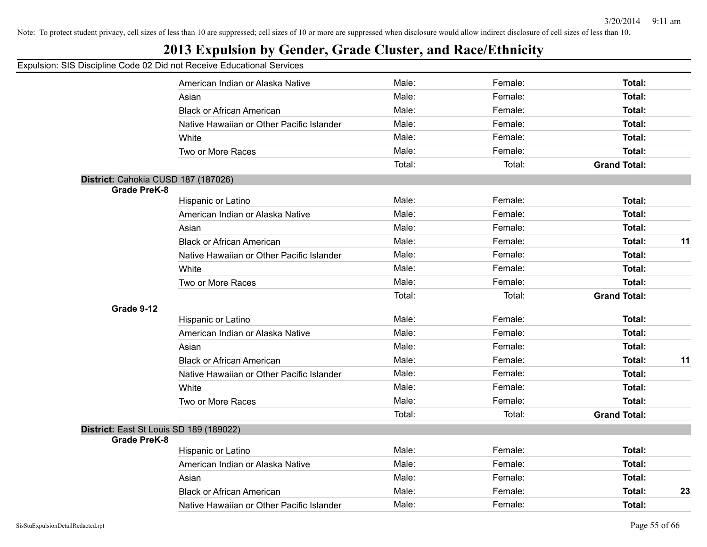## **2013 Expulsion by Gender, Grade Cluster, and Race/Ethnicity**

|                                         | American Indian or Alaska Native          | Male:  | Female: | Total:              |    |
|-----------------------------------------|-------------------------------------------|--------|---------|---------------------|----|
|                                         | Asian                                     | Male:  | Female: | Total:              |    |
|                                         | <b>Black or African American</b>          | Male:  | Female: | Total:              |    |
|                                         | Native Hawaiian or Other Pacific Islander | Male:  | Female: | Total:              |    |
|                                         | White                                     | Male:  | Female: | Total:              |    |
|                                         | Two or More Races                         | Male:  | Female: | Total:              |    |
|                                         |                                           | Total: | Total:  | <b>Grand Total:</b> |    |
| District: Cahokia CUSD 187 (187026)     |                                           |        |         |                     |    |
| <b>Grade PreK-8</b>                     |                                           |        |         |                     |    |
|                                         | Hispanic or Latino                        | Male:  | Female: | Total:              |    |
|                                         | American Indian or Alaska Native          | Male:  | Female: | Total:              |    |
|                                         | Asian                                     | Male:  | Female: | Total:              |    |
|                                         | <b>Black or African American</b>          | Male:  | Female: | Total:              | 11 |
|                                         | Native Hawaiian or Other Pacific Islander | Male:  | Female: | Total:              |    |
|                                         | White                                     | Male:  | Female: | Total:              |    |
|                                         | Two or More Races                         | Male:  | Female: | Total:              |    |
|                                         |                                           | Total: | Total:  | <b>Grand Total:</b> |    |
| Grade 9-12                              |                                           |        |         |                     |    |
|                                         | Hispanic or Latino                        | Male:  | Female: | Total:              |    |
|                                         | American Indian or Alaska Native          | Male:  | Female: | Total:              |    |
|                                         | Asian                                     | Male:  | Female: | Total:              |    |
|                                         | <b>Black or African American</b>          | Male:  | Female: | Total:              | 11 |
|                                         | Native Hawaiian or Other Pacific Islander | Male:  | Female: | Total:              |    |
|                                         | White                                     | Male:  | Female: | Total:              |    |
|                                         | Two or More Races                         | Male:  | Female: | Total:              |    |
|                                         |                                           | Total: | Total:  | <b>Grand Total:</b> |    |
| District: East St Louis SD 189 (189022) |                                           |        |         |                     |    |
| <b>Grade PreK-8</b>                     |                                           |        |         |                     |    |
|                                         | Hispanic or Latino                        | Male:  | Female: | Total:              |    |
|                                         | American Indian or Alaska Native          | Male:  | Female: | Total:              |    |
|                                         | Asian                                     | Male:  | Female: | Total:              |    |
|                                         | <b>Black or African American</b>          | Male:  | Female: | Total:              | 23 |
|                                         | Native Hawaiian or Other Pacific Islander | Male:  | Female: | Total:              |    |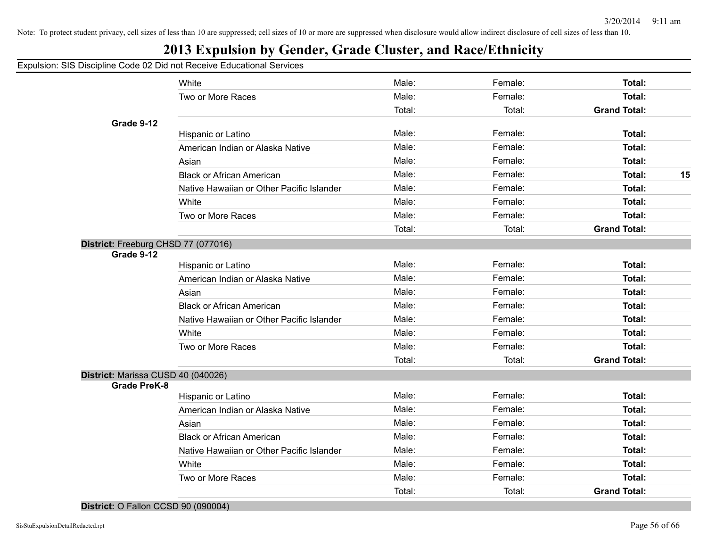## **2013 Expulsion by Gender, Grade Cluster, and Race/Ethnicity**

#### Expulsion: SIS Discipline Code 02 Did not Receive Educational Services

|                                     | White                                     | Male:  | Female: | Total:              |    |
|-------------------------------------|-------------------------------------------|--------|---------|---------------------|----|
|                                     | Two or More Races                         | Male:  | Female: | <b>Total:</b>       |    |
|                                     |                                           | Total: | Total:  | <b>Grand Total:</b> |    |
| Grade 9-12                          |                                           |        |         |                     |    |
|                                     | Hispanic or Latino                        | Male:  | Female: | Total:              |    |
|                                     | American Indian or Alaska Native          | Male:  | Female: | Total:              |    |
|                                     | Asian                                     | Male:  | Female: | Total:              |    |
|                                     | <b>Black or African American</b>          | Male:  | Female: | Total:              | 15 |
|                                     | Native Hawaiian or Other Pacific Islander | Male:  | Female: | Total:              |    |
|                                     | White                                     | Male:  | Female: | Total:              |    |
|                                     | Two or More Races                         | Male:  | Female: | <b>Total:</b>       |    |
|                                     |                                           | Total: | Total:  | <b>Grand Total:</b> |    |
| District: Freeburg CHSD 77 (077016) |                                           |        |         |                     |    |
| Grade 9-12                          |                                           |        |         |                     |    |
|                                     | Hispanic or Latino                        | Male:  | Female: | Total:              |    |
|                                     | American Indian or Alaska Native          | Male:  | Female: | Total:              |    |
|                                     | Asian                                     | Male:  | Female: | <b>Total:</b>       |    |
|                                     | <b>Black or African American</b>          | Male:  | Female: | Total:              |    |
|                                     | Native Hawaiian or Other Pacific Islander | Male:  | Female: | Total:              |    |
|                                     | White                                     | Male:  | Female: | Total:              |    |
|                                     | Two or More Races                         | Male:  | Female: | Total:              |    |
|                                     |                                           | Total: | Total:  | <b>Grand Total:</b> |    |
| District: Marissa CUSD 40 (040026)  |                                           |        |         |                     |    |
| <b>Grade PreK-8</b>                 | Hispanic or Latino                        | Male:  | Female: | Total:              |    |
|                                     | American Indian or Alaska Native          | Male:  | Female: | Total:              |    |
|                                     | Asian                                     | Male:  | Female: | Total:              |    |
|                                     | <b>Black or African American</b>          | Male:  | Female: | Total:              |    |
|                                     |                                           |        |         |                     |    |
|                                     | Native Hawaiian or Other Pacific Islander | Male:  | Female: | Total:              |    |
|                                     | White                                     | Male:  | Female: | Total:              |    |
|                                     | Two or More Races                         | Male:  | Female: | Total:              |    |
|                                     |                                           | Total: | Total:  | <b>Grand Total:</b> |    |

#### **District:** O Fallon CCSD 90 (090004)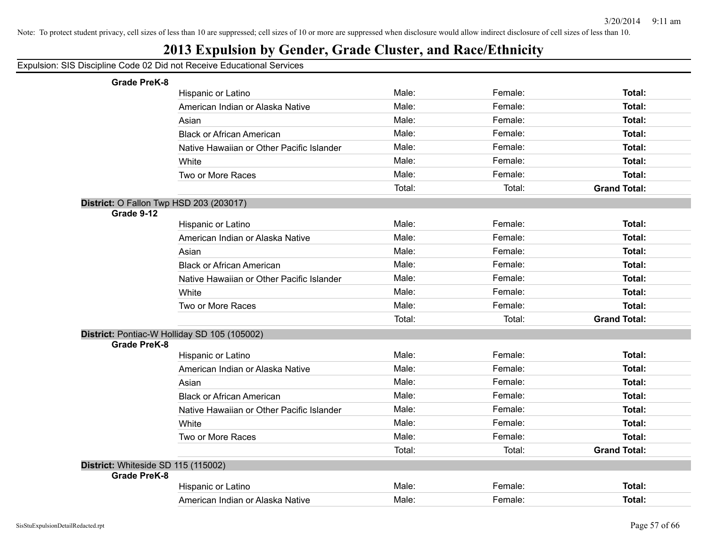## **2013 Expulsion by Gender, Grade Cluster, and Race/Ethnicity**

| <b>Grade PreK-8</b>                            |                                              |        |         |                     |
|------------------------------------------------|----------------------------------------------|--------|---------|---------------------|
|                                                | Hispanic or Latino                           | Male:  | Female: | Total:              |
|                                                | American Indian or Alaska Native             | Male:  | Female: | Total:              |
|                                                | Asian                                        | Male:  | Female: | Total:              |
|                                                | <b>Black or African American</b>             | Male:  | Female: | Total:              |
|                                                | Native Hawaiian or Other Pacific Islander    | Male:  | Female: | Total:              |
|                                                | White                                        | Male:  | Female: | Total:              |
|                                                | Two or More Races                            | Male:  | Female: | Total:              |
|                                                |                                              | Total: | Total:  | <b>Grand Total:</b> |
| <b>District: O Fallon Twp HSD 203 (203017)</b> |                                              |        |         |                     |
| Grade 9-12                                     |                                              |        |         |                     |
|                                                | Hispanic or Latino                           | Male:  | Female: | Total:              |
|                                                | American Indian or Alaska Native             | Male:  | Female: | Total:              |
|                                                | Asian                                        | Male:  | Female: | Total:              |
|                                                | <b>Black or African American</b>             | Male:  | Female: | Total:              |
|                                                | Native Hawaiian or Other Pacific Islander    | Male:  | Female: | Total:              |
|                                                | White                                        | Male:  | Female: | Total:              |
|                                                | Two or More Races                            | Male:  | Female: | Total:              |
|                                                |                                              | Total: | Total:  | <b>Grand Total:</b> |
|                                                | District: Pontiac-W Holliday SD 105 (105002) |        |         |                     |
| <b>Grade PreK-8</b>                            |                                              |        |         |                     |
|                                                | Hispanic or Latino                           | Male:  | Female: | Total:              |
|                                                | American Indian or Alaska Native             | Male:  | Female: | Total:              |
|                                                | Asian                                        | Male:  | Female: | Total:              |
|                                                | <b>Black or African American</b>             | Male:  | Female: | Total:              |
|                                                | Native Hawaiian or Other Pacific Islander    | Male:  | Female: | Total:              |
|                                                | White                                        | Male:  | Female: | Total:              |
|                                                | Two or More Races                            | Male:  | Female: | Total:              |
|                                                |                                              | Total: | Total:  | <b>Grand Total:</b> |
| District: Whiteside SD 115 (115002)            |                                              |        |         |                     |
| <b>Grade PreK-8</b>                            |                                              |        |         |                     |
|                                                | Hispanic or Latino                           | Male:  | Female: | <b>Total:</b>       |
|                                                | American Indian or Alaska Native             | Male:  | Female: | Total:              |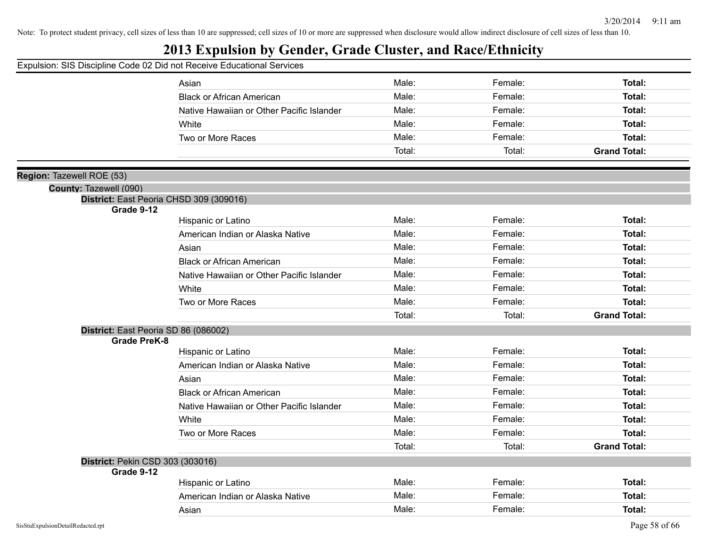## **2013 Expulsion by Gender, Grade Cluster, and Race/Ethnicity**

|                                      | Asian                                     | Male:  | Female: | Total:              |
|--------------------------------------|-------------------------------------------|--------|---------|---------------------|
|                                      | <b>Black or African American</b>          | Male:  | Female: | Total:              |
|                                      | Native Hawaiian or Other Pacific Islander | Male:  | Female: | Total:              |
|                                      | White                                     | Male:  | Female: | Total:              |
|                                      | Two or More Races                         | Male:  | Female: | Total:              |
|                                      |                                           | Total: | Total:  | <b>Grand Total:</b> |
|                                      |                                           |        |         |                     |
| Region: Tazewell ROE (53)            |                                           |        |         |                     |
| County: Tazewell (090)               |                                           |        |         |                     |
|                                      | District: East Peoria CHSD 309 (309016)   |        |         |                     |
| Grade 9-12                           | Hispanic or Latino                        | Male:  | Female: | Total:              |
|                                      | American Indian or Alaska Native          | Male:  | Female: | Total:              |
|                                      | Asian                                     | Male:  | Female: | Total:              |
|                                      | <b>Black or African American</b>          | Male:  | Female: | Total:              |
|                                      | Native Hawaiian or Other Pacific Islander | Male:  | Female: | Total:              |
|                                      | White                                     | Male:  | Female: | Total:              |
|                                      | Two or More Races                         | Male:  | Female: | Total:              |
|                                      |                                           | Total: | Total:  | <b>Grand Total:</b> |
| District: East Peoria SD 86 (086002) |                                           |        |         |                     |
| <b>Grade PreK-8</b>                  |                                           |        |         |                     |
|                                      | Hispanic or Latino                        | Male:  | Female: | Total:              |
|                                      | American Indian or Alaska Native          | Male:  | Female: | Total:              |
|                                      | Asian                                     | Male:  | Female: | Total:              |
|                                      | <b>Black or African American</b>          | Male:  | Female: | Total:              |
|                                      | Native Hawaiian or Other Pacific Islander | Male:  | Female: | Total:              |
|                                      | White                                     | Male:  | Female: | Total:              |
|                                      | Two or More Races                         | Male:  | Female: | Total:              |
|                                      |                                           | Total: | Total:  | <b>Grand Total:</b> |
| District: Pekin CSD 303 (303016)     |                                           |        |         |                     |
| Grade 9-12                           |                                           |        |         |                     |
|                                      | Hispanic or Latino                        | Male:  | Female: | Total:              |
|                                      | American Indian or Alaska Native          | Male:  | Female: | Total:              |
|                                      | Asian                                     | Male:  | Female: | Total:              |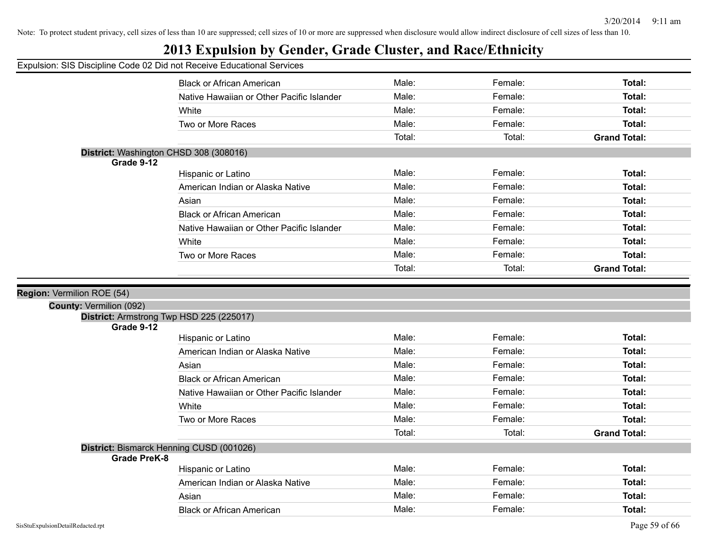## **2013 Expulsion by Gender, Grade Cluster, and Race/Ethnicity**

#### Expulsion: SIS Discipline Code 02 Did not Receive Educational Services

|                         | <b>Black or African American</b>          | Male:  | Female: | Total:              |
|-------------------------|-------------------------------------------|--------|---------|---------------------|
|                         | Native Hawaiian or Other Pacific Islander | Male:  | Female: | Total:              |
|                         | White                                     | Male:  | Female: | Total:              |
|                         | Two or More Races                         | Male:  | Female: | Total:              |
|                         |                                           | Total: | Total:  | <b>Grand Total:</b> |
|                         | District: Washington CHSD 308 (308016)    |        |         |                     |
| Grade 9-12              |                                           |        |         |                     |
|                         | Hispanic or Latino                        | Male:  | Female: | Total:              |
|                         | American Indian or Alaska Native          | Male:  | Female: | Total:              |
|                         | Asian                                     | Male:  | Female: | Total:              |
|                         | <b>Black or African American</b>          | Male:  | Female: | Total:              |
|                         | Native Hawaiian or Other Pacific Islander | Male:  | Female: | Total:              |
|                         | White                                     | Male:  | Female: | <b>Total:</b>       |
|                         | Two or More Races                         | Male:  | Female: | Total:              |
|                         |                                           | Total: | Total:  | <b>Grand Total:</b> |
|                         |                                           |        |         |                     |
| Vermilion ROE (54)      |                                           |        |         |                     |
| County: Vermilion (092) |                                           |        |         |                     |
| Grade 9-12              | District: Armstrong Twp HSD 225 (225017)  |        |         |                     |
|                         | Hispanic or Latino                        | Male:  | Female: | <b>Total:</b>       |
|                         | American Indian or Alaska Native          | Male:  | Female: | Total:              |
|                         | Asian                                     | Male:  | Female: | Total:              |
|                         | <b>Black or African American</b>          | Male:  | Female: | Total:              |
|                         | Native Hawaiian or Other Pacific Islander | Male:  | Female: | Total:              |
|                         | White                                     | Male:  | Female: | <b>Total:</b>       |
|                         |                                           |        |         |                     |
|                         | Two or More Races                         | Male:  | Female: | Total:              |
|                         |                                           | Total: | Total:  | <b>Grand Total:</b> |
|                         | District: Bismarck Henning CUSD (001026)  |        |         |                     |
| <b>Grade PreK-8</b>     | Hispanic or Latino                        | Male:  | Female: | <b>Total:</b>       |
|                         | American Indian or Alaska Native          | Male:  | Female: | Total:              |
|                         |                                           | Male:  | Female: | Total:              |
|                         | Asian                                     |        |         |                     |
|                         | <b>Black or African American</b>          | Male:  | Female: | Total:              |

**Region:**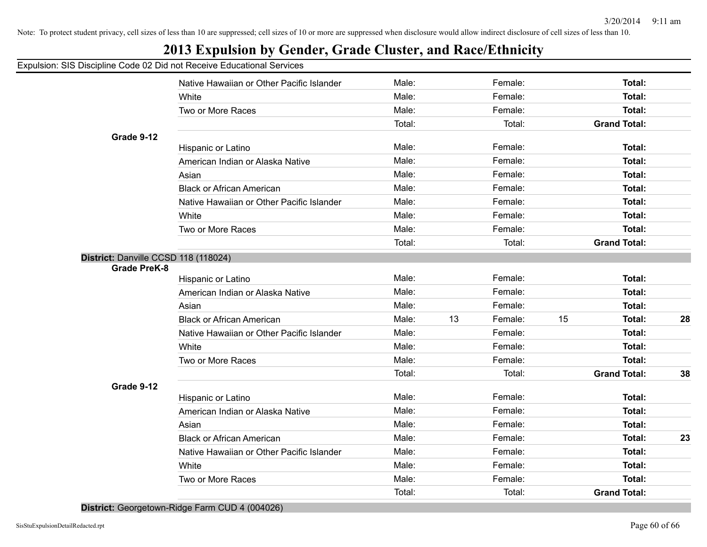## **2013 Expulsion by Gender, Grade Cluster, and Race/Ethnicity**

| Expulsion: SIS Discipline Code 02 Did not Receive Educational Services |                                           |        |    |         |    |                     |    |
|------------------------------------------------------------------------|-------------------------------------------|--------|----|---------|----|---------------------|----|
|                                                                        | Native Hawaiian or Other Pacific Islander | Male:  |    | Female: |    | Total:              |    |
|                                                                        | White                                     | Male:  |    | Female: |    | Total:              |    |
|                                                                        | Two or More Races                         | Male:  |    | Female: |    | Total:              |    |
|                                                                        |                                           | Total: |    | Total:  |    | <b>Grand Total:</b> |    |
| Grade 9-12                                                             |                                           |        |    |         |    |                     |    |
|                                                                        | Hispanic or Latino                        | Male:  |    | Female: |    | Total:              |    |
|                                                                        | American Indian or Alaska Native          | Male:  |    | Female: |    | Total:              |    |
|                                                                        | Asian                                     | Male:  |    | Female: |    | Total:              |    |
|                                                                        | <b>Black or African American</b>          | Male:  |    | Female: |    | Total:              |    |
|                                                                        | Native Hawaiian or Other Pacific Islander | Male:  |    | Female: |    | Total:              |    |
|                                                                        | White                                     | Male:  |    | Female: |    | Total:              |    |
|                                                                        | Two or More Races                         | Male:  |    | Female: |    | Total:              |    |
|                                                                        |                                           | Total: |    | Total:  |    | <b>Grand Total:</b> |    |
| District: Danville CCSD 118 (118024)                                   |                                           |        |    |         |    |                     |    |
| <b>Grade PreK-8</b>                                                    |                                           |        |    |         |    |                     |    |
|                                                                        | Hispanic or Latino                        | Male:  |    | Female: |    | Total:              |    |
|                                                                        | American Indian or Alaska Native          | Male:  |    | Female: |    | Total:              |    |
|                                                                        | Asian                                     | Male:  |    | Female: |    | Total:              |    |
|                                                                        | <b>Black or African American</b>          | Male:  | 13 | Female: | 15 | Total:              | 28 |
|                                                                        | Native Hawaiian or Other Pacific Islander | Male:  |    | Female: |    | Total:              |    |
|                                                                        | White                                     | Male:  |    | Female: |    | Total:              |    |
|                                                                        | Two or More Races                         | Male:  |    | Female: |    | Total:              |    |
|                                                                        |                                           | Total: |    | Total:  |    | <b>Grand Total:</b> | 38 |
| Grade 9-12                                                             |                                           |        |    |         |    |                     |    |
|                                                                        | Hispanic or Latino                        | Male:  |    | Female: |    | Total:              |    |
|                                                                        | American Indian or Alaska Native          | Male:  |    | Female: |    | Total:              |    |
|                                                                        | Asian                                     | Male:  |    | Female: |    | Total:              |    |
|                                                                        | <b>Black or African American</b>          | Male:  |    | Female: |    | Total:              | 23 |
|                                                                        | Native Hawaiian or Other Pacific Islander | Male:  |    | Female: |    | Total:              |    |
|                                                                        | White                                     | Male:  |    | Female: |    | Total:              |    |
|                                                                        | Two or More Races                         | Male:  |    | Female: |    | Total:              |    |
|                                                                        |                                           | Total: |    | Total:  |    | <b>Grand Total:</b> |    |

**District:** Georgetown-Ridge Farm CUD 4 (004026)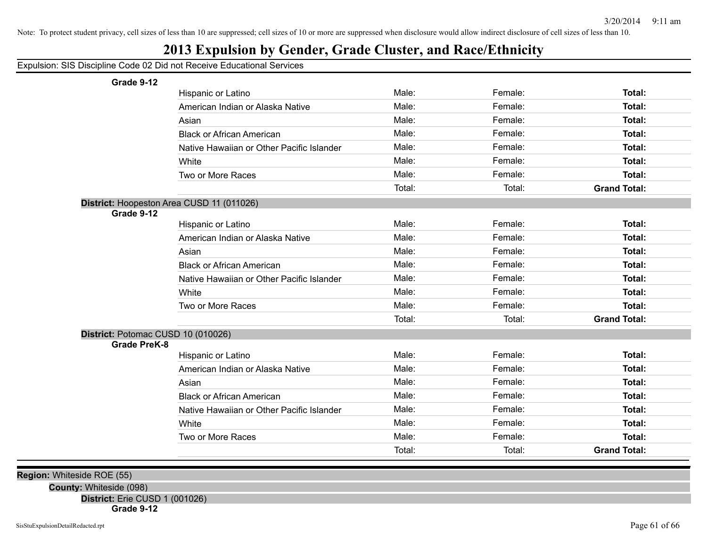## **2013 Expulsion by Gender, Grade Cluster, and Race/Ethnicity**

Expulsion: SIS Discipline Code 02 Did not Receive Educational Services

**Grade 9-12**

| Grade 9-12                                |                                           |        |         |                     |
|-------------------------------------------|-------------------------------------------|--------|---------|---------------------|
|                                           | Hispanic or Latino                        | Male:  | Female: | Total:              |
|                                           | American Indian or Alaska Native          | Male:  | Female: | Total:              |
|                                           | Asian                                     | Male:  | Female: | Total:              |
|                                           | <b>Black or African American</b>          | Male:  | Female: | Total:              |
|                                           | Native Hawaiian or Other Pacific Islander | Male:  | Female: | Total:              |
|                                           | White                                     | Male:  | Female: | Total:              |
|                                           | Two or More Races                         | Male:  | Female: | Total:              |
|                                           |                                           | Total: | Total:  | <b>Grand Total:</b> |
| District: Hoopeston Area CUSD 11 (011026) |                                           |        |         |                     |
| Grade 9-12                                |                                           |        |         |                     |
|                                           | Hispanic or Latino                        | Male:  | Female: | Total:              |
|                                           | American Indian or Alaska Native          | Male:  | Female: | Total:              |
|                                           | Asian                                     | Male:  | Female: | Total:              |
|                                           | <b>Black or African American</b>          | Male:  | Female: | Total:              |
|                                           | Native Hawaiian or Other Pacific Islander | Male:  | Female: | Total:              |
|                                           | White                                     | Male:  | Female: | Total:              |
|                                           | Two or More Races                         | Male:  | Female: | <b>Total:</b>       |
|                                           |                                           | Total: | Total:  | <b>Grand Total:</b> |
| District: Potomac CUSD 10 (010026)        |                                           |        |         |                     |
| <b>Grade PreK-8</b>                       |                                           |        |         |                     |
|                                           | Hispanic or Latino                        | Male:  | Female: | Total:              |
|                                           | American Indian or Alaska Native          | Male:  | Female: | Total:              |
|                                           | Asian                                     | Male:  | Female: | Total:              |
|                                           | <b>Black or African American</b>          | Male:  | Female: | Total:              |
|                                           | Native Hawaiian or Other Pacific Islander | Male:  | Female: | Total:              |
|                                           | White                                     | Male:  | Female: | Total:              |
|                                           | Two or More Races                         | Male:  | Female: | <b>Total:</b>       |
|                                           |                                           | Total: | Total:  | <b>Grand Total:</b> |
|                                           |                                           |        |         |                     |

**Region:** Whiteside ROE (55)

**County:** Whiteside (098)

**District:** Erie CUSD 1 (001026)

**Grade 9-12**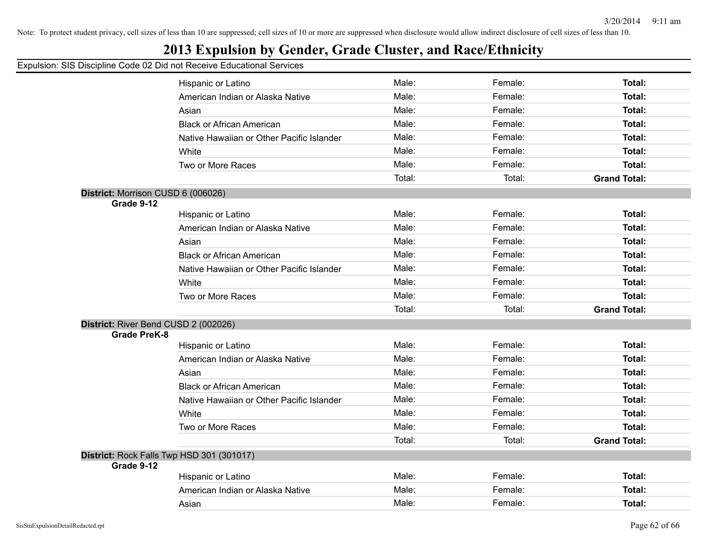## **2013 Expulsion by Gender, Grade Cluster, and Race/Ethnicity**

|                                    | Hispanic or Latino                        | Male:  | Female: | Total:              |
|------------------------------------|-------------------------------------------|--------|---------|---------------------|
|                                    | American Indian or Alaska Native          | Male:  | Female: | Total:              |
|                                    | Asian                                     | Male:  | Female: | Total:              |
|                                    | <b>Black or African American</b>          | Male:  | Female: | <b>Total:</b>       |
|                                    | Native Hawaiian or Other Pacific Islander | Male:  | Female: | Total:              |
|                                    | White                                     | Male:  | Female: | Total:              |
|                                    | Two or More Races                         | Male:  | Female: | Total:              |
|                                    |                                           | Total: | Total:  | <b>Grand Total:</b> |
| District: Morrison CUSD 6 (006026) |                                           |        |         |                     |
| Grade 9-12                         |                                           |        |         |                     |
|                                    | Hispanic or Latino                        | Male:  | Female: | Total:              |
|                                    | American Indian or Alaska Native          | Male:  | Female: | Total:              |
|                                    | Asian                                     | Male:  | Female: | Total:              |
|                                    | <b>Black or African American</b>          | Male:  | Female: | <b>Total:</b>       |
|                                    | Native Hawaiian or Other Pacific Islander | Male:  | Female: | Total:              |
|                                    | White                                     | Male:  | Female: | Total:              |
|                                    | Two or More Races                         | Male:  | Female: | Total:              |
|                                    |                                           | Total: | Total:  | <b>Grand Total:</b> |
|                                    | District: River Bend CUSD 2 (002026)      |        |         |                     |
| <b>Grade PreK-8</b>                |                                           |        |         |                     |
|                                    | Hispanic or Latino                        | Male:  | Female: | Total:              |
|                                    | American Indian or Alaska Native          | Male:  | Female: | Total:              |
|                                    | Asian                                     | Male:  | Female: | Total:              |
|                                    | <b>Black or African American</b>          | Male:  | Female: | Total:              |
|                                    | Native Hawaiian or Other Pacific Islander | Male:  | Female: | Total:              |
|                                    | White                                     | Male:  | Female: | Total:              |
|                                    | Two or More Races                         | Male:  | Female: | Total:              |
|                                    |                                           | Total: | Total:  | <b>Grand Total:</b> |
|                                    | District: Rock Falls Twp HSD 301 (301017) |        |         |                     |
| Grade 9-12                         |                                           |        |         |                     |
|                                    | Hispanic or Latino                        | Male:  | Female: | Total:              |
|                                    | American Indian or Alaska Native          | Male:  | Female: | Total:              |
|                                    | Asian                                     | Male:  | Female: | Total:              |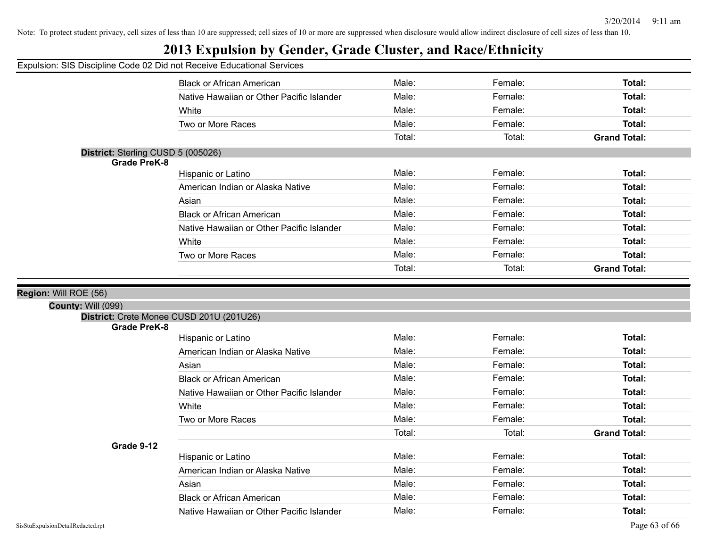## **2013 Expulsion by Gender, Grade Cluster, and Race/Ethnicity**

#### Expulsion: SIS Discipline Code 02 Did not Receive Educational Services

|                                          | <b>Black or African American</b>          | Male:  | Female: | Total:              |
|------------------------------------------|-------------------------------------------|--------|---------|---------------------|
|                                          | Native Hawaiian or Other Pacific Islander | Male:  | Female: | Total:              |
|                                          | White                                     | Male:  | Female: | Total:              |
|                                          | Two or More Races                         | Male:  | Female: | Total:              |
|                                          |                                           | Total: | Total:  | <b>Grand Total:</b> |
| District: Sterling CUSD 5 (005026)       |                                           |        |         |                     |
| <b>Grade PreK-8</b>                      |                                           |        |         |                     |
|                                          | Hispanic or Latino                        | Male:  | Female: | Total:              |
|                                          | American Indian or Alaska Native          | Male:  | Female: | Total:              |
|                                          | Asian                                     | Male:  | Female: | Total:              |
|                                          | <b>Black or African American</b>          | Male:  | Female: | Total:              |
|                                          | Native Hawaiian or Other Pacific Islander | Male:  | Female: | Total:              |
|                                          | White                                     | Male:  | Female: | Total:              |
|                                          | Two or More Races                         | Male:  | Female: | Total:              |
|                                          |                                           | Total: | Total:  | <b>Grand Total:</b> |
|                                          |                                           |        |         |                     |
|                                          |                                           |        |         |                     |
| : Will ROE (56)                          |                                           |        |         |                     |
| County: Will (099)                       |                                           |        |         |                     |
| District: Crete Monee CUSD 201U (201U26) |                                           |        |         |                     |
| <b>Grade PreK-8</b>                      |                                           |        |         |                     |
|                                          | Hispanic or Latino                        | Male:  | Female: | Total:              |
|                                          | American Indian or Alaska Native          | Male:  | Female: | Total:              |
|                                          | Asian                                     | Male:  | Female: | Total:              |
|                                          | <b>Black or African American</b>          | Male:  | Female: | Total:              |
|                                          | Native Hawaiian or Other Pacific Islander | Male:  | Female: | Total:              |
|                                          | White                                     | Male:  | Female: | Total:              |
|                                          | Two or More Races                         | Male:  | Female: | Total:              |
|                                          |                                           | Total: | Total:  | <b>Grand Total:</b> |
| Grade 9-12                               |                                           |        |         |                     |
|                                          | Hispanic or Latino                        | Male:  | Female: | Total:              |
|                                          | American Indian or Alaska Native          | Male:  | Female: | Total:              |
|                                          | Asian                                     | Male:  | Female: | Total:              |

Native Hawaiian or Other Pacific Islander **Male:** Female: Female: Total:

**Region: Will I**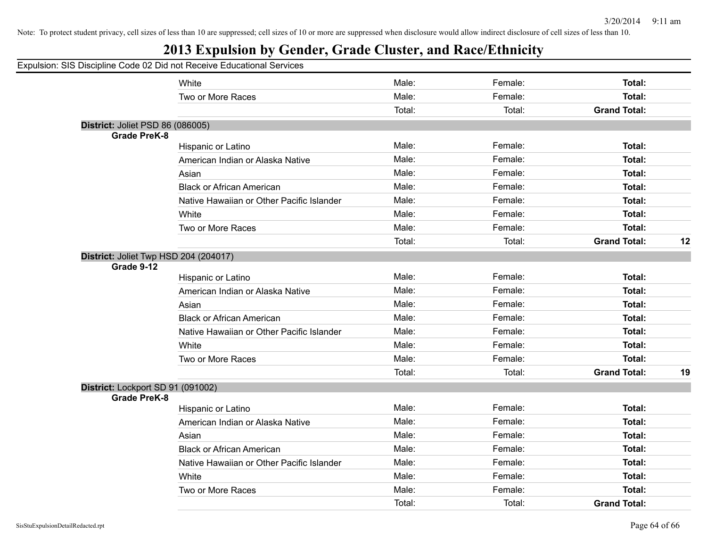Grand Total: 12

Grand Total: 19

Note: To protect student privacy, cell sizes of less than 10 are suppressed; cell sizes of 10 or more are suppressed when disclosure would allow indirect disclosure of cell sizes of less than 10.

#### **2013 Expulsion by Gender, Grade Cluster, and Race/Ethnicity**

|                     | 2013 Expulsion by Gender, Grade Cluster, and Race/Ethnicity            |        |         |                     |
|---------------------|------------------------------------------------------------------------|--------|---------|---------------------|
|                     | Expulsion: SIS Discipline Code 02 Did not Receive Educational Services |        |         |                     |
|                     | White                                                                  | Male:  | Female: | Total:              |
|                     | Two or More Races                                                      | Male:  | Female: | <b>Total:</b>       |
|                     |                                                                        | Total: | Total:  | <b>Grand Total:</b> |
|                     | District: Joliet PSD 86 (086005)                                       |        |         |                     |
| <b>Grade PreK-8</b> |                                                                        |        |         |                     |
|                     | Hispanic or Latino                                                     | Male:  | Female: | <b>Total:</b>       |
|                     | American Indian or Alaska Native                                       | Male:  | Female: | Total:              |
|                     | Asian                                                                  | Male:  | Female: | Total:              |
|                     | <b>Black or African American</b>                                       | Male:  | Female: | Total:              |
|                     | Native Hawaiian or Other Pacific Islander                              | Male:  | Female: | <b>Total:</b>       |
|                     | White                                                                  | Male:  | Female: | Total:              |
|                     | Two or More Races                                                      | Male:  | Female: | <b>Total:</b>       |
|                     |                                                                        | Total: | Total:  | <b>Grand Total:</b> |
|                     | District: Joliet Twp HSD 204 (204017)                                  |        |         |                     |
| Grade 9-12          |                                                                        |        |         |                     |
|                     | Hispanic or Latino                                                     | Male:  | Female: | Total:              |
|                     | American Indian or Alaska Native                                       | Male:  | Female: | Total:              |
|                     | Asian                                                                  | Male:  | Female: | Total:              |
|                     | <b>Black or African American</b>                                       | Male:  | Female: | Total:              |
|                     | Native Hawaiian or Other Pacific Islander                              | Male:  | Female: | <b>Total:</b>       |
|                     | White                                                                  | Male:  | Female: | <b>Total:</b>       |
|                     | Two or More Races                                                      | Male:  | Female: | <b>Total:</b>       |
|                     |                                                                        | Total: | Total:  | <b>Grand Total:</b> |
|                     | District: Lockport SD 91 (091002)                                      |        |         |                     |
| <b>Grade PreK-8</b> |                                                                        |        |         |                     |
|                     | Hispanic or Latino                                                     | Male:  | Female: | Total:              |
|                     | American Indian or Alaska Native                                       | Male:  | Female: | <b>Total:</b>       |
|                     | Asian                                                                  | Male:  | Female: | <b>Total:</b>       |
|                     | <b>Black or African American</b>                                       | Male:  | Female: | <b>Total:</b>       |
|                     | Native Hawaiian or Other Pacific Islander                              | Male:  | Female: | <b>Total:</b>       |
|                     | White                                                                  | Male:  | Female: | Total:              |
|                     | Two or More Races                                                      | Male:  | Female: | Total:              |
|                     |                                                                        | Total: | Total:  | <b>Grand Total:</b> |
|                     |                                                                        |        |         |                     |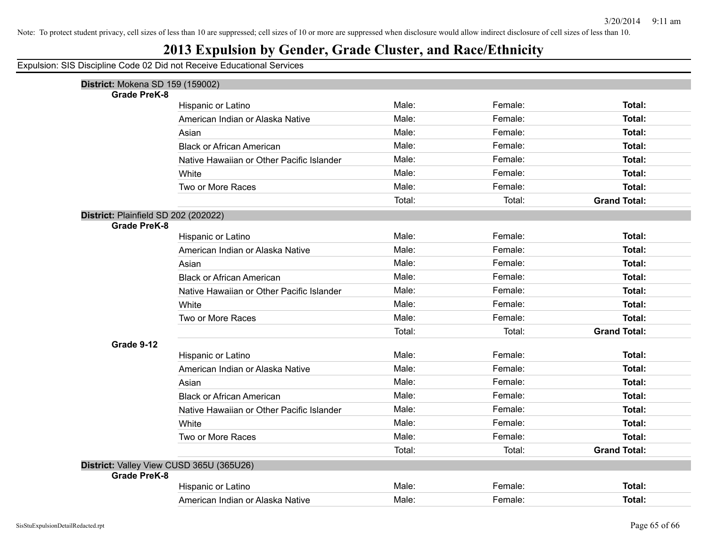## **2013 Expulsion by Gender, Grade Cluster, and Race/Ethnicity**

| District: Mokena SD 159 (159002)     |                                           |        |         |                     |
|--------------------------------------|-------------------------------------------|--------|---------|---------------------|
| <b>Grade PreK-8</b>                  |                                           |        |         |                     |
|                                      | Hispanic or Latino                        | Male:  | Female: | Total:              |
|                                      | American Indian or Alaska Native          | Male:  | Female: | Total:              |
|                                      | Asian                                     | Male:  | Female: | Total:              |
|                                      | <b>Black or African American</b>          | Male:  | Female: | Total:              |
|                                      | Native Hawaiian or Other Pacific Islander | Male:  | Female: | Total:              |
|                                      | White                                     | Male:  | Female: | Total:              |
|                                      | Two or More Races                         | Male:  | Female: | Total:              |
|                                      |                                           | Total: | Total:  | <b>Grand Total:</b> |
| District: Plainfield SD 202 (202022) |                                           |        |         |                     |
| <b>Grade PreK-8</b>                  |                                           |        |         |                     |
|                                      | Hispanic or Latino                        | Male:  | Female: | Total:              |
|                                      | American Indian or Alaska Native          | Male:  | Female: | Total:              |
|                                      | Asian                                     | Male:  | Female: | Total:              |
|                                      | <b>Black or African American</b>          | Male:  | Female: | Total:              |
|                                      | Native Hawaiian or Other Pacific Islander | Male:  | Female: | Total:              |
|                                      | White                                     | Male:  | Female: | Total:              |
|                                      | Two or More Races                         | Male:  | Female: | Total:              |
|                                      |                                           | Total: | Total:  | <b>Grand Total:</b> |
| Grade 9-12                           |                                           |        |         |                     |
|                                      | Hispanic or Latino                        | Male:  | Female: | Total:              |
|                                      | American Indian or Alaska Native          | Male:  | Female: | Total:              |
|                                      | Asian                                     | Male:  | Female: | Total:              |
|                                      | <b>Black or African American</b>          | Male:  | Female: | Total:              |
|                                      | Native Hawaiian or Other Pacific Islander | Male:  | Female: | Total:              |
|                                      | White                                     | Male:  | Female: | <b>Total:</b>       |
|                                      | Two or More Races                         | Male:  | Female: | Total:              |
|                                      |                                           | Total: | Total:  | <b>Grand Total:</b> |
|                                      | District: Valley View CUSD 365U (365U26)  |        |         |                     |
| <b>Grade PreK-8</b>                  |                                           |        |         |                     |
|                                      | Hispanic or Latino                        | Male:  | Female: | Total:              |
|                                      | American Indian or Alaska Native          | Male:  | Female: | Total:              |